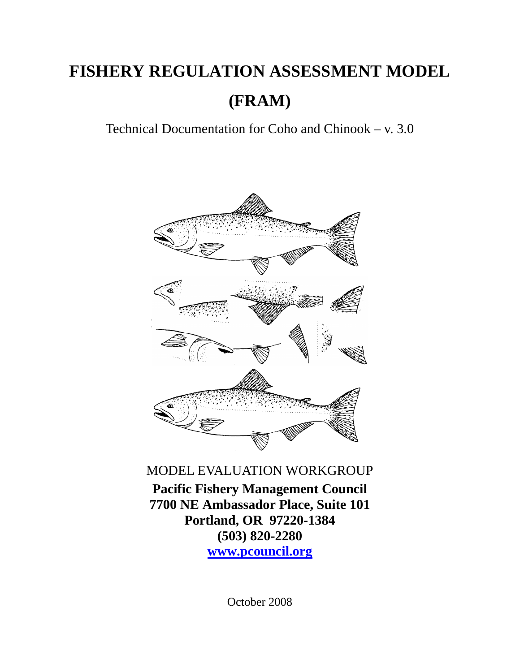# **FISHERY REGULATION ASSESSMENT MODEL (FRAM)**

Technical Documentation for Coho and Chinook – v. 3.0



MODEL EVALUATION WORKGROUP

**Pacific Fishery Management Council 7700 NE Ambassador Place, Suite 101 Portland, OR 97220-1384 (503) 820-2280 www.pcouncil.org**

October 2008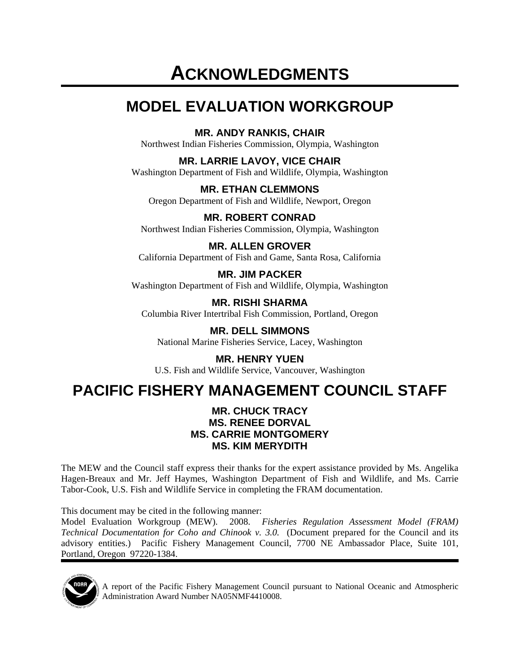# **ACKNOWLEDGMENTS**

# **MODEL EVALUATION WORKGROUP**

**MR. ANDY RANKIS, CHAIR** 

Northwest Indian Fisheries Commission, Olympia, Washington

**MR. LARRIE LAVOY, VICE CHAIR** 

Washington Department of Fish and Wildlife, Olympia, Washington

**MR. ETHAN CLEMMONS**  Oregon Department of Fish and Wildlife, Newport, Oregon

**MR. ROBERT CONRAD**  Northwest Indian Fisheries Commission, Olympia, Washington

**MR. ALLEN GROVER**  California Department of Fish and Game, Santa Rosa, California

**MR. JIM PACKER**  Washington Department of Fish and Wildlife, Olympia, Washington

**MR. RISHI SHARMA**  Columbia River Intertribal Fish Commission, Portland, Oregon

**MR. DELL SIMMONS**  National Marine Fisheries Service, Lacey, Washington

**MR. HENRY YUEN**  U.S. Fish and Wildlife Service, Vancouver, Washington

# **PACIFIC FISHERY MANAGEMENT COUNCIL STAFF**

#### **MR. CHUCK TRACY MS. RENEE DORVAL MS. CARRIE MONTGOMERY MS. KIM MERYDITH**

The MEW and the Council staff express their thanks for the expert assistance provided by Ms. Angelika Hagen-Breaux and Mr. Jeff Haymes, Washington Department of Fish and Wildlife, and Ms. Carrie Tabor-Cook, U.S. Fish and Wildlife Service in completing the FRAM documentation.

This document may be cited in the following manner:

Model Evaluation Workgroup (MEW). 2008. *Fisheries Regulation Assessment Model (FRAM) Technical Documentation for Coho and Chinook v. 3.0.* (Document prepared for the Council and its advisory entities.) Pacific Fishery Management Council, 7700 NE Ambassador Place, Suite 101, Portland, Oregon 97220-1384.



A report of the Pacific Fishery Management Council pursuant to National Oceanic and Atmospheric Administration Award Number NA05NMF4410008.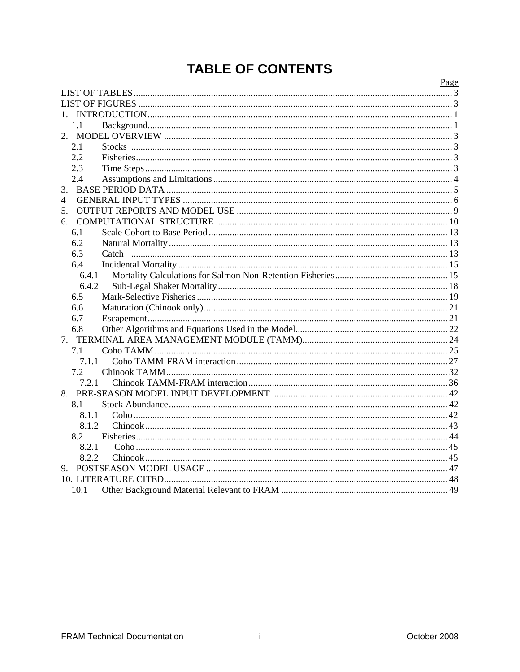# **TABLE OF CONTENTS**

|       | Page |
|-------|------|
|       |      |
|       |      |
|       |      |
| 1.1   |      |
|       |      |
| 2.1   |      |
| 2.2   |      |
| 2.3   |      |
| 2.4   |      |
| 3.    |      |
| 4     |      |
| 5.    |      |
|       |      |
| 6.1   |      |
| 6.2   |      |
| 6.3   |      |
| 6.4   |      |
| 6.4.1 |      |
| 6.4.2 |      |
| 6.5   |      |
| 6.6   |      |
| 6.7   |      |
| 6.8   |      |
| 7.    |      |
| 7.1   |      |
| 7.1.1 |      |
| 7.2   |      |
| 7.2.1 |      |
|       |      |
| 8.1   |      |
| 8.1.1 |      |
| 8.1.2 |      |
| 8.2   |      |
| 8.2.1 |      |
| 8.2.2 |      |
|       |      |
|       |      |
| 10.1  |      |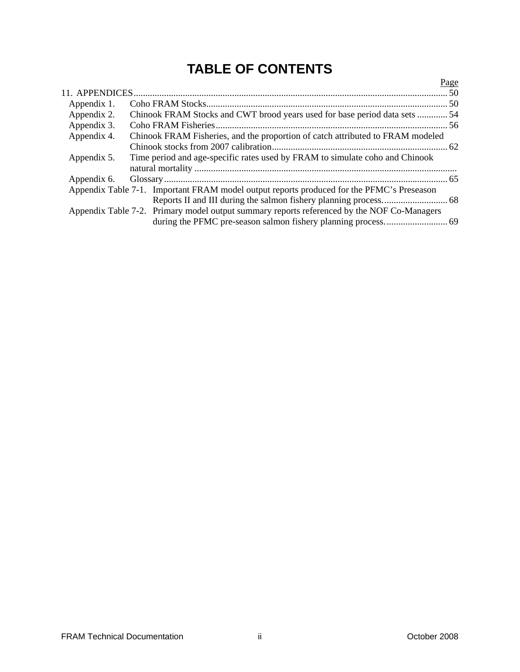# **TABLE OF CONTENTS**

|             |                                                                                            | <u>Page</u> |
|-------------|--------------------------------------------------------------------------------------------|-------------|
|             |                                                                                            |             |
| Appendix 1. |                                                                                            |             |
| Appendix 2. | Chinook FRAM Stocks and CWT brood years used for base period data sets  54                 |             |
| Appendix 3. |                                                                                            |             |
| Appendix 4. | Chinook FRAM Fisheries, and the proportion of catch attributed to FRAM modeled             |             |
|             |                                                                                            |             |
| Appendix 5. | Time period and age-specific rates used by FRAM to simulate coho and Chinook               |             |
| Appendix 6. |                                                                                            |             |
|             | Appendix Table 7-1. Important FRAM model output reports produced for the PFMC's Preseason  |             |
|             |                                                                                            |             |
|             | Appendix Table 7-2. Primary model output summary reports referenced by the NOF Co-Managers |             |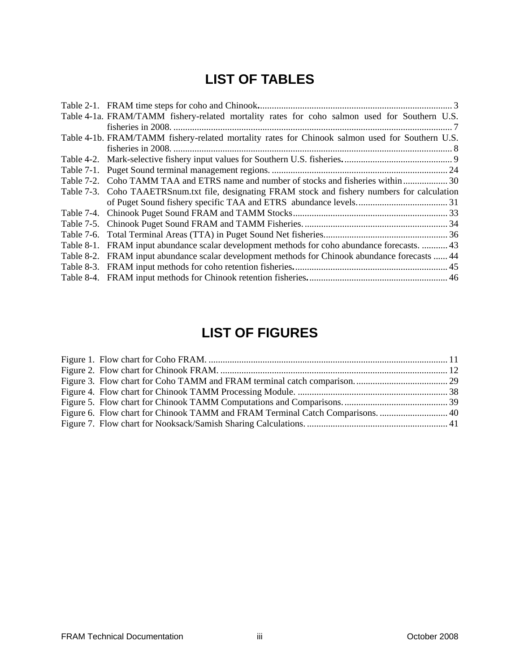# **LIST OF TABLES**

<span id="page-4-0"></span>

|            | Table 4-1a. FRAM/TAMM fishery-related mortality rates for coho salmon used for Southern U.S.    |
|------------|-------------------------------------------------------------------------------------------------|
|            |                                                                                                 |
|            | Table 4-1b. FRAM/TAMM fishery-related mortality rates for Chinook salmon used for Southern U.S. |
|            |                                                                                                 |
|            |                                                                                                 |
|            |                                                                                                 |
| Table 7-2. |                                                                                                 |
|            | Table 7-3. Coho TAAETRSnum.txt file, designating FRAM stock and fishery numbers for calculation |
|            |                                                                                                 |
|            |                                                                                                 |
|            |                                                                                                 |
|            |                                                                                                 |
| Table 8-1. | FRAM input abundance scalar development methods for coho abundance forecasts.  43               |
| Table 8-2. | FRAM input abundance scalar development methods for Chinook abundance forecasts  44             |
| Table 8-3. |                                                                                                 |
|            |                                                                                                 |
|            |                                                                                                 |

# **LIST OF FIGURES**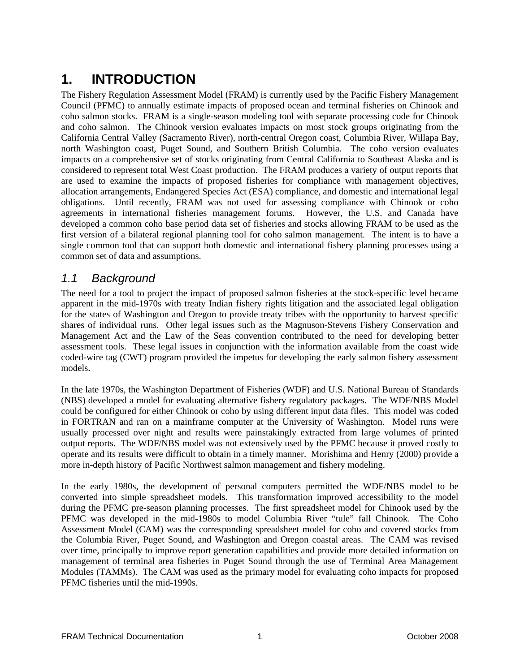# <span id="page-6-0"></span>**1. INTRODUCTION**

The Fishery Regulation Assessment Model (FRAM) is currently used by the Pacific Fishery Management Council (PFMC) to annually estimate impacts of proposed ocean and terminal fisheries on Chinook and coho salmon stocks. FRAM is a single-season modeling tool with separate processing code for Chinook and coho salmon. The Chinook version evaluates impacts on most stock groups originating from the California Central Valley (Sacramento River), north-central Oregon coast, Columbia River, Willapa Bay, north Washington coast, Puget Sound, and Southern British Columbia. The coho version evaluates impacts on a comprehensive set of stocks originating from Central California to Southeast Alaska and is considered to represent total West Coast production. The FRAM produces a variety of output reports that are used to examine the impacts of proposed fisheries for compliance with management objectives, allocation arrangements, Endangered Species Act (ESA) compliance, and domestic and international legal obligations. Until recently, FRAM was not used for assessing compliance with Chinook or coho agreements in international fisheries management forums. However, the U.S. and Canada have developed a common coho base period data set of fisheries and stocks allowing FRAM to be used as the first version of a bilateral regional planning tool for coho salmon management. The intent is to have a single common tool that can support both domestic and international fishery planning processes using a common set of data and assumptions.

## *1.1 Background*

The need for a tool to project the impact of proposed salmon fisheries at the stock-specific level became apparent in the mid-1970s with treaty Indian fishery rights litigation and the associated legal obligation for the states of Washington and Oregon to provide treaty tribes with the opportunity to harvest specific shares of individual runs. Other legal issues such as the Magnuson-Stevens Fishery Conservation and Management Act and the Law of the Seas convention contributed to the need for developing better assessment tools. These legal issues in conjunction with the information available from the coast wide coded-wire tag (CWT) program provided the impetus for developing the early salmon fishery assessment models.

In the late 1970s, the Washington Department of Fisheries (WDF) and U.S. National Bureau of Standards (NBS) developed a model for evaluating alternative fishery regulatory packages. The WDF/NBS Model could be configured for either Chinook or coho by using different input data files. This model was coded in FORTRAN and ran on a mainframe computer at the University of Washington. Model runs were usually processed over night and results were painstakingly extracted from large volumes of printed output reports. The WDF/NBS model was not extensively used by the PFMC because it proved costly to operate and its results were difficult to obtain in a timely manner. Morishima and Henry (2000) provide a more in-depth history of Pacific Northwest salmon management and fishery modeling.

In the early 1980s, the development of personal computers permitted the WDF/NBS model to be converted into simple spreadsheet models. This transformation improved accessibility to the model during the PFMC pre-season planning processes. The first spreadsheet model for Chinook used by the PFMC was developed in the mid-1980s to model Columbia River "tule" fall Chinook. The Coho Assessment Model (CAM) was the corresponding spreadsheet model for coho and covered stocks from the Columbia River, Puget Sound, and Washington and Oregon coastal areas. The CAM was revised over time, principally to improve report generation capabilities and provide more detailed information on management of terminal area fisheries in Puget Sound through the use of Terminal Area Management Modules (TAMMs). The CAM was used as the primary model for evaluating coho impacts for proposed PFMC fisheries until the mid-1990s.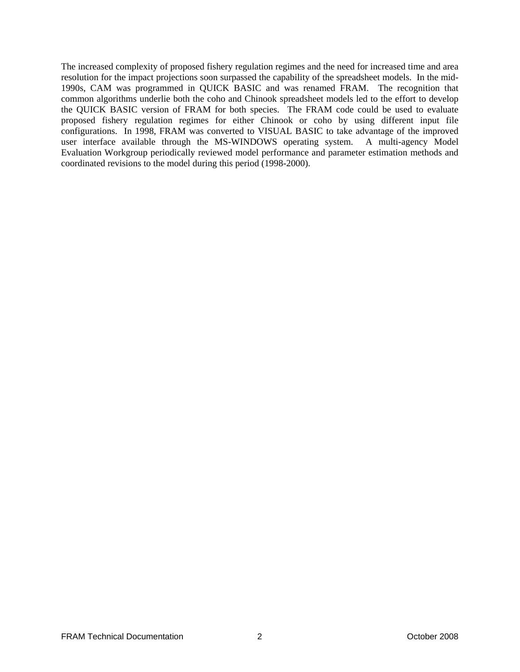The increased complexity of proposed fishery regulation regimes and the need for increased time and area resolution for the impact projections soon surpassed the capability of the spreadsheet models. In the mid-1990s, CAM was programmed in QUICK BASIC and was renamed FRAM. The recognition that common algorithms underlie both the coho and Chinook spreadsheet models led to the effort to develop the QUICK BASIC version of FRAM for both species. The FRAM code could be used to evaluate proposed fishery regulation regimes for either Chinook or coho by using different input file configurations. In 1998, FRAM was converted to VISUAL BASIC to take advantage of the improved user interface available through the MS-WINDOWS operating system. A multi-agency Model Evaluation Workgroup periodically reviewed model performance and parameter estimation methods and coordinated revisions to the model during this period (1998-2000).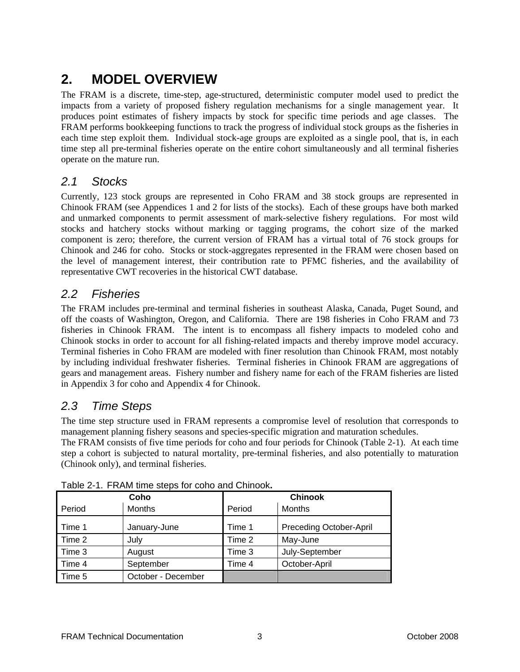# <span id="page-8-0"></span>**2. MODEL OVERVIEW**

The FRAM is a discrete, time-step, age-structured, deterministic computer model used to predict the impacts from a variety of proposed fishery regulation mechanisms for a single management year. It produces point estimates of fishery impacts by stock for specific time periods and age classes. The FRAM performs bookkeeping functions to track the progress of individual stock groups as the fisheries in each time step exploit them. Individual stock-age groups are exploited as a single pool, that is, in each time step all pre-terminal fisheries operate on the entire cohort simultaneously and all terminal fisheries operate on the mature run.

### *2.1 Stocks*

Currently, 123 stock groups are represented in Coho FRAM and 38 stock groups are represented in Chinook FRAM (see Appendices 1 and 2 for lists of the stocks). Each of these groups have both marked and unmarked components to permit assessment of mark-selective fishery regulations. For most wild stocks and hatchery stocks without marking or tagging programs, the cohort size of the marked component is zero; therefore, the current version of FRAM has a virtual total of 76 stock groups for Chinook and 246 for coho. Stocks or stock-aggregates represented in the FRAM were chosen based on the level of management interest, their contribution rate to PFMC fisheries, and the availability of representative CWT recoveries in the historical CWT database.

# *2.2 Fisheries*

The FRAM includes pre-terminal and terminal fisheries in southeast Alaska, Canada, Puget Sound, and off the coasts of Washington, Oregon, and California. There are 198 fisheries in Coho FRAM and 73 fisheries in Chinook FRAM. The intent is to encompass all fishery impacts to modeled coho and Chinook stocks in order to account for all fishing-related impacts and thereby improve model accuracy. Terminal fisheries in Coho FRAM are modeled with finer resolution than Chinook FRAM, most notably by including individual freshwater fisheries. Terminal fisheries in Chinook FRAM are aggregations of gears and management areas. Fishery number and fishery name for each of the FRAM fisheries are listed in Appendix 3 for coho and Appendix 4 for Chinook.

# *2.3 Time Steps*

The time step structure used in FRAM represents a compromise level of resolution that corresponds to management planning fishery seasons and species-specific migration and maturation schedules.

The FRAM consists of five time periods for coho and four periods for Chinook (Table 2-1). At each time step a cohort is subjected to natural mortality, pre-terminal fisheries, and also potentially to maturation (Chinook only), and terminal fisheries.

|        | Coho               | <b>Chinook</b> |                         |  |  |
|--------|--------------------|----------------|-------------------------|--|--|
| Period | <b>Months</b>      | Period         | Months                  |  |  |
| Time 1 | January-June       | Time 1         | Preceding October-April |  |  |
| Time 2 | July               | Time 2         | May-June                |  |  |
| Time 3 | August             | Time 3         | July-September          |  |  |
| Time 4 | September          | Time 4         | October-April           |  |  |
| Time 5 | October - December |                |                         |  |  |

Table 2-1. FRAM time steps for coho and Chinook**.**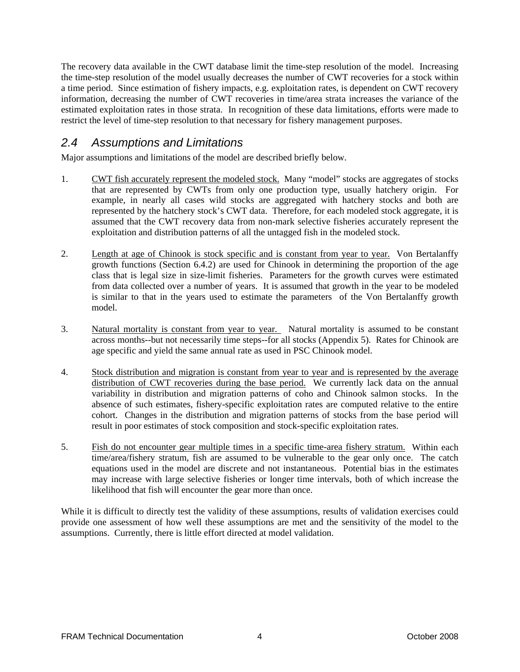<span id="page-9-0"></span>The recovery data available in the CWT database limit the time-step resolution of the model. Increasing the time-step resolution of the model usually decreases the number of CWT recoveries for a stock within a time period. Since estimation of fishery impacts, e.g. exploitation rates, is dependent on CWT recovery information, decreasing the number of CWT recoveries in time/area strata increases the variance of the estimated exploitation rates in those strata. In recognition of these data limitations, efforts were made to restrict the level of time-step resolution to that necessary for fishery management purposes.

### *2.4 Assumptions and Limitations*

Major assumptions and limitations of the model are described briefly below.

- 1. CWT fish accurately represent the modeled stock. Many "model" stocks are aggregates of stocks that are represented by CWTs from only one production type, usually hatchery origin. For example, in nearly all cases wild stocks are aggregated with hatchery stocks and both are represented by the hatchery stock's CWT data. Therefore, for each modeled stock aggregate, it is assumed that the CWT recovery data from non-mark selective fisheries accurately represent the exploitation and distribution patterns of all the untagged fish in the modeled stock.
- 2. Length at age of Chinook is stock specific and is constant from year to year. Von Bertalanffy growth functions (Section 6.4.2) are used for Chinook in determining the proportion of the age class that is legal size in size-limit fisheries. Parameters for the growth curves were estimated from data collected over a number of years. It is assumed that growth in the year to be modeled is similar to that in the years used to estimate the parameters of the Von Bertalanffy growth model.
- 3. Natural mortality is constant from year to year. Natural mortality is assumed to be constant across months--but not necessarily time steps--for all stocks (Appendix 5). Rates for Chinook are age specific and yield the same annual rate as used in PSC Chinook model.
- 4. Stock distribution and migration is constant from year to year and is represented by the average distribution of CWT recoveries during the base period. We currently lack data on the annual variability in distribution and migration patterns of coho and Chinook salmon stocks. In the absence of such estimates, fishery-specific exploitation rates are computed relative to the entire cohort. Changes in the distribution and migration patterns of stocks from the base period will result in poor estimates of stock composition and stock-specific exploitation rates.
- 5. Fish do not encounter gear multiple times in a specific time-area fishery stratum. Within each time/area/fishery stratum, fish are assumed to be vulnerable to the gear only once. The catch equations used in the model are discrete and not instantaneous. Potential bias in the estimates may increase with large selective fisheries or longer time intervals, both of which increase the likelihood that fish will encounter the gear more than once.

While it is difficult to directly test the validity of these assumptions, results of validation exercises could provide one assessment of how well these assumptions are met and the sensitivity of the model to the assumptions. Currently, there is little effort directed at model validation.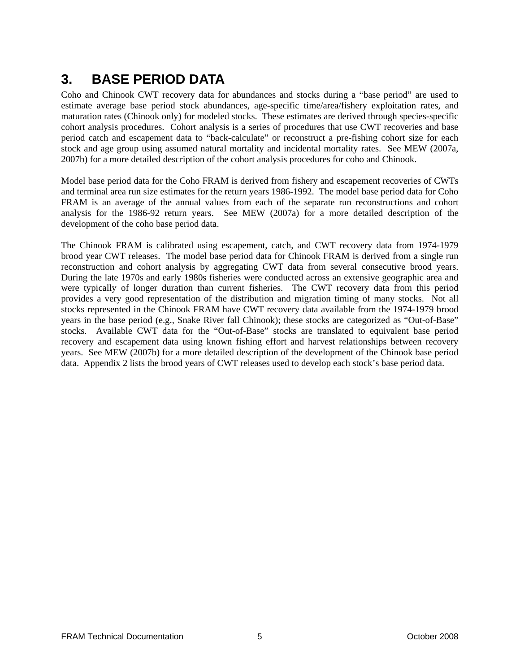# <span id="page-10-0"></span>**3. BASE PERIOD DATA**

Coho and Chinook CWT recovery data for abundances and stocks during a "base period" are used to estimate average base period stock abundances, age-specific time/area/fishery exploitation rates, and maturation rates (Chinook only) for modeled stocks. These estimates are derived through species-specific cohort analysis procedures. Cohort analysis is a series of procedures that use CWT recoveries and base period catch and escapement data to "back-calculate" or reconstruct a pre-fishing cohort size for each stock and age group using assumed natural mortality and incidental mortality rates. See MEW (2007a, 2007b) for a more detailed description of the cohort analysis procedures for coho and Chinook.

Model base period data for the Coho FRAM is derived from fishery and escapement recoveries of CWTs and terminal area run size estimates for the return years 1986-1992. The model base period data for Coho FRAM is an average of the annual values from each of the separate run reconstructions and cohort analysis for the 1986-92 return years. See MEW (2007a) for a more detailed description of the development of the coho base period data.

The Chinook FRAM is calibrated using escapement, catch, and CWT recovery data from 1974-1979 brood year CWT releases. The model base period data for Chinook FRAM is derived from a single run reconstruction and cohort analysis by aggregating CWT data from several consecutive brood years. During the late 1970s and early 1980s fisheries were conducted across an extensive geographic area and were typically of longer duration than current fisheries. The CWT recovery data from this period provides a very good representation of the distribution and migration timing of many stocks. Not all stocks represented in the Chinook FRAM have CWT recovery data available from the 1974-1979 brood years in the base period (e.g., Snake River fall Chinook); these stocks are categorized as "Out-of-Base" stocks. Available CWT data for the "Out-of-Base" stocks are translated to equivalent base period recovery and escapement data using known fishing effort and harvest relationships between recovery years. See MEW (2007b) for a more detailed description of the development of the Chinook base period data. Appendix 2 lists the brood years of CWT releases used to develop each stock's base period data.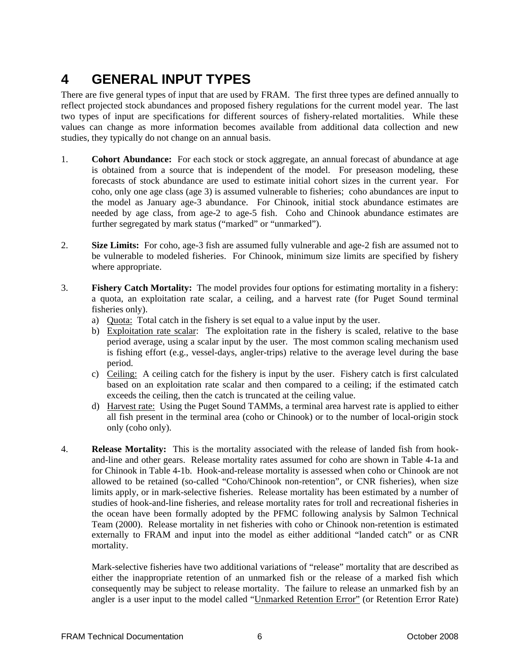# <span id="page-11-0"></span>**4 GENERAL INPUT TYPES**

There are five general types of input that are used by FRAM. The first three types are defined annually to reflect projected stock abundances and proposed fishery regulations for the current model year. The last two types of input are specifications for different sources of fishery-related mortalities. While these values can change as more information becomes available from additional data collection and new studies, they typically do not change on an annual basis.

- 1. **Cohort Abundance:** For each stock or stock aggregate, an annual forecast of abundance at age is obtained from a source that is independent of the model. For preseason modeling, these forecasts of stock abundance are used to estimate initial cohort sizes in the current year. For coho, only one age class (age 3) is assumed vulnerable to fisheries; coho abundances are input to the model as January age-3 abundance. For Chinook, initial stock abundance estimates are needed by age class, from age-2 to age-5 fish. Coho and Chinook abundance estimates are further segregated by mark status ("marked" or "unmarked").
- 2. **Size Limits:** For coho, age-3 fish are assumed fully vulnerable and age-2 fish are assumed not to be vulnerable to modeled fisheries. For Chinook, minimum size limits are specified by fishery where appropriate.
- 3. **Fishery Catch Mortality:** The model provides four options for estimating mortality in a fishery: a quota, an exploitation rate scalar, a ceiling, and a harvest rate (for Puget Sound terminal fisheries only).
	- a) Quota: Total catch in the fishery is set equal to a value input by the user.
	- b) Exploitation rate scalar: The exploitation rate in the fishery is scaled, relative to the base period average, using a scalar input by the user. The most common scaling mechanism used is fishing effort (e.g., vessel-days, angler-trips) relative to the average level during the base period.
	- c) Ceiling: A ceiling catch for the fishery is input by the user. Fishery catch is first calculated based on an exploitation rate scalar and then compared to a ceiling; if the estimated catch exceeds the ceiling, then the catch is truncated at the ceiling value.
	- d) Harvest rate: Using the Puget Sound TAMMs, a terminal area harvest rate is applied to either all fish present in the terminal area (coho or Chinook) or to the number of local-origin stock only (coho only).
- 4. **Release Mortality:** This is the mortality associated with the release of landed fish from hookand-line and other gears. Release mortality rates assumed for coho are shown in Table 4-1a and for Chinook in Table 4-1b. Hook-and-release mortality is assessed when coho or Chinook are not allowed to be retained (so-called "Coho/Chinook non-retention", or CNR fisheries), when size limits apply, or in mark-selective fisheries. Release mortality has been estimated by a number of studies of hook-and-line fisheries, and release mortality rates for troll and recreational fisheries in the ocean have been formally adopted by the PFMC following analysis by Salmon Technical Team (2000). Release mortality in net fisheries with coho or Chinook non-retention is estimated externally to FRAM and input into the model as either additional "landed catch" or as CNR mortality.

Mark-selective fisheries have two additional variations of "release" mortality that are described as either the inappropriate retention of an unmarked fish or the release of a marked fish which consequently may be subject to release mortality. The failure to release an unmarked fish by an angler is a user input to the model called "Unmarked Retention Error" (or Retention Error Rate)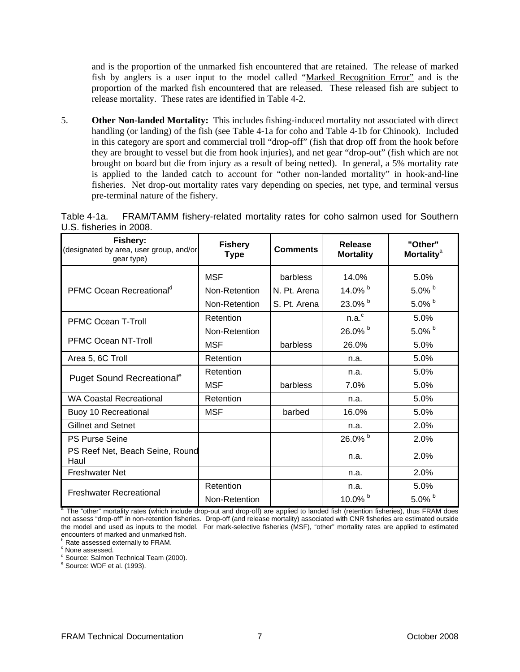<span id="page-12-0"></span>and is the proportion of the unmarked fish encountered that are retained. The release of marked fish by anglers is a user input to the model called "Marked Recognition Error" and is the proportion of the marked fish encountered that are released. These released fish are subject to release mortality. These rates are identified in Table 4-2.

5. **Other Non-landed Mortality:** This includes fishing-induced mortality not associated with direct handling (or landing) of the fish (see Table 4-1a for coho and Table 4-1b for Chinook). Included in this category are sport and commercial troll "drop-off" (fish that drop off from the hook before they are brought to vessel but die from hook injuries), and net gear "drop-out" (fish which are not brought on board but die from injury as a result of being netted). In general, a 5% mortality rate is applied to the landed catch to account for "other non-landed mortality" in hook-and-line fisheries. Net drop-out mortality rates vary depending on species, net type, and terminal versus pre-terminal nature of the fishery.

| Fishery:<br>(designated by area, user group, and/or<br>gear type) | <b>Fishery</b><br><b>Type</b> | <b>Comments</b> | Release<br><b>Mortality</b> | "Other"<br><b>Mortality<sup>a</sup></b> |
|-------------------------------------------------------------------|-------------------------------|-----------------|-----------------------------|-----------------------------------------|
|                                                                   | <b>MSF</b>                    | barbless        | 14.0%                       | 5.0%                                    |
| PFMC Ocean Recreational <sup>d</sup>                              | Non-Retention                 | N. Pt. Arena    | 14.0% b                     | $5.0\%$ b                               |
|                                                                   | Non-Retention                 | S. Pt. Arena    | 23.0% b                     | 5.0% $b$                                |
| <b>PFMC Ocean T-Troll</b>                                         | Retention                     |                 | n.a. <sup>c</sup>           | 5.0%                                    |
|                                                                   | Non-Retention                 |                 | 26.0% b                     | 5.0% $b$                                |
| PFMC Ocean NT-Troll                                               | <b>MSF</b>                    | barbless        | 26.0%                       | 5.0%                                    |
| Area 5, 6C Troll                                                  | Retention                     |                 | n.a.                        | 5.0%                                    |
|                                                                   | Retention                     |                 | n.a.                        | 5.0%                                    |
| Puget Sound Recreational <sup>e</sup>                             | <b>MSF</b>                    | barbless        | 7.0%                        | 5.0%                                    |
| <b>WA Coastal Recreational</b>                                    | Retention                     |                 | n.a.                        | 5.0%                                    |
| Buoy 10 Recreational                                              | <b>MSF</b>                    | barbed          | 16.0%                       | 5.0%                                    |
| <b>Gillnet and Setnet</b>                                         |                               |                 | n.a.                        | 2.0%                                    |
| <b>PS Purse Seine</b>                                             |                               |                 | 26.0% b                     | 2.0%                                    |
| PS Reef Net, Beach Seine, Round<br>Haul                           |                               |                 | n.a.                        | 2.0%                                    |
| <b>Freshwater Net</b>                                             |                               |                 | n.a.                        | 2.0%                                    |
| <b>Freshwater Recreational</b>                                    | Retention                     |                 | n.a.                        | 5.0%                                    |
|                                                                   | Non-Retention                 |                 | 10.0% $b$                   | 5.0% $b$                                |

Table 4-1a. FRAM/TAMM fishery-related mortality rates for coho salmon used for Southern U.S. fisheries in 2008.

<sup>a</sup> The "other" mortality rates (which include drop-out and drop-off) are applied to landed fish (retention fisheries), thus FRAM does not assess "drop-off" in non-retention fisheries. Drop-off (and release mortality) associated with CNR fisheries are estimated outside the model and used as inputs to the model. For mark-selective fisheries (MSF), "other" mortality rates are applied to estimated encounters of marked and unmarked fish.

**B** Rate assessed externally to FRAM.

<sup>c</sup> None assessed.

<sup>d</sup> Source: Salmon Technical Team (2000).

<sup>e</sup> Source: WDF et al. (1993).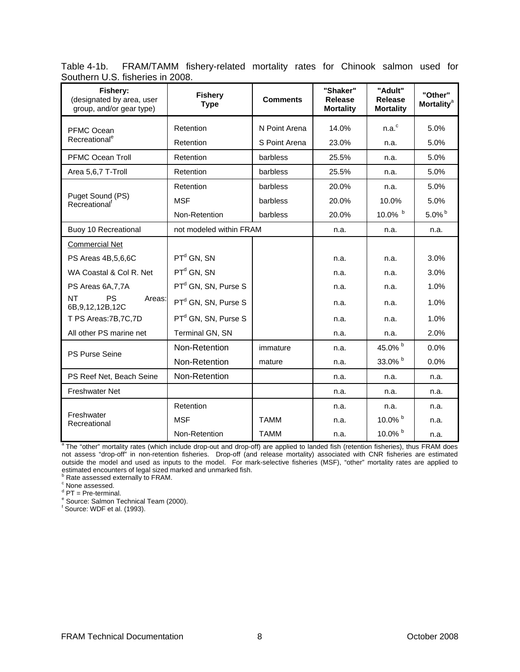<span id="page-13-0"></span>

|                                  | Table 4-1b. FRAM/TAMM fishery-related mortality rates for Chinook salmon used for |  |  |  |  |
|----------------------------------|-----------------------------------------------------------------------------------|--|--|--|--|
| Southern U.S. fisheries in 2008. |                                                                                   |  |  |  |  |

| Fishery:<br>(designated by area, user<br>group, and/or gear type) | <b>Fishery</b><br><b>Type</b>   | <b>Comments</b>           | "Shaker"<br><b>Release</b><br><b>Mortality</b> | "Adult"<br><b>Release</b><br><b>Mortality</b> | "Other"<br><b>Mortality<sup>a</sup></b> |
|-------------------------------------------------------------------|---------------------------------|---------------------------|------------------------------------------------|-----------------------------------------------|-----------------------------------------|
| PFMC Ocean<br>Recreational <sup>e</sup>                           | Retention<br>N Point Arena      |                           | 14.0%<br>23.0%                                 | n.a. <sup>c</sup>                             | 5.0%<br>5.0%                            |
| <b>PFMC Ocean Troll</b>                                           | Retention<br>Retention          | S Point Arena<br>barbless | 25.5%                                          | n.a.                                          | 5.0%                                    |
|                                                                   |                                 |                           |                                                | n.a.                                          |                                         |
| Area 5,6,7 T-Troll                                                | Retention                       | barbless                  | 25.5%                                          | n.a.                                          | 5.0%                                    |
|                                                                   | Retention                       | barbless                  | 20.0%                                          | n.a.                                          | 5.0%                                    |
| Puget Sound (PS)<br>Recreational <sup>t</sup>                     | <b>MSF</b>                      | barbless                  | 20.0%                                          | 10.0%                                         | 5.0%                                    |
|                                                                   | Non-Retention                   | barbless                  | 20.0%                                          | 10.0% b                                       | 5.0% $^{\rm b}$                         |
| Buoy 10 Recreational                                              | not modeled within FRAM         |                           | n.a.                                           | n.a.                                          | n.a.                                    |
| <b>Commercial Net</b>                                             |                                 |                           |                                                |                                               |                                         |
| PS Areas 4B,5,6,6C                                                | $PTd$ GN, SN                    |                           | n.a.                                           | n.a.                                          | 3.0%                                    |
| WA Coastal & Col R. Net                                           | $PTd$ GN, SN                    |                           | n.a.                                           | n.a.                                          | 3.0%                                    |
| PS Areas 6A, 7, 7A                                                | PT <sup>d</sup> GN, SN, Purse S |                           | n.a.                                           | n.a.                                          | 1.0%                                    |
| PS<br><b>NT</b><br>Areas:<br>6B, 9, 12, 12B, 12C                  | PT <sup>d</sup> GN, SN, Purse S |                           | n.a.                                           | n.a.                                          | 1.0%                                    |
| T PS Areas: 7B, 7C, 7D                                            | PT <sup>d</sup> GN, SN, Purse S |                           | n.a.                                           | n.a.                                          | 1.0%                                    |
| All other PS marine net                                           | Terminal GN, SN                 |                           | n.a.                                           | n.a.                                          | 2.0%                                    |
| <b>PS Purse Seine</b>                                             | Non-Retention                   | immature                  | n.a.                                           | 45.0% b                                       | 0.0%                                    |
|                                                                   | Non-Retention                   | mature                    | n.a.                                           | 33.0% b                                       | 0.0%                                    |
| PS Reef Net, Beach Seine                                          | Non-Retention                   |                           | n.a.                                           | n.a.                                          | n.a.                                    |
| <b>Freshwater Net</b>                                             |                                 |                           | n.a.                                           | n.a.                                          | n.a.                                    |
|                                                                   | Retention                       |                           | n.a.                                           | n.a.                                          | n.a.                                    |
| Freshwater<br>Recreational                                        | <b>MSF</b>                      | <b>TAMM</b>               | n.a.                                           | 10.0% $^{\rm b}$                              | n.a.                                    |
|                                                                   | Non-Retention                   | <b>TAMM</b>               | n.a.                                           | 10.0% b                                       | n.a.                                    |

<sup>a</sup> The "other" mortality rates (which include drop-out and drop-off) are applied to landed fish (retention fisheries), thus FRAM does not assess "drop-off" in non-retention fisheries. Drop-off (and release mortality) associated with CNR fisheries are estimated outside the model and used as inputs to the model. For mark-selective fisheries (MSF), "other" mortality rates are applied to estimated encounters of legal sized marked and unmarked fish.<br><sup>b</sup> Rate assessed externally to FRAM.<br><sup>c</sup> None assessed.

<sup>d</sup> PT = Pre-terminal.

<sup>e</sup> Source: Salmon Technical Team (2000).

f Source: WDF et al. (1993).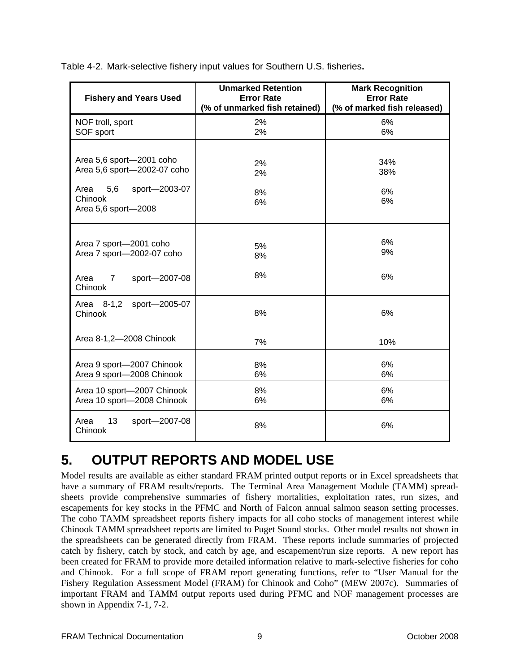| <b>Fishery and Years Used</b>                                                                                             | <b>Unmarked Retention</b><br><b>Error Rate</b><br>(% of unmarked fish retained) | <b>Mark Recognition</b><br><b>Error Rate</b><br>(% of marked fish released) |
|---------------------------------------------------------------------------------------------------------------------------|---------------------------------------------------------------------------------|-----------------------------------------------------------------------------|
| NOF troll, sport<br>SOF sport                                                                                             | 2%<br>2%                                                                        | 6%<br>6%                                                                    |
| Area 5,6 sport-2001 coho<br>Area 5,6 sport-2002-07 coho<br>5,6<br>Area<br>sport-2003-07<br>Chinook<br>Area 5,6 sport-2008 | 2%<br>2%<br>8%<br>6%                                                            | 34%<br>38%<br>6%<br>6%                                                      |
| Area 7 sport-2001 coho<br>Area 7 sport-2002-07 coho                                                                       | 5%<br>8%                                                                        | 6%<br>9%                                                                    |
| Area<br>sport-2007-08<br>7<br>Chinook                                                                                     | 8%                                                                              | 6%                                                                          |
| Area 8-1,2<br>sport-2005-07<br>Chinook                                                                                    | 8%                                                                              | 6%                                                                          |
| Area 8-1,2-2008 Chinook                                                                                                   | 7%                                                                              | 10%                                                                         |
| Area 9 sport-2007 Chinook<br>Area 9 sport-2008 Chinook                                                                    | 8%<br>6%                                                                        | 6%<br>6%                                                                    |
| Area 10 sport-2007 Chinook<br>Area 10 sport-2008 Chinook                                                                  | 8%<br>6%                                                                        | 6%<br>6%                                                                    |
| 13<br>Area<br>sport-2007-08<br>Chinook                                                                                    | 8%                                                                              | 6%                                                                          |

<span id="page-14-0"></span>Table 4-2. Mark-selective fishery input values for Southern U.S. fisheries**.** 

# **5. OUTPUT REPORTS AND MODEL USE**

Model results are available as either standard FRAM printed output reports or in Excel spreadsheets that have a summary of FRAM results/reports. The Terminal Area Management Module (TAMM) spreadsheets provide comprehensive summaries of fishery mortalities, exploitation rates, run sizes, and escapements for key stocks in the PFMC and North of Falcon annual salmon season setting processes. The coho TAMM spreadsheet reports fishery impacts for all coho stocks of management interest while Chinook TAMM spreadsheet reports are limited to Puget Sound stocks. Other model results not shown in the spreadsheets can be generated directly from FRAM. These reports include summaries of projected catch by fishery, catch by stock, and catch by age, and escapement/run size reports. A new report has been created for FRAM to provide more detailed information relative to mark-selective fisheries for coho and Chinook. For a full scope of FRAM report generating functions, refer to "User Manual for the Fishery Regulation Assessment Model (FRAM) for Chinook and Coho" (MEW 2007c). Summaries of important FRAM and TAMM output reports used during PFMC and NOF management processes are shown in Appendix 7-1, 7-2.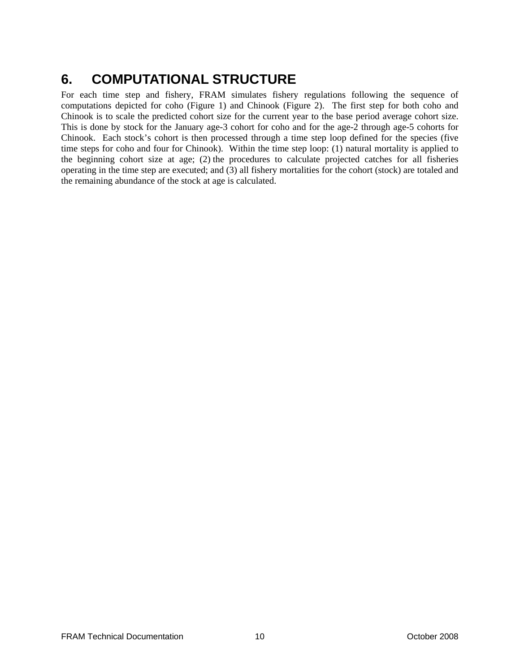# <span id="page-15-0"></span>**6. COMPUTATIONAL STRUCTURE**

For each time step and fishery, FRAM simulates fishery regulations following the sequence of computations depicted for coho (Figure 1) and Chinook (Figure 2). The first step for both coho and Chinook is to scale the predicted cohort size for the current year to the base period average cohort size. This is done by stock for the January age-3 cohort for coho and for the age-2 through age-5 cohorts for Chinook. Each stock's cohort is then processed through a time step loop defined for the species (five time steps for coho and four for Chinook). Within the time step loop: (1) natural mortality is applied to the beginning cohort size at age; (2) the procedures to calculate projected catches for all fisheries operating in the time step are executed; and (3) all fishery mortalities for the cohort (stock) are totaled and the remaining abundance of the stock at age is calculated.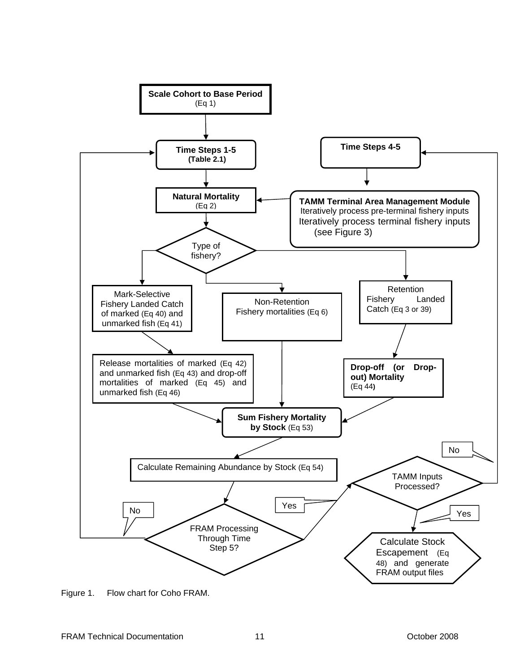<span id="page-16-0"></span>

Figure 1. Flow chart for Coho FRAM.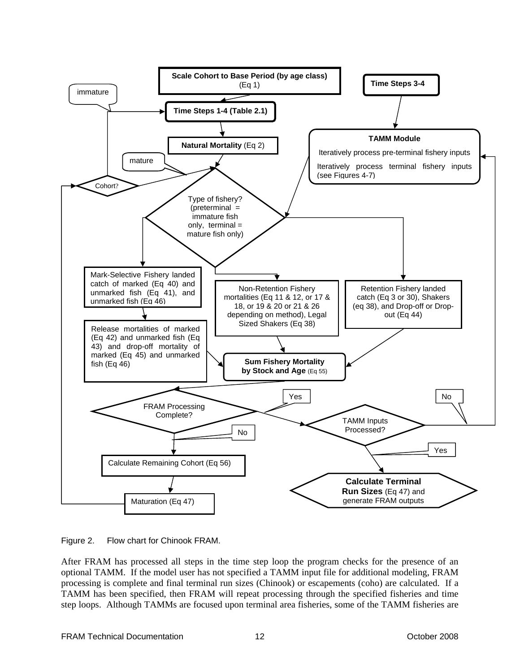<span id="page-17-0"></span>

Figure 2. Flow chart for Chinook FRAM.

After FRAM has processed all steps in the time step loop the program checks for the presence of an optional TAMM. If the model user has not specified a TAMM input file for additional modeling, FRAM processing is complete and final terminal run sizes (Chinook) or escapements (coho) are calculated. If a TAMM has been specified, then FRAM will repeat processing through the specified fisheries and time step loops. Although TAMMs are focused upon terminal area fisheries, some of the TAMM fisheries are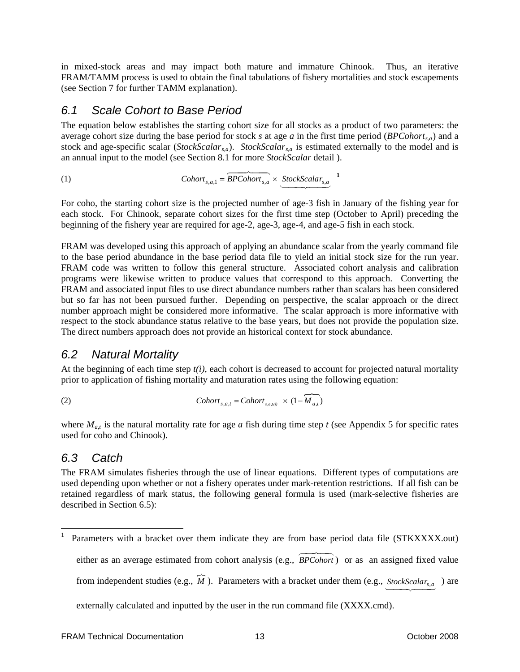<span id="page-18-0"></span>in mixed-stock areas and may impact both mature and immature Chinook. Thus, an iterative FRAM/TAMM process is used to obtain the final tabulations of fishery mortalities and stock escapements (see Section 7 for further TAMM explanation).

### *6.1 Scale Cohort to Base Period*

The equation below establishes the starting cohort size for all stocks as a product of two parameters: the average cohort size during the base period for stock *s* at age *a* in the first time period (*BPCohort<sub>s,a</sub>*) and a stock and age-specific scalar (*StockScalars,a*). *StockScalars,a* is estimated externally to the model and is an annual input to the model (see Section 8.1 for more *StockScalar* detail ).

(1) 
$$
Cohort_{s,a,1} = \underbrace{\overbrace{BPCohort_{s,a}} \times \underline{StockScalar_{s,a}}^{1}}_{\text{StockScalar}_{s,a}} \times
$$

For coho, the starting cohort size is the projected number of age-3 fish in January of the fishing year for each stock. For Chinook, separate cohort sizes for the first time step (October to April) preceding the beginning of the fishery year are required for age-2, age-3, age-4, and age-5 fish in each stock.

FRAM was developed using this approach of applying an abundance scalar from the yearly command file to the base period abundance in the base period data file to yield an initial stock size for the run year. FRAM code was written to follow this general structure. Associated cohort analysis and calibration programs were likewise written to produce values that correspond to this approach. Converting the FRAM and associated input files to use direct abundance numbers rather than scalars has been considered but so far has not been pursued further. Depending on perspective, the scalar approach or the direct number approach might be considered more informative. The scalar approach is more informative with respect to the stock abundance status relative to the base years, but does not provide the population size. The direct numbers approach does not provide an historical context for stock abundance.

### *6.2 Natural Mortality*

At the beginning of each time step  $t(i)$ , each cohort is decreased to account for projected natural mortality prior to application of fishing mortality and maturation rates using the following equation:

(2) 
$$
Cohort_{s,a,t} = Cohort_{s,a,t(i)} \times (1 - \overbrace{M_{a,t}})
$$

where  $M_{at}$  is the natural mortality rate for age *a* fish during time step *t* (see Appendix 5 for specific rates used for coho and Chinook).

### *6.3 Catch*

1

The FRAM simulates fisheries through the use of linear equations. Different types of computations are used depending upon whether or not a fishery operates under mark-retention restrictions. If all fish can be retained regardless of mark status, the following general formula is used (mark-selective fisheries are described in Section 6.5):

externally calculated and inputted by the user in the run command file (XXXX.cmd).

<sup>1</sup> Parameters with a bracket over them indicate they are from base period data file (STKXXXX.out) either as an average estimated from cohort analysis (e.g.,  $\overrightarrow{BPCohort}$ ) or as an assigned fixed value *BPCohort* -5

from independent studies (e.g., *M* ). Parameters with a bracket under them (e.g.,  $\frac{\text{StockScalar}_{s,a}}{\text{Matrices}}$ ) are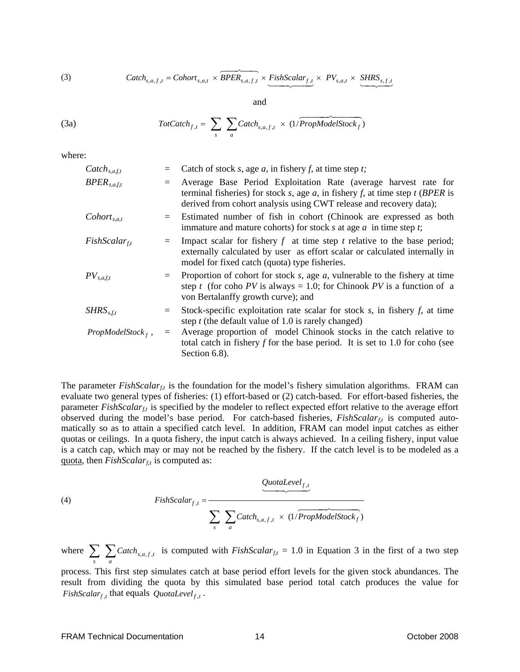(3) 
$$
Catch_{s,a,f,t} = Cohort_{s,a,t} \times \underbrace{BPER_{s,a,f,t}} \times \underbrace{FishScalar_{f,t}} \times PV_{s,a,t} \times \underbrace{SHRS_{s,f,t}} \times \underbrace{SHRS_{s,f,t}} \times \underbrace{SHRS_{s,f,t}} \times \underbrace{SHRS_{s,f,t}} \times \underbrace{SHRS_{s,f,t}} \times \underbrace{SHRS_{s,f,t}} \times \underbrace{SHRS_{s,f,t}} \times \underbrace{SHRS_{s,f,t}} \times \underbrace{SHRS_{s,f,t}} \times \underbrace{SHRS_{s,f,t}} \times \underbrace{SHRS_{s,f,t}} \times \underbrace{SHRS_{s,f,t}} \times \underbrace{SHRS_{s,f,t}} \times \underbrace{SHRS_{s,f,t}} \times \underbrace{SHRS_{s,f,t}} \times \underbrace{SHRS_{s,f,t}} \times \underbrace{SHRS_{s,f,t}} \times \underbrace{SHRS_{s,f,t}} \times \underbrace{SHRS_{s,f,t}} \times \underbrace{SHRS_{s,f,t}} \times \underbrace{SHRS_{s,f,t}} \times \underbrace{SHRS_{s,f,t}} \times \underbrace{SHRS_{s,f,t}} \times \underbrace{SHRS_{s,f,t}} \times \underbrace{SHRS_{s,f,t}} \times \underbrace{SHRS_{s,f,t}} \times \underbrace{SHRS_{s,f,t}} \times \underbrace{SHRS_{s,f,t}} \times \underbrace{SHRS_{s,f,t}} \times \underbrace{SHRS_{s,f,t}} \times \underbrace{SHRS_{s,f,t}} \times \underbrace{SHRS_{s,f,t}} \times \underbrace{SHRS_{s,f,t}} \times \underbrace{SHRS_{s,f,t}} \times \underbrace{SHRS_{s,f,t}} \times \underbrace{SHRS_{s,f,t}} \times \underbrace{SHRS_{s,f,t}} \times \underbrace{SHRS_{s,f,t}} \times \underbrace{SHRS_{s,f,t}} \times \underbrace{SHRS_{s,f,t}} \times \underbrace{SHRS_{s,f,t}} \times \underbrace{SHRS_{s,f,t}} \times \underbrace{SHRS_{s,f,t}} \times \underbrace{SHRS_{s,f,t}} \times \underbrace{SHRS_{s,f,t}} \times \underbrace{SHRS_{s,f,t}} \times \underbrace{SHRS_{s,f,t}} \times \underbrace{SHRS_{s,f,t}} \times \underbrace{SHRS_{s,f,t}} \times \underbrace{SHRS_{s,f,t}} \times \underbrace{
$$

and

(3a) 
$$
Tot Catch_{f,t} = \sum_{s} \sum_{a} Catch_{s,a,f,t} \times (1/PropModelStock_f)
$$

where:

| $\mathcal{C}atch_{s,a,f,t}$ |    | Catch of stock $s$ , age $a$ , in fishery $f$ , at time step $t$ ;                                                                                                                                                       |
|-----------------------------|----|--------------------------------------------------------------------------------------------------------------------------------------------------------------------------------------------------------------------------|
| $BPER_{s,a, f, t}$          |    | Average Base Period Exploitation Rate (average harvest rate for<br>terminal fisheries) for stock s, age a, in fishery f, at time step $t$ (BPER is<br>derived from cohort analysis using CWT release and recovery data); |
| $\textit{Cohort}_{s,a,t}$   |    | Estimated number of fish in cohort (Chinook are expressed as both<br>immature and mature cohorts) for stock $s$ at age $a$ in time step $t$ ;                                                                            |
| $FishScalar_{ft}$           |    | Impact scalar for fishery $f$ at time step $t$ relative to the base period;<br>externally calculated by user as effort scalar or calculated internally in<br>model for fixed catch (quota) type fisheries.               |
| $PV_{s,a,f,t}$              |    | Proportion of cohort for stock $s$ , age $a$ , vulnerable to the fishery at time<br>step t (for coho PV is always = 1.0; for Chinook PV is a function of a<br>von Bertalanffy growth curve); and                         |
| $SHRS_{s, f, t}$            | I. | Stock-specific exploitation rate scalar for stock $s$ , in fishery $f$ , at time<br>step $t$ (the default value of 1.0 is rarely changed)                                                                                |
| $PropModelStockf$ ,         |    | Average proportion of model Chinook stocks in the catch relative to<br>total catch in fishery $f$ for the base period. It is set to 1.0 for coho (see<br>Section 6.8).                                                   |

The parameter  $FishScalar_{ft}$  is the foundation for the model's fishery simulation algorithms. FRAM can evaluate two general types of fisheries: (1) effort-based or (2) catch-based. For effort-based fisheries, the parameter *FishScalar<sub>f,t</sub>* is specified by the modeler to reflect expected effort relative to the average effort observed during the model's base period. For catch-based fisheries, *FishScalar<sub>ft</sub>* is computed automatically so as to attain a specified catch level. In addition, FRAM can model input catches as either quotas or ceilings. In a quota fishery, the input catch is always achieved. In a ceiling fishery, input value is a catch cap, which may or may not be reached by the fishery. If the catch level is to be modeled as a quota, then  $FishScalar<sub>ft</sub>$  is computed as:

(4) 
$$
\frac{QuotaLevel_{f,t}}{\sum_{s} \sum_{a} Catch_{s,a,f,t} \times (1/PropModelStock_{f})}
$$

where  $\sum_{s} \sum_{a} \text{Catch}_{s,a,f,t}$  is computed with *FishScalar*  $s, a, f, t$ *s Catch*<sub>s,a,f,t</sub> is computed with *FishScalar<sub>f,t</sub>* = 1.0 in Equation 3 in the first of a two step

 $FishScalar<sub>f,t</sub>$  that equals  $QuotaLevel<sub>f,t</sub>$ . process. This first step simulates catch at base period effort levels for the given stock abundances. The result from dividing the quota by this simulated base period total catch produces the value for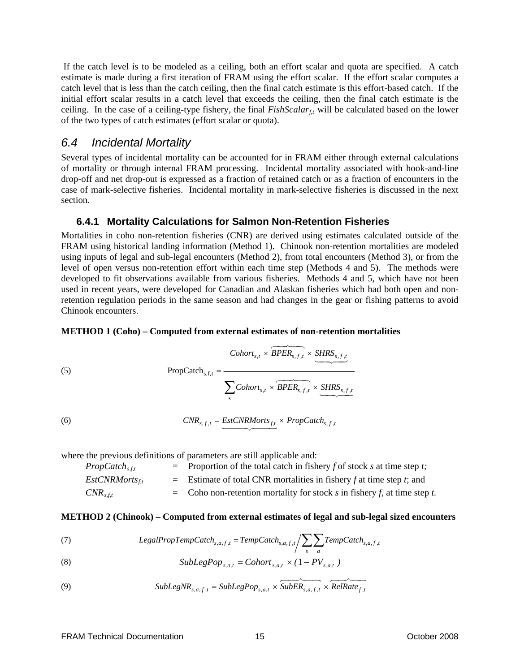<span id="page-20-0"></span> If the catch level is to be modeled as a ceiling, both an effort scalar and quota are specified. A catch estimate is made during a first iteration of FRAM using the effort scalar. If the effort scalar computes a catch level that is less than the catch ceiling, then the final catch estimate is this effort-based catch. If the initial effort scalar results in a catch level that exceeds the ceiling, then the final catch estimate is the ceiling. In the case of a ceiling-type fishery, the final  $FishScalar<sub>f<sub>t</sub></sub>$  will be calculated based on the lower of the two types of catch estimates (effort scalar or quota).

### *6.4 Incidental Mortality*

Several types of incidental mortality can be accounted for in FRAM either through external calculations of mortality or through internal FRAM processing. Incidental mortality associated with hook-and-line drop-off and net drop-out is expressed as a fraction of retained catch or as a fraction of encounters in the case of mark-selective fisheries. Incidental mortality in mark-selective fisheries is discussed in the next section.

#### **6.4.1 Mortality Calculations for Salmon Non-Retention Fisheries**

Mortalities in coho non-retention fisheries (CNR) are derived using estimates calculated outside of the FRAM using historical landing information (Method 1). Chinook non-retention mortalities are modeled using inputs of legal and sub-legal encounters (Method 2), from total encounters (Method 3), or from the level of open versus non-retention effort within each time step (Methods 4 and 5). The methods were developed to fit observations available from various fisheries. Methods 4 and 5, which have not been used in recent years, were developed for Canadian and Alaskan fisheries which had both open and nonretention regulation periods in the same season and had changes in the gear or fishing patterns to avoid Chinook encounters.

#### **METHOD 1 (Coho) – Computed from external estimates of non-retention mortalities**

(5) 
$$
\text{PropCatch}_{s,f,t} = \frac{ \overbrace{\text{Cohort}_{s,f} \times \overbrace{\text{SHER}_{s,f,t}}^{\text{Cohort}_{s,f}} \times \underbrace{\text{SHRS}_{s,f,t}}^{\text{Cohort}_{s,f}}}{\sum_{s} \text{Cohort}_{s,f} \times \overbrace{\text{BPER}_{s,f,t}}^{\text{Cohort}_{s,f} \times \overbrace{\text{SHRS}_{s,f,t}}^{\text{SHRS}_{s,f,t}}}
$$

(6) 
$$
CNR_{s,f,t} = \underbrace{EstCNRMorts_{f,t}} \times PropLatch_{s,f,t}
$$

where the previous definitions of parameters are still applicable and:

| $Prop\,(\xi_{s,t})$ | $=$ Proportion of the total catch in fishery f of stock s at time step t; |
|---------------------|---------------------------------------------------------------------------|
| $EstCNRMorts_{tt}$  | $=$ Estimate of total CNR mortalities in fishery f at time step t; and    |
| $CNR_{s,f,t}$       | = Coho non-retention mortality for stock s in fishery f, at time step t.  |

#### **METHOD 2 (Chinook) – Computed from external estimates of legal and sub-legal sized encounters**

(7) 
$$
LegendPropTempCatch_{s,a,f,t} = TempCatch_{s,a,f,t}/\sum_{s}\sum_{a}TempCatch_{s,a,f,t}
$$

(8) 
$$
\text{SubLegPop}_{s,a,t} = \text{Cohort}_{s,a,t} \times (1 - PV_{s,a,t})
$$

(9) 64748 64748 *tfas tas tfas RelRate tf SubLegNR* ,,, = *SubLegPop* ,, × *SubER* ,,, × ,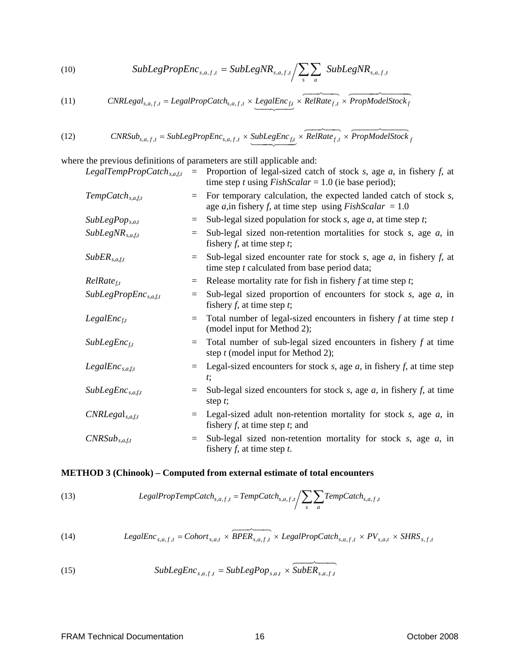(10) SubLegPropEnc<sub>s,a,f,t</sub> = SubLegNR<sub>s,a,f,t</sub>/
$$
\sum_{s}\sum_{a}
$$
 SubLegNR<sub>s,a,f,t</sub>

(11) 
$$
CNRLegal_{s,a,f,t} = LegalPropCatch_{s,a,f,t} \times \underbrace{LegalEnc_{f,t}} \times \underbrace{RelRate_{f,t}} \times \underbrace{PropModelStock_{f,t}} \times \underbrace{TopModelStock_{f,t}} \times \underbrace{TopModelStock_{f,t}} \times \underbrace{TopModelStock_{f,t}} \times \underbrace{TopModelStock_{f,t}} \times \underbrace{TopModelStock_{f,t}} \times \underbrace{TopModelStock_{f,t}} \times \underbrace{TopModelStock_{f,t}} \times \underbrace{TopModelStock_{f,t}} \times \underbrace{TopModelStock_{f,t}} \times \underbrace{TopModelStock_{f,t}} \times \underbrace{TopModelStock_{f,t}} \times \underbrace{TopModelStock_{f,t}} \times \underbrace{TopModelStock_{f,t}} \times \underbrace{TopModelStock_{f,t}} \times \underbrace{TopModelStock_{f,t}} \times \underbrace{TopModelStock_{f,t}} \times \underbrace{TopModelStock_{f,t}} \times \underbrace{TopModelStock_{f,t}} \times \underbrace{TopModelStock_{f,t}} \times \underbrace{TopModelStock_{f,t}} \times \underbrace{TopModelStock_{f,t}} \times \underbrace{TopModelStock_{f,t}} \times \underbrace{TopModelStock_{f,t}} \times \underbrace{TopModelStock_{f,t}} \times \underbrace{TopModelStock_{f,t}} \times \underbrace{TopModelStock_{f,t}} \times \underbrace{TopModelStock_{f,t}} \times \underbrace{TopModelStock_{f,t}} \times \underbrace{TopModelStock_{f,t}} \times \underbrace{TopModelStock_{f,t}} \times \underbrace{TopModelStock_{f,t}} \times \underbrace{TopModelStock_{f,t}} \times \underbrace{TopModelStock_{f,t}} \times \underbrace{TopModelStock_{f,t}} \times \underbrace{TopModelStock_{f,t}} \times \underbrace{TopModelStock_{f,t}} \times \underbrace{TopModelStock_{f,t}} \times \underbrace{TopModelStock_{f,t}} \times \underbrace{TopModelStock_{f,t}} \times \underbrace{TopModelStock_{f,t}} \times \underbrace{TopModelStock_{f,t}} \times \underbrace{TopModelStock_{f,t}} \times \underbrace{TopModelStock_{f,t}} \times \underbrace{TopModelStock_{f,t}} \times \underbrace{TopModelStock_{f,t}} \times \underbrace{TopModelStock_{f,t}} \times \underbrace{TopModelStock_{f,t}} \times \underbrace{TopModelStock_{f,t}} \times \underbrace{TopModelStock_{f,t}} \times \underbrace{TopModelSmodel} \times \underbrace{TopModelSmodel} \times \underbrace{TopModelSmodel} \times \underbrace{TopModelSmodel} \times \underbrace{TopModelSmodel} \times \underbrace
$$

(12) 
$$
CNRSub_{s,a,f,t} = SubLegPropEnc_{s,a,f,t} \times SubLegEnc_{f,t} \times \overbrace{RelRate_{f,t}}^{\text{NeIRate}} \times \overbrace{PropModelStock_{f,t}}^{\text{ProphO} } \times \overbrace{PropModelStock_{f,t}}^{\text{ProphO} } \times \overbrace{PropModelStock_{f,t}}^{\text{ProphO} } \times \overbrace{PropModelStock_{f,t}}^{\text{ProphO} } \times \overbrace{PropModelStock_{f,t}}^{\text{ProphO} } \times \overbrace{PropModelStock_{f,t}}^{\text{ProphO} } \times \overbrace{PropModelStock_{f,t}}^{\text{ProphO} } \times \overbrace{PropModelStock_{f,t}}^{\text{ProphO} } \times \overbrace{PropModelStock_{f,t}}^{\text{ProphO} } \times \overbrace{PropModelStock_{f,t}}^{\text{ProphO} } \times \overbrace{PropModelStock_{f,t}}^{\text{ProphO} } \times \overbrace{PropModelStock_{f,t}}^{\text{ProphO} } \times \overbrace{PropModelStock_{f,t}}^{\text{ProphO} } \times \overbrace{PropModelStock_{f,t}}^{\text{ProphO} } \times \overbrace{PropModelStock_{f,t}}^{\text{ProphO} } \times \overbrace{PropModelStock_{f,t}}^{\text{ProphO} } \times \overbrace{PropModelStock_{f,t}}^{\text{ProphO} } \times \overbrace{PropModelStock_{f,t}}^{\text{ProphO} } \times \overbrace{PropModelStock_{f,t}}^{\text{ProphO} } \times \overbrace{PropModelStock_{f,t}}^{\text{ProphO} } \times \overbrace{PropModelStock_{f,t}}^{\text{ProphO} } \times \overbrace{PropModelStock_{f,t}}^{\text{ProphO} } \times \overbrace{PropModelStock_{f,t}}^{\text{ProphO} } \times \overbrace{PropModelStock_{f,t}}^{\text{ProphO} } \times \overbrace{PropModelStock_{f,t}}^{\text{ProphO} } \times \overbrace{PropModelStock_{f,t}}^{\text{ProphO} } \times \overbrace{PropModelStock_{f,t}}^{\text{ProphO} } \times \overbrace{PropModelStock_{f,t}}^{\text{ProphO} } \times \overbrace{PropModelStock_{f,t}}^{\text{ProphO} } \times \overbrace{PropModelStock_{f,t}}^{\text{ProphO} } \times \overbrace{PropModelStock_{f,t}}^{\text{ProphO} } \times \overbrace{PropModelStock_{f,t}}^{\text{ProphO} } \times
$$

where the previous definitions of parameters are still applicable and:

| LegalTempPropCatch <sub>s,a,f,t</sub> | $=$ | Proportion of legal-sized catch of stock s, age $a$ , in fishery $f$ , at<br>time step t using $FishScalar = 1.0$ (ie base period); |
|---------------------------------------|-----|-------------------------------------------------------------------------------------------------------------------------------------|
| $TempCatch_{s,a, f,t}$                | $=$ | For temporary calculation, the expected landed catch of stock s,<br>age a, in fishery f, at time step using $FishScalar = 1.0$      |
| $SubLegPop_{s,a,t}$                   | $=$ | Sub-legal sized population for stock $s$ , age $a$ , at time step $t$ ;                                                             |
| $SubLegNR_{s,a,f,t}$                  | $=$ | Sub-legal sized non-retention mortalities for stock $s$ , age $a$ , in<br>fishery $f$ , at time step $t$ ;                          |
| $SubER_{s,a,f,t}$                     | $=$ | Sub-legal sized encounter rate for stock s, age $a$ , in fishery $f$ , at<br>time step t calculated from base period data;          |
| $RelRate_{f,t}$                       | $=$ | Release mortality rate for fish in fishery $f$ at time step $t$ ;                                                                   |
| SubLegPropEnc <sub>s, a, f, t</sub>   | $=$ | Sub-legal sized proportion of encounters for stock $s$ , age $a$ , in<br>fishery $f$ , at time step $t$ ;                           |
| LegalEnc <sub>ft</sub>                | $=$ | Total number of legal-sized encounters in fishery $f$ at time step $t$<br>(model input for Method 2);                               |
| $SubLegEnc_{ft}$                      | $=$ | Total number of sub-legal sized encounters in fishery $f$ at time<br>step $t$ (model input for Method 2);                           |
| $LegendEnc_{s,a,f,t}$                 | $=$ | Legal-sized encounters for stock $s$ , age $a$ , in fishery $f$ , at time step<br>$t$ ;                                             |
| $SubLegEnc_{s,a,f,t}$                 |     | Sub-legal sized encounters for stock $s$ , age $a$ , in fishery $f$ , at time<br>step $t$ ;                                         |
| $CNRLegal_{s,a, f, t}$                | $=$ | Legal-sized adult non-retention mortality for stock $s$ , age $a$ , in<br>fishery $f$ , at time step $t$ ; and                      |
| $CNRSub_{s,a,f,t}$                    | $=$ | Sub-legal sized non-retention mortality for stock $s$ , age $a$ , in<br>fishery $f$ , at time step $t$ .                            |

### **METHOD 3 (Chinook) – Computed from external estimate of total encounters**

(13) 
$$
LegendPropTempCatch_{s,a,f,t} = TempCatch_{s,a,f,t}/\sum_{s}\sum_{a}TempCatch_{s,a,f,t}
$$

(14) 
$$
Legendre_{s,a,f,t} = Cohort_{s,a,t} \times \overbrace{BPER_{s,a,f,t}}^{\sim} \times \text{Legendre} \times \text{Coker}_{s,a,f,t} \times PV_{s,a,t} \times SHRS_{s,f,t}
$$

(15) 
$$
\text{SubLegEnc}_{s,a,f,t} = \text{SubLegPop}_{s,a,t} \times \text{SubER}_{s,a,f,t}
$$

 $\sim$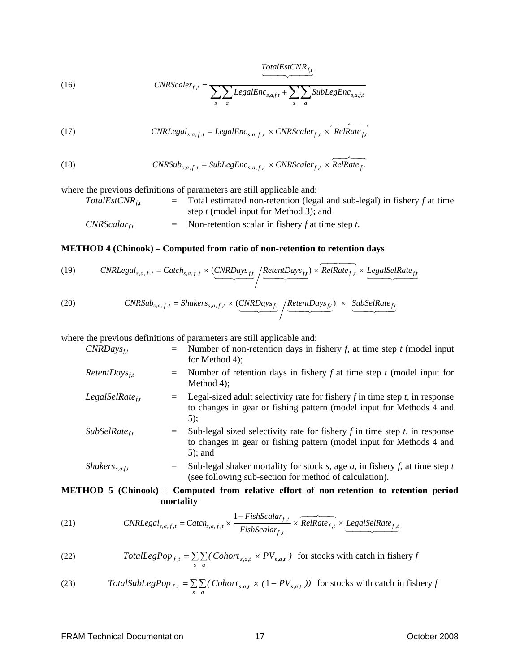*f,t TotalEstCNR* 14 24 4 34

(16) 
$$
CNRScalar_{f,t} = \frac{}{\sum_{s} \sum_{a} LegendEnc_{s,a,f,t} + \sum_{s} \sum_{a} SubLegEnc_{s,a,f,t}}
$$

(17) 
$$
CNRLegal_{s,a,f,t} = LegalEnc_{s,a,f,t} \times CNRScale_{f,t} \times RelRate_{f,t}
$$

(18) 
$$
CNRSub_{s,a,f,t} = SubLegEnc_{s,a,f,t} \times CNRScale_{f,t} \times \widehat{RelRate_{f,t}}
$$

where the previous definitions of parameters are still applicable and:

 $TotalEstCNR<sub>ft</sub>$  = Total estimated non-retention (legal and sub-legal) in fishery *f* at time step *t* (model input for Method 3); and  $CNRScalar_{ft}$  = Non-retention scalar in fishery *f* at time step *t*.

#### **METHOD 4 (Chinook) – Computed from ratio of non-retention to retention days**

(19) CNR
$$
CNR
$$
Legal_{s,a,f,t} = \text{Catch}_{s,a,f,t} \times \underbrace{(CNR
$$
Days_{ft}}_{f,t} / \underbrace{Retent}{Days_{ft}}) \times \underbrace{RelRate_{f,t}}_{f,t} \times \underbrace{LegalselRate_{ft}}_{f,t}
$$
$$
$$

(20) 
$$
CNRSub_{s,a,f,t} = Shakers_{s,a,f,t} \times (CNRDays_{ft} / {RetentDays_{ft} \over \sqrt{2\pi} / {2\pi} / {2\pi} / {2\pi} / {2\pi} / {2\pi} / {2\pi} / {2\pi} / {2\pi} / {2\pi} / {2\pi} / {2\pi} / {2\pi} / {2\pi} / {2\pi} / {2\pi} / {2\pi} / {2\pi} / {2\pi} / {2\pi} / {2\pi} / {2\pi} / {2\pi} / {2\pi} / {2\pi} / {2\pi} / {2\pi} / {2\pi} / {2\pi} / {2\pi} / {2\pi} / {2\pi} / {2\pi} / {2\pi} / {2\pi} / {2\pi} / {2\pi} / {2\pi} / {2\pi} / {2\pi} / {2\pi} / {2\pi} / {2\pi} / {2\pi} / {2\pi} / {2\pi} / {2\pi} / {2\pi} / {2\pi} / {2\pi} / {2\pi} / {2\pi} / {2\pi} / {2\pi} / {2\pi} / {2\pi} / {2\pi} / {2\pi} / {2\pi} / {2\pi} / {2\pi} / {2\pi} / {2\pi} / {2\pi} / {2\pi} / {2\pi} / {2\pi} / {2\pi} / {2\pi} / {2\pi} / {2\pi} / {2\pi} / {2\pi} / {2\pi} / {2\pi} / {2\pi} / {2\pi} / {2\pi} / {2\pi} / {2\pi} / {2\pi} / {2\pi} / {2\pi} / {2\pi} / {2\pi} / {2\pi} / {2\pi} / {2\pi} / {2\pi} / {2\pi} / {2\pi} / {2\pi} / {2\pi} / {2\pi} / {2\pi} / {2\pi} / {2\pi} / {2\pi} / {2\pi} / {2\pi} / {2\pi} / {2\pi} / {2\pi} / {2\pi} / {2\pi} / {2\pi} / {2\pi} / {2\pi} / {2\pi} / {2\pi} / {2\pi} / {2\pi} / {2\pi} / {2\pi} / {2\pi} / {2\pi} / {2\pi} / {2\pi} / {2\pi} /
$$

where the previous definitions of parameters are still applicable and:

| $CNRDays_{ft}$                    |     | $=$ Number of non-retention days in fishery f, at time step t (model input<br>for Method 4);                                                                         |
|-----------------------------------|-----|----------------------------------------------------------------------------------------------------------------------------------------------------------------------|
| $Retent$ Days <sub>f,t</sub>      |     | $=$ Number of retention days in fishery f at time step t (model input for<br>Method $4$ );                                                                           |
| $LegalSelRate_{t}$                |     | Legal-sized adult selectivity rate for fishery $f$ in time step $t$ , in response<br>to changes in gear or fishing pattern (model input for Methods 4 and<br>$5)$ :  |
| $SubSelRate_{ft}$                 |     | Sub-legal sized selectivity rate for fishery $f$ in time step $t$ , in response<br>to changes in gear or fishing pattern (model input for Methods 4 and<br>$5$ ; and |
| <i>Shakers</i> <sub>s,a,f,t</sub> | $=$ | Sub-legal shaker mortality for stock s, age $a$ , in fishery $f$ , at time step $t$<br>(see following sub-section for method of calculation).                        |

#### **METHOD 5 (Chinook) – Computed from relative effort of non-retention to retention period mortality**

(21) 
$$
CNRLegal_{s,a,f,t} = Catch_{s,a,f,t} \times \frac{1 - FishScalar_{f,t}}{FishScalar_{f,t}} \times \underbrace{RelRate_{f,t}}_{f,t} \times \underbrace{LegalselRate_{f,t}}_{\text{1}}
$$

(22) 
$$
TotalLegPop_{f,t} = \sum_{s} \sum_{a} (Cohort_{s,a,t} \times PV_{s,a,t})
$$
 for stocks with catch in fishery f

(23) 
$$
TotalSubLegPop_{f,t} = \sum_{s} \sum_{a} (Cohort_{s,a,t} \times (1 - PV_{s,a,t}))
$$
 for stocks with catch in fishery f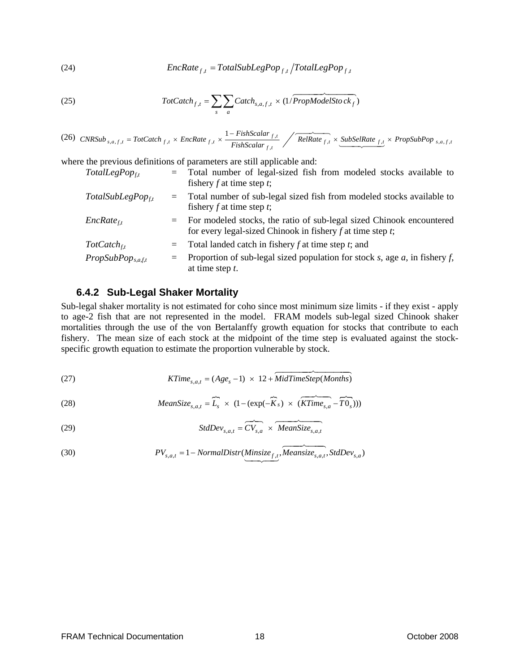<span id="page-23-0"></span>(24) 
$$
EncRate_{f,t} = TotalSubLegPop_{f,t}/TotalLegPop_{f,t}
$$

(25) 
$$
Tot Catch_{f,t} = \sum_{s} \sum_{a} Catch_{s,a,f,t} \times (1/PropModelStock_f)
$$

(26) CNRSub<sub>s,a,f,t</sub> = TotCatch<sub>f,t</sub> × EncRate<sub>f,t</sub> × 
$$
\frac{1 - FishScalar_{f,t}}{FishScalar_{f,t}}
$$
 / RelRate<sub>f,t</sub> × SubSelRate<sub>f,t</sub> × PropSubPop<sub>s,a,f,t</sub>

where the previous definitions of parameters are still applicable and:

| $TotalLegPop_{ft}$      | $=$ | Total number of legal-sized fish from modeled stocks available to<br>fishery $f$ at time step $t$ ;                                         |  |
|-------------------------|-----|---------------------------------------------------------------------------------------------------------------------------------------------|--|
| $TotalSubLegPop_{ft}$   | $=$ | Total number of sub-legal sized fish from modeled stocks available to<br>fishery $f$ at time step $t$ ;                                     |  |
| $EncRate_{ft}$          |     | $=$ For modeled stocks, the ratio of sub-legal sized Chinook encountered<br>for every legal-sized Chinook in fishery $f$ at time step $t$ ; |  |
| $Tot Catch_{ft}$        | $=$ | Total landed catch in fishery $f$ at time step $t$ ; and                                                                                    |  |
| $PropSubPop_{s,a, f,t}$ |     | Proportion of sub-legal sized population for stock s, age $a$ , in fishery f,<br>at time step $t$ .                                         |  |

#### **6.4.2 Sub-Legal Shaker Mortality**

Sub-legal shaker mortality is not estimated for coho since most minimum size limits - if they exist - apply to age-2 fish that are not represented in the model. FRAM models sub-legal sized Chinook shaker mortalities through the use of the von Bertalanffy growth equation for stocks that contribute to each fishery. The mean size of each stock at the midpoint of the time step is evaluated against the stockspecific growth equation to estimate the proportion vulnerable by stock.

(27) 
$$
KTime_{s,a,t} = (Age_s - 1) \times 12 + \overbrace{MidTimeStep(Months)}
$$

(28) 
$$
MeanSize_{s,a,t} = \widehat{L_s} \times (1 - (exp(-\widehat{K}_s) \times (\widehat{KTime_{s,a}} - \widehat{T0_s})))
$$

(29) 
$$
StdDev_{s,a,t} = \overbrace{CV_{s,a}} \times \overbrace{MeanSize_{s,a,t}}
$$

(30) 
$$
PV_{s,a,t} = 1 - NormalDistr(\underbrace{Minsize_{f,t}}_{\text{maxize}_{f,t}}, \underbrace{Neansize_{s,a,t}}_{\text{maxize}_{s,a,t}}, \text{StdDev}_{s,a})
$$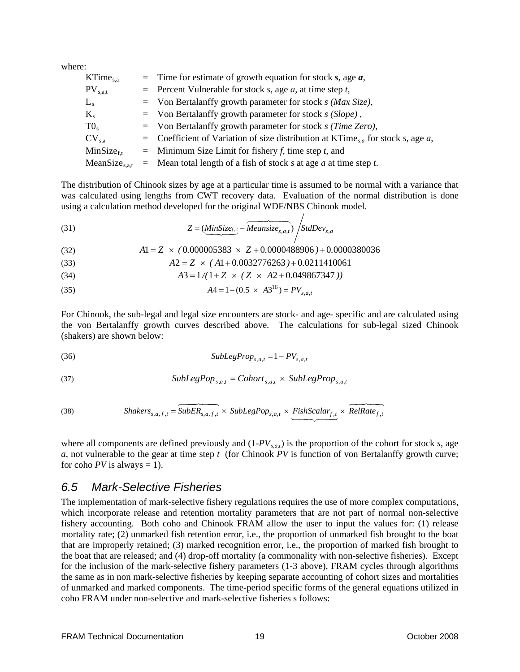<span id="page-24-0"></span>where:

| $KTime_{s,a}$       | $=$ Time for estimate of growth equation for stock s, age a,                                      |
|---------------------|---------------------------------------------------------------------------------------------------|
| $PV_{s,a,t}$        | $=$ Percent Vulnerable for stock s, age a, at time step t,                                        |
| $L_{s}$             | $=$ Von Bertalanffy growth parameter for stock s (Max Size),                                      |
| $K_{s}$             | $=$ Von Bertalanffy growth parameter for stock s (Slope),                                         |
| $T0_s$              | $=$ Von Bertalanffy growth parameter for stock s (Time Zero),                                     |
| $CV_{s.a}$          | $\alpha$ Coefficient of Variation of size distribution at KTime <sub>sa</sub> for stock s, age a, |
| $MinSize_{ft}$      | $=$ Minimum Size Limit for fishery f, time step t, and                                            |
| $MeanSize_{s.a.t.}$ | $=$ Mean total length of a fish of stock s at age a at time step t.                               |

The distribution of Chinook sizes by age at a particular time is assumed to be normal with a variance that was calculated using lengths from CWT recovery data. Evaluation of the normal distribution is done using a calculation method developed for the original WDF/NBS Chinook model.

(31) 
$$
Z = (\underbrace{MinSize_{f,i}} - \underbrace{Meansize_{s,a,i}}) / StdDev_{s,a}
$$

 $A1 = Z \times (0.000005383 \times Z + 0.0000488906) + 0.0000380036$ 

- (33)  $A2 = Z \times (A1 + 0.0032776263) + 0.0211410061$
- (34)  $A3 = 1/(1+Z \times (Z \times A2 + 0.049867347))$
- (35)  $A4 = 1 (0.5 \times A3^{16}) = PV_{s,a,t}$

For Chinook, the sub-legal and legal size encounters are stock- and age- specific and are calculated using the von Bertalanffy growth curves described above. The calculations for sub-legal sized Chinook (shakers) are shown below:

$$
(36) \tSubLegProp_{s,a,t} = 1 - PV_{s,a,t}
$$

$$
(37) \tSubLegPop_{s,a,t} = Cohort_{s,a,t} \times SubLegProp_{s,a,t}
$$

(38) 
$$
Shakers_{s,a,f,t} = \underbrace{\overbrace{SubER_{s,a,f,t}} \times SubLegPop_{s,a,t} \times \underbrace{FishScalar_{f,t}} \times RelRate_{f,t}} \times \underbrace{\overbrace{RelRate_{f,t}} \times \overbrace{RelRate_{f,t}} \times \overbrace{RelRate_{f,t}} \times \overbrace{RelRate_{f,t}} \times \overbrace{RelRate_{f,t}} \times \overbrace{RelRate_{f,t}} \times \overbrace{RelRate_{f,t}} \times \overbrace{RelRate_{f,t}} \times \overbrace{RelRate_{f,t}} \times \overbrace{RelRate_{f,t}} \times \overbrace{RelRate_{f,t}} \times \overbrace{RelRate_{f,t}} \times \overbrace{RelRate_{f,t}} \times \overbrace{RelRate_{f,t}} \times \overbrace{RelRate_{f,t}} \times \overbrace{RelRate_{f,t}} \times \overbrace{RelRate_{f,t}} \times \overbrace{RelRate_{f,t}} \times \overbrace{RelRate_{f,t}} \times \overbrace{RelRate_{f,t}} \times \overbrace{RelRate_{f,t}} \times \overbrace{RelRate_{f,t}} \times \overbrace{RelRate_{f,t}} \times \overbrace{RelRate_{f,t}} \times \overbrace{RelRate_{f,t}} \times \overbrace{RelRate_{f,t}} \times \overbrace{RelRate_{f,t}} \times \overbrace{RelRate_{f,t}} \times \overbrace{RelRate_{f,t}} \times \overbrace{RelRate_{f,t}} \times \overbrace{RelRate_{f,t}} \times \overbrace{RelRate_{f,t}} \times \overbrace{RelRate_{f,t}} \times \overbrace{RelRate_{f,t}} \times \overbrace{RelRate_{f,t}} \times \overbrace{RelRate_{f,t}} \times \overbrace{RelRate_{f,t}} \times \overbrace{RelRate_{f,t}} \times \overbrace{RelRate_{f,t}} \times \overbrace{RelRate_{f,t}} \times \overbrace{RelRate_{f,t}} \times \overbrace{RelRate_{f,t}} \times \overbrace{RelRate_{f,t}} \times \overbrace{RelRate_{f,t}} \times \overbrace{RelRate_{f,t}} \times \overbrace{RelRate_{f,t}} \times \overbrace{RelRate_{f,t}} \times \overbrace{RelRate_{f,t}} \times \overbrace{RelRate_{f,t}} \times \overbrace{RelRate_{f,t}} \times \overbrace{RelRate_{f,t}} \times \overbrace{RelRate_{f,t}} \times \overbrace{RelRate_{f,t}} \times \overbrace{RelRate_{f,t}} \times \overbrace{RelRate_{f,t}} \times \overbrace{RelRate_{f,t}} \times \overbrace{RelRate_{f,t}} \times \overbrace{RelRate_{f,t}} \
$$

where all components are defined previously and  $(1-PV_{s,a,t})$  is the proportion of the cohort for stock *s*, age *a*, not vulnerable to the gear at time step *t* (for Chinook *PV* is function of von Bertalanffy growth curve; for coho  $PV$  is always = 1).

### *6.5 Mark-Selective Fisheries*

The implementation of mark-selective fishery regulations requires the use of more complex computations, which incorporate release and retention mortality parameters that are not part of normal non-selective fishery accounting. Both coho and Chinook FRAM allow the user to input the values for: (1) release mortality rate; (2) unmarked fish retention error, i.e., the proportion of unmarked fish brought to the boat that are improperly retained; (3) marked recognition error, i.e., the proportion of marked fish brought to the boat that are released; and (4) drop-off mortality (a commonality with non-selective fisheries). Except for the inclusion of the mark-selective fishery parameters (1-3 above), FRAM cycles through algorithms the same as in non mark-selective fisheries by keeping separate accounting of cohort sizes and mortalities of unmarked and marked components. The time-period specific forms of the general equations utilized in coho FRAM under non-selective and mark-selective fisheries s follows: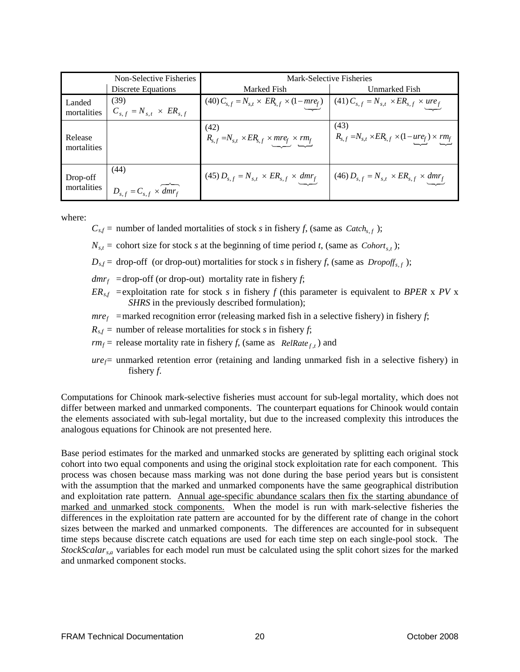|                         | Non-Selective Fisheries                            | Mark-Selective Fisheries                                                                                        |                                                                          |  |
|-------------------------|----------------------------------------------------|-----------------------------------------------------------------------------------------------------------------|--------------------------------------------------------------------------|--|
|                         | Discrete Equations                                 | Marked Fish                                                                                                     | Unmarked Fish                                                            |  |
| Landed<br>mortalities   | (39)<br>$C_{s,f} = N_{s,t} \times ER_{s,f}$        | (40) $C_{s,f} = N_{s,t} \times ER_{s,f} \times (1-mre_f)$ (41) $C_{s,f} = N_{s,t} \times ER_{s,f} \times ure_f$ |                                                                          |  |
| Release<br>mortalities  |                                                    | (42)<br>$R_{s,f} = N_{s,t} \times ER_{s,f} \times mreg \times rm_f$                                             | (43)<br>$R_{s,f} = N_{s,t} \times ER_{s,f} \times (1-ure_f) \times rm_f$ |  |
| Drop-off<br>mortalities | (44)<br>$D_{s,f} = C_{s,f} \times \widehat{dmr_f}$ | (45) $D_{s,f} = N_{s,t} \times ER_{s,f} \times dmr_{f}$                                                         | $(46) D_{s,f} = N_{s,t} \times ER_{s,f} \times dmr_{f}$                  |  |

where:

 $C_{s,f}$  = number of landed mortalities of stock *s* in fishery *f*, (same as  $\text{Cache}_{s,f}$ );

 $N_{s,t}$  = cohort size for stock *s* at the beginning of time period *t*, (same as  $Cohort_{s,t}$ );

 $D_{sf}$  = drop-off (or drop-out) mortalities for stock *s* in fishery *f*, (same as  $Dropoff_{s,f}$ );

 $dmr_f$  =drop-off (or drop-out) mortality rate in fishery *f*;

 $ER_{sf}$  = exploitation rate for stock *s* in fishery *f* (this parameter is equivalent to *BPER* x *PV* x *SHRS* in the previously described formulation);

 $mref$  = marked recognition error (releasing marked fish in a selective fishery) in fishery *f*;

 $R_{sf}$  = number of release mortalities for stock *s* in fishery *f*;

- $rm_f$  = release mortality rate in fishery *f*, (same as  $ReIRate_{f,t}$ ) and
- $ure_f$  unmarked retention error (retaining and landing unmarked fish in a selective fishery) in fishery *f*.

Computations for Chinook mark-selective fisheries must account for sub-legal mortality, which does not differ between marked and unmarked components. The counterpart equations for Chinook would contain the elements associated with sub-legal mortality, but due to the increased complexity this introduces the analogous equations for Chinook are not presented here.

Base period estimates for the marked and unmarked stocks are generated by splitting each original stock cohort into two equal components and using the original stock exploitation rate for each component. This process was chosen because mass marking was not done during the base period years but is consistent with the assumption that the marked and unmarked components have the same geographical distribution and exploitation rate pattern. Annual age-specific abundance scalars then fix the starting abundance of marked and unmarked stock components. When the model is run with mark-selective fisheries the differences in the exploitation rate pattern are accounted for by the different rate of change in the cohort sizes between the marked and unmarked components. The differences are accounted for in subsequent time steps because discrete catch equations are used for each time step on each single-pool stock. The *StockScalars,a* variables for each model run must be calculated using the split cohort sizes for the marked and unmarked component stocks.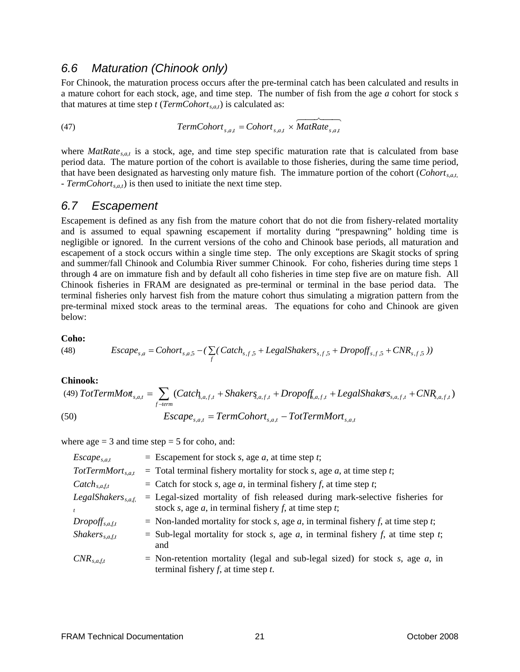### <span id="page-26-0"></span>*6.6 Maturation (Chinook only)*

For Chinook, the maturation process occurs after the pre-terminal catch has been calculated and results in a mature cohort for each stock, age, and time step. The number of fish from the age *a* cohort for stock *s* that matures at time step  $t$  (*TermCohort<sub>s,a,t</sub>*) is calculated as:

(47) 
$$
TermColor_{s,a,t} = Cohort_{s,a,t} \times \overbrace{MatRate_{s,a,t}}
$$

where  $\textit{Math}_\textit{sat}$  is a stock, age, and time step specific maturation rate that is calculated from base period data. The mature portion of the cohort is available to those fisheries, during the same time period, that have been designated as harvesting only mature fish. The immature portion of the cohort (*Cohorts,a,t,* - *TermCohort<sub>s,a,t</sub>*) is then used to initiate the next time step.

### *6.7 Escapement*

Escapement is defined as any fish from the mature cohort that do not die from fishery-related mortality and is assumed to equal spawning escapement if mortality during "prespawning" holding time is negligible or ignored. In the current versions of the coho and Chinook base periods, all maturation and escapement of a stock occurs within a single time step. The only exceptions are Skagit stocks of spring and summer/fall Chinook and Columbia River summer Chinook. For coho, fisheries during time steps 1 through 4 are on immature fish and by default all coho fisheries in time step five are on mature fish. All Chinook fisheries in FRAM are designated as pre-terminal or terminal in the base period data. The terminal fisheries only harvest fish from the mature cohort thus simulating a migration pattern from the pre-terminal mixed stock areas to the terminal areas. The equations for coho and Chinook are given below:

#### **Coho:**

(48) 
$$
Escape_{s,a} = Cohort_{s,a,5} - (\sum_{f} (Catch_{s,f,5} + LegalShakers_{s,f,5} + Dropoff_{s,f,5} + CNR_{s,f,5}))
$$

#### **Chinook:**

(49) 
$$
TotTermMot_{s,a,t} = \sum_{f-term} (Catch_{s,a,f,t} + Shakers_{s,a,f,t} + Dropoff_{s,a,f,t} + LegalShakers_{s,a,f,t} + CNR_{s,a,f,t})
$$
  
(50)  $Escape_{s,a,t} = TermColor_{s,a,t} - TotTermMort_{s,a,t}$ 

where  $age = 3$  and time step = 5 for coho, and:

| $\mathit{Escape}_{s,a,t}$               | $=$ Escapement for stock s, age a, at time step t;                                                                                                |
|-----------------------------------------|---------------------------------------------------------------------------------------------------------------------------------------------------|
| $TotTermMort_{s.a.t.}$                  | $=$ Total terminal fishery mortality for stock s, age a, at time step t;                                                                          |
| $\mathcal{C}atch_{s.a.f.t.}$            | = Catch for stock s, age a, in terminal fishery f, at time step t;                                                                                |
| $LegalShakers_{s.a.f.}$<br>$\mathbf{t}$ | $=$ Legal-sized mortality of fish released during mark-selective fisheries for<br>stock s, age $a$ , in terminal fishery $f$ , at time step $t$ ; |
| $Dropoff_{s,a, f,t}$                    | = Non-landed mortality for stock s, age a, in terminal fishery f, at time step t;                                                                 |
| $Shakers_{s.a.f.t.}$                    | = Sub-legal mortality for stock s, age a, in terminal fishery f, at time step t;<br>and                                                           |
| $CNR_{s.a.f.t.}$                        | = Non-retention mortality (legal and sub-legal sized) for stock s, age a, in<br>terminal fishery $f$ , at time step $t$ .                         |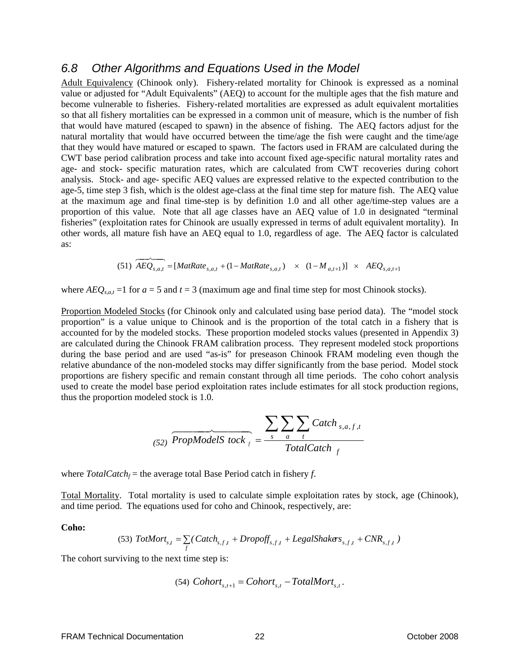### <span id="page-27-0"></span>*6.8 Other Algorithms and Equations Used in the Model*

Adult Equivalency (Chinook only). Fishery-related mortality for Chinook is expressed as a nominal value or adjusted for "Adult Equivalents" (AEQ) to account for the multiple ages that the fish mature and become vulnerable to fisheries. Fishery-related mortalities are expressed as adult equivalent mortalities so that all fishery mortalities can be expressed in a common unit of measure, which is the number of fish that would have matured (escaped to spawn) in the absence of fishing. The AEQ factors adjust for the natural mortality that would have occurred between the time/age the fish were caught and the time/age that they would have matured or escaped to spawn. The factors used in FRAM are calculated during the CWT base period calibration process and take into account fixed age-specific natural mortality rates and age- and stock- specific maturation rates, which are calculated from CWT recoveries during cohort analysis. Stock- and age- specific AEQ values are expressed relative to the expected contribution to the age-5, time step 3 fish, which is the oldest age-class at the final time step for mature fish. The AEQ value at the maximum age and final time-step is by definition 1.0 and all other age/time-step values are a proportion of this value. Note that all age classes have an AEQ value of 1.0 in designated "terminal fisheries" (exploitation rates for Chinook are usually expressed in terms of adult equivalent mortality). In other words, all mature fish have an AEQ equal to 1.0, regardless of age. The AEQ factor is calculated as:

$$
(51) \ \widetilde{AEQ}_{s,a,t} = [MatRate_{s,a,t} + (1 - MatRate_{s,a,t}) \times (1 - M_{a,t+1})] \times AEQ_{s,a,t+1}
$$

where  $AEO_{s,at}$  =1 for  $a = 5$  and  $t = 3$  (maximum age and final time step for most Chinook stocks).

Proportion Modeled Stocks (for Chinook only and calculated using base period data). The "model stock proportion" is a value unique to Chinook and is the proportion of the total catch in a fishery that is accounted for by the modeled stocks. These proportion modeled stocks values (presented in Appendix 3) are calculated during the Chinook FRAM calibration process. They represent modeled stock proportions during the base period and are used "as-is" for preseason Chinook FRAM modeling even though the relative abundance of the non-modeled stocks may differ significantly from the base period. Model stock proportions are fishery specific and remain constant through all time periods. The coho cohort analysis used to create the model base period exploitation rates include estimates for all stock production regions, thus the proportion modeled stock is 1.0.

$$
\underbrace{52}_{(52)} \underbrace{ProofedS}_{\text{1}} \underbrace{F}{\overbrace{10}_{s} \underbrace{10}_{t} \sum_{t} \sum_{t} \text{Catch}_{s,a,f,t}}_{\text{TotalCatch}_{f}}
$$

where  $Total Catch_f$  = the average total Base Period catch in fishery *f*.

Total Mortality. Total mortality is used to calculate simple exploitation rates by stock, age (Chinook), and time period. The equations used for coho and Chinook, respectively, are:

**Coho:** 

(53) 
$$
TotMort_{s,t} = \sum_{f} (Catch_{s,f,t} + Dropoff_{s,f,t} + LegalShakers_{s,f,t} + CNR_{s,f,t})
$$

The cohort surviving to the next time step is:

(54) 
$$
Cohort_{s,t+1} = Cohort_{s,t} - TotalMort_{s,t}
$$
.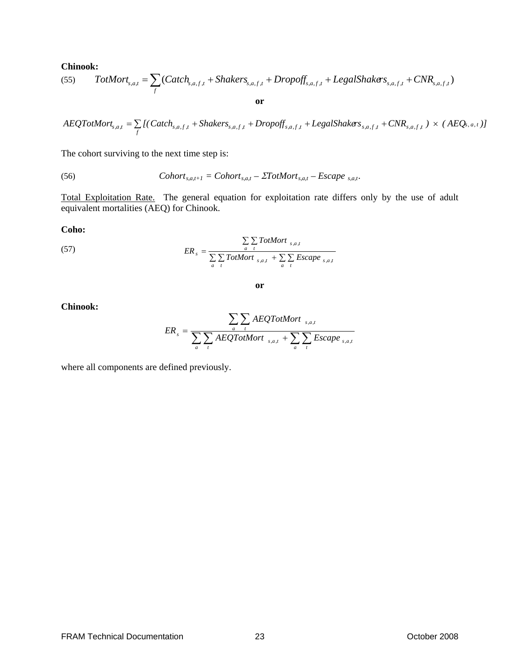#### **Chinook:**

(55) 
$$
TotMort_{s,a,t} = \sum_{f} (Catch_{s,a,f,t} + Shakers_{s,a,f,t} + Dropoff_{s,a,f,t} + LegalShakers_{s,a,f,t} + CNR_{s,a,f,t})
$$

$$
A EQTotMort_{s,a,t} = \sum_{f} [(Catch_{s,a,f,t} + Shakers_{s,a,f,t} + Dropoff_{s,a,f,t} + LegalShakers_{s,a,f,t} + CNR_{s,a,f,t}) \times (A EQ_{s,a,t})]
$$

The cohort surviving to the next time step is:

(56) 
$$
Cohort_{s,a,t+1} = Cohort_{s,a,t} - \Sigma TotMort_{s,a,t} - Escape_{s,a,t}.
$$

Total Exploitation Rate. The general equation for exploitation rate differs only by the use of adult equivalent mortalities (AEQ) for Chinook.

#### **Coho:**

(57) 
$$
ER_s = \frac{\sum\limits_{a} \sum\limits_{t} \text{TotMort }_{s,a,t}}{\sum\limits_{a} \sum\limits_{t} \text{TotMort }_{s,a,t} + \sum\limits_{a} \sum\limits_{t} \text{Escape }_{s,a,t}}
$$

$$
\overline{\text{or}}
$$

#### **Chinook:**

$$
ER_s = \frac{\sum_{a} \sum_{t} AEQTotMort_{s,a,t}}{\sum_{a} \sum_{t} AEQTotMort_{s,a,t} + \sum_{a} \sum_{t} Escape_{s,a,t}}
$$

where all components are defined previously.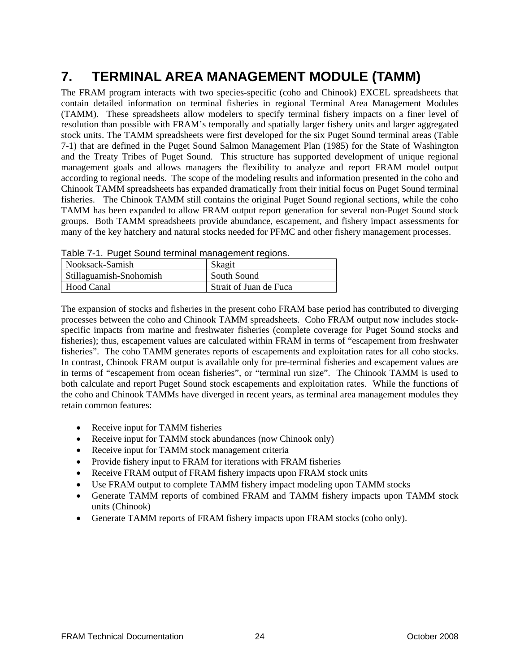# <span id="page-29-0"></span>**7. TERMINAL AREA MANAGEMENT MODULE (TAMM)**

The FRAM program interacts with two species-specific (coho and Chinook) EXCEL spreadsheets that contain detailed information on terminal fisheries in regional Terminal Area Management Modules (TAMM). These spreadsheets allow modelers to specify terminal fishery impacts on a finer level of resolution than possible with FRAM's temporally and spatially larger fishery units and larger aggregated stock units. The TAMM spreadsheets were first developed for the six Puget Sound terminal areas (Table 7-1) that are defined in the Puget Sound Salmon Management Plan (1985) for the State of Washington and the Treaty Tribes of Puget Sound. This structure has supported development of unique regional management goals and allows managers the flexibility to analyze and report FRAM model output according to regional needs. The scope of the modeling results and information presented in the coho and Chinook TAMM spreadsheets has expanded dramatically from their initial focus on Puget Sound terminal fisheries. The Chinook TAMM still contains the original Puget Sound regional sections, while the coho TAMM has been expanded to allow FRAM output report generation for several non-Puget Sound stock groups. Both TAMM spreadsheets provide abundance, escapement, and fishery impact assessments for many of the key hatchery and natural stocks needed for PFMC and other fishery management processes.

| <u>rapid T. I. Fagot Obaha tommiai managomont rogiono.</u> |                        |  |  |
|------------------------------------------------------------|------------------------|--|--|
| Nooksack-Samish                                            | Skagit                 |  |  |
| Stillaguamish-Snohomish                                    | South Sound            |  |  |
| Hood Canal                                                 | Strait of Juan de Fuca |  |  |

| Table 7-1. Puget Sound terminal management regions. |  |
|-----------------------------------------------------|--|
|-----------------------------------------------------|--|

The expansion of stocks and fisheries in the present coho FRAM base period has contributed to diverging processes between the coho and Chinook TAMM spreadsheets. Coho FRAM output now includes stockspecific impacts from marine and freshwater fisheries (complete coverage for Puget Sound stocks and fisheries); thus, escapement values are calculated within FRAM in terms of "escapement from freshwater fisheries". The coho TAMM generates reports of escapements and exploitation rates for all coho stocks. In contrast, Chinook FRAM output is available only for pre-terminal fisheries and escapement values are in terms of "escapement from ocean fisheries", or "terminal run size". The Chinook TAMM is used to both calculate and report Puget Sound stock escapements and exploitation rates. While the functions of the coho and Chinook TAMMs have diverged in recent years, as terminal area management modules they retain common features:

- Receive input for TAMM fisheries
- Receive input for TAMM stock abundances (now Chinook only)
- Receive input for TAMM stock management criteria
- Provide fishery input to FRAM for iterations with FRAM fisheries
- Receive FRAM output of FRAM fishery impacts upon FRAM stock units
- Use FRAM output to complete TAMM fishery impact modeling upon TAMM stocks
- Generate TAMM reports of combined FRAM and TAMM fishery impacts upon TAMM stock units (Chinook)
- Generate TAMM reports of FRAM fishery impacts upon FRAM stocks (coho only).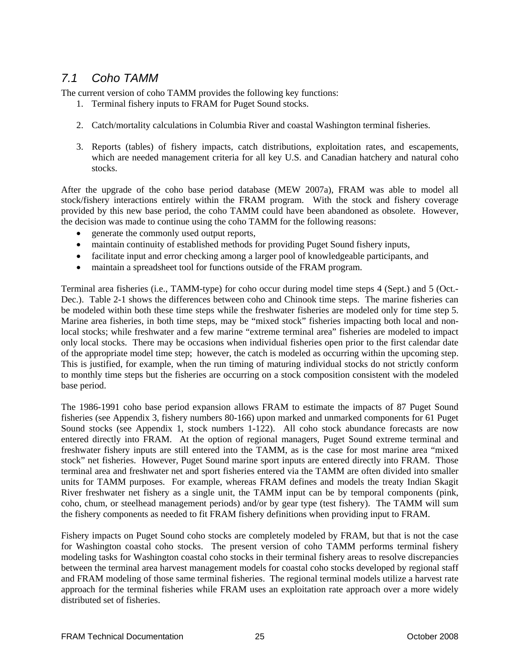# <span id="page-30-0"></span>*7.1 Coho TAMM*

The current version of coho TAMM provides the following key functions:

- 1. Terminal fishery inputs to FRAM for Puget Sound stocks.
- 2. Catch/mortality calculations in Columbia River and coastal Washington terminal fisheries.
- 3. Reports (tables) of fishery impacts, catch distributions, exploitation rates, and escapements, which are needed management criteria for all key U.S. and Canadian hatchery and natural coho stocks.

After the upgrade of the coho base period database (MEW 2007a), FRAM was able to model all stock/fishery interactions entirely within the FRAM program. With the stock and fishery coverage provided by this new base period, the coho TAMM could have been abandoned as obsolete. However, the decision was made to continue using the coho TAMM for the following reasons:

- generate the commonly used output reports,
- maintain continuity of established methods for providing Puget Sound fishery inputs,
- facilitate input and error checking among a larger pool of knowledgeable participants, and
- maintain a spreadsheet tool for functions outside of the FRAM program.

Terminal area fisheries (i.e., TAMM-type) for coho occur during model time steps 4 (Sept.) and 5 (Oct.- Dec.). Table 2-1 shows the differences between coho and Chinook time steps. The marine fisheries can be modeled within both these time steps while the freshwater fisheries are modeled only for time step 5. Marine area fisheries, in both time steps, may be "mixed stock" fisheries impacting both local and nonlocal stocks; while freshwater and a few marine "extreme terminal area" fisheries are modeled to impact only local stocks. There may be occasions when individual fisheries open prior to the first calendar date of the appropriate model time step; however, the catch is modeled as occurring within the upcoming step. This is justified, for example, when the run timing of maturing individual stocks do not strictly conform to monthly time steps but the fisheries are occurring on a stock composition consistent with the modeled base period.

The 1986-1991 coho base period expansion allows FRAM to estimate the impacts of 87 Puget Sound fisheries (see Appendix 3, fishery numbers 80-166) upon marked and unmarked components for 61 Puget Sound stocks (see Appendix 1, stock numbers 1-122). All coho stock abundance forecasts are now entered directly into FRAM. At the option of regional managers, Puget Sound extreme terminal and freshwater fishery inputs are still entered into the TAMM, as is the case for most marine area "mixed stock" net fisheries. However, Puget Sound marine sport inputs are entered directly into FRAM. Those terminal area and freshwater net and sport fisheries entered via the TAMM are often divided into smaller units for TAMM purposes. For example, whereas FRAM defines and models the treaty Indian Skagit River freshwater net fishery as a single unit, the TAMM input can be by temporal components (pink, coho, chum, or steelhead management periods) and/or by gear type (test fishery). The TAMM will sum the fishery components as needed to fit FRAM fishery definitions when providing input to FRAM.

Fishery impacts on Puget Sound coho stocks are completely modeled by FRAM, but that is not the case for Washington coastal coho stocks. The present version of coho TAMM performs terminal fishery modeling tasks for Washington coastal coho stocks in their terminal fishery areas to resolve discrepancies between the terminal area harvest management models for coastal coho stocks developed by regional staff and FRAM modeling of those same terminal fisheries. The regional terminal models utilize a harvest rate approach for the terminal fisheries while FRAM uses an exploitation rate approach over a more widely distributed set of fisheries.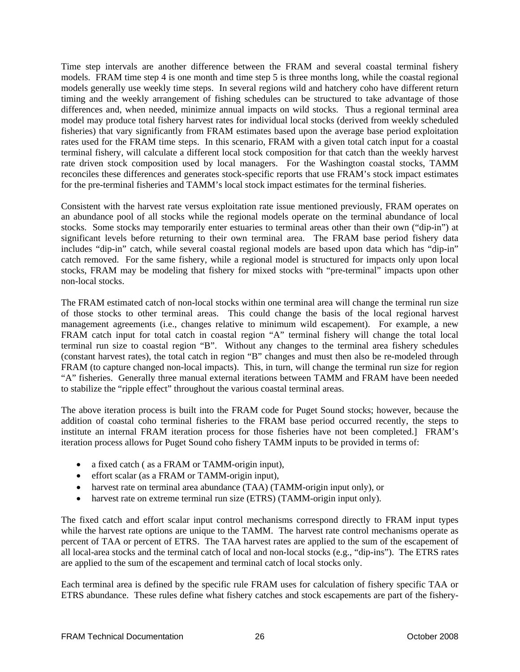Time step intervals are another difference between the FRAM and several coastal terminal fishery models. FRAM time step 4 is one month and time step 5 is three months long, while the coastal regional models generally use weekly time steps. In several regions wild and hatchery coho have different return timing and the weekly arrangement of fishing schedules can be structured to take advantage of those differences and, when needed, minimize annual impacts on wild stocks. Thus a regional terminal area model may produce total fishery harvest rates for individual local stocks (derived from weekly scheduled fisheries) that vary significantly from FRAM estimates based upon the average base period exploitation rates used for the FRAM time steps. In this scenario, FRAM with a given total catch input for a coastal terminal fishery, will calculate a different local stock composition for that catch than the weekly harvest rate driven stock composition used by local managers. For the Washington coastal stocks, TAMM reconciles these differences and generates stock-specific reports that use FRAM's stock impact estimates for the pre-terminal fisheries and TAMM's local stock impact estimates for the terminal fisheries.

Consistent with the harvest rate versus exploitation rate issue mentioned previously, FRAM operates on an abundance pool of all stocks while the regional models operate on the terminal abundance of local stocks. Some stocks may temporarily enter estuaries to terminal areas other than their own ("dip-in") at significant levels before returning to their own terminal area. The FRAM base period fishery data includes "dip-in" catch, while several coastal regional models are based upon data which has "dip-in" catch removed. For the same fishery, while a regional model is structured for impacts only upon local stocks, FRAM may be modeling that fishery for mixed stocks with "pre-terminal" impacts upon other non-local stocks.

The FRAM estimated catch of non-local stocks within one terminal area will change the terminal run size of those stocks to other terminal areas. This could change the basis of the local regional harvest management agreements (i.e., changes relative to minimum wild escapement). For example, a new FRAM catch input for total catch in coastal region "A" terminal fishery will change the total local terminal run size to coastal region "B". Without any changes to the terminal area fishery schedules (constant harvest rates), the total catch in region "B" changes and must then also be re-modeled through FRAM (to capture changed non-local impacts). This, in turn, will change the terminal run size for region "A" fisheries. Generally three manual external iterations between TAMM and FRAM have been needed to stabilize the "ripple effect" throughout the various coastal terminal areas.

The above iteration process is built into the FRAM code for Puget Sound stocks; however, because the addition of coastal coho terminal fisheries to the FRAM base period occurred recently, the steps to institute an internal FRAM iteration process for those fisheries have not been completed.] FRAM's iteration process allows for Puget Sound coho fishery TAMM inputs to be provided in terms of:

- a fixed catch (as a FRAM or TAMM-origin input),
- effort scalar (as a FRAM or TAMM-origin input),
- harvest rate on terminal area abundance (TAA) (TAMM-origin input only), or
- harvest rate on extreme terminal run size (ETRS) (TAMM-origin input only).

The fixed catch and effort scalar input control mechanisms correspond directly to FRAM input types while the harvest rate options are unique to the TAMM. The harvest rate control mechanisms operate as percent of TAA or percent of ETRS. The TAA harvest rates are applied to the sum of the escapement of all local-area stocks and the terminal catch of local and non-local stocks (e.g., "dip-ins"). The ETRS rates are applied to the sum of the escapement and terminal catch of local stocks only.

Each terminal area is defined by the specific rule FRAM uses for calculation of fishery specific TAA or ETRS abundance. These rules define what fishery catches and stock escapements are part of the fishery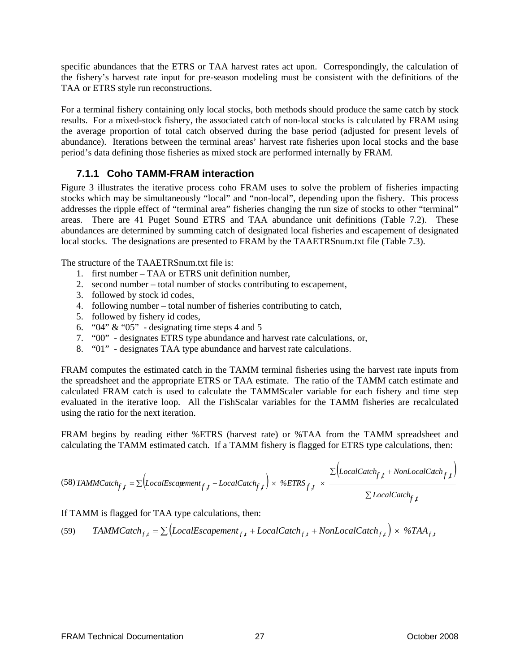<span id="page-32-0"></span>specific abundances that the ETRS or TAA harvest rates act upon. Correspondingly, the calculation of the fishery's harvest rate input for pre-season modeling must be consistent with the definitions of the TAA or ETRS style run reconstructions.

For a terminal fishery containing only local stocks, both methods should produce the same catch by stock results. For a mixed-stock fishery, the associated catch of non-local stocks is calculated by FRAM using the average proportion of total catch observed during the base period (adjusted for present levels of abundance). Iterations between the terminal areas' harvest rate fisheries upon local stocks and the base period's data defining those fisheries as mixed stock are performed internally by FRAM.

### **7.1.1 Coho TAMM-FRAM interaction**

Figure 3 illustrates the iterative process coho FRAM uses to solve the problem of fisheries impacting stocks which may be simultaneously "local" and "non-local", depending upon the fishery. This process addresses the ripple effect of "terminal area" fisheries changing the run size of stocks to other "terminal" areas. There are 41 Puget Sound ETRS and TAA abundance unit definitions (Table 7.2). These abundances are determined by summing catch of designated local fisheries and escapement of designated local stocks. The designations are presented to FRAM by the TAAETRSnum.txt file (Table 7.3).

The structure of the TAAETRSnum.txt file is:

- 1. first number TAA or ETRS unit definition number,
- 2. second number total number of stocks contributing to escapement,
- 3. followed by stock id codes,
- 4. following number total number of fisheries contributing to catch,
- 5. followed by fishery id codes,
- 6. " $04$ " & " $05$ " designating time steps 4 and 5
- 7. "00" designates ETRS type abundance and harvest rate calculations, or,
- 8. "01" designates TAA type abundance and harvest rate calculations.

FRAM computes the estimated catch in the TAMM terminal fisheries using the harvest rate inputs from the spreadsheet and the appropriate ETRS or TAA estimate. The ratio of the TAMM catch estimate and calculated FRAM catch is used to calculate the TAMMScaler variable for each fishery and time step evaluated in the iterative loop. All the FishScalar variables for the TAMM fisheries are recalculated using the ratio for the next iteration.

FRAM begins by reading either %ETRS (harvest rate) or %TAA from the TAMM spreadsheet and calculating the TAMM estimated catch. If a TAMM fishery is flagged for ETRS type calculations, then:

$$
(58) TAMMCatch_{f,t} = \sum \Big(LocalEscajement_{f,t} + LocalCatch_{f,t}\Big) \times \% ETRS_{f,t} \times \frac{\sum \Big(LocalCatch_{f,t} + NonLocalCatch_{f,t}\Big)}{\sum LocalCatch_{f,t}}
$$

If TAMM is flagged for TAA type calculations, then:

(59)  $TAMMCatch_{f,t} = \sum (LocalEscapement_{f,t} + LocalCatch_{f,t} + NonLocalCatch_{f,t}) \times \%TAA_{f,t}$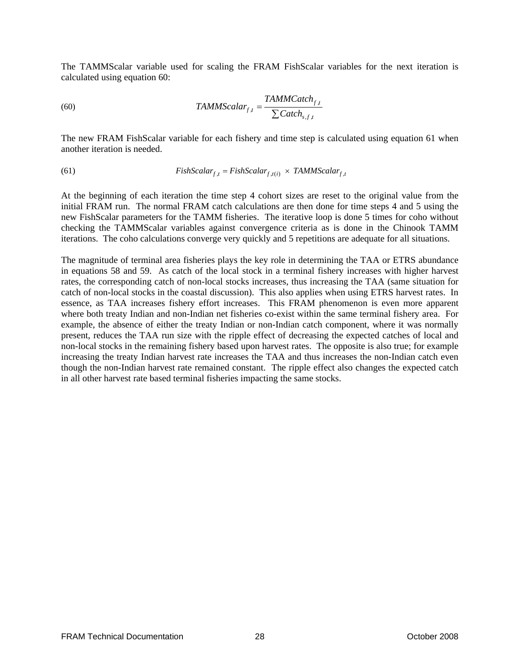The TAMMScalar variable used for scaling the FRAM FishScalar variables for the next iteration is calculated using equation 60:

(60) 
$$
TAMMScalar_{f,t} = \frac{TAMMCatch_{f,t}}{\sum Catch_{s,f,t}}
$$

The new FRAM FishScalar variable for each fishery and time step is calculated using equation 61 when another iteration is needed.

(61) 
$$
FishScalar_{f,t} = FishScalar_{f,t(i)} \times TAMMScalar_{f,t}
$$

At the beginning of each iteration the time step 4 cohort sizes are reset to the original value from the initial FRAM run. The normal FRAM catch calculations are then done for time steps 4 and 5 using the new FishScalar parameters for the TAMM fisheries. The iterative loop is done 5 times for coho without checking the TAMMScalar variables against convergence criteria as is done in the Chinook TAMM iterations. The coho calculations converge very quickly and 5 repetitions are adequate for all situations.

The magnitude of terminal area fisheries plays the key role in determining the TAA or ETRS abundance in equations 58 and 59. As catch of the local stock in a terminal fishery increases with higher harvest rates, the corresponding catch of non-local stocks increases, thus increasing the TAA (same situation for catch of non-local stocks in the coastal discussion). This also applies when using ETRS harvest rates. In essence, as TAA increases fishery effort increases. This FRAM phenomenon is even more apparent where both treaty Indian and non-Indian net fisheries co-exist within the same terminal fishery area. For example, the absence of either the treaty Indian or non-Indian catch component, where it was normally present, reduces the TAA run size with the ripple effect of decreasing the expected catches of local and non-local stocks in the remaining fishery based upon harvest rates. The opposite is also true; for example increasing the treaty Indian harvest rate increases the TAA and thus increases the non-Indian catch even though the non-Indian harvest rate remained constant. The ripple effect also changes the expected catch in all other harvest rate based terminal fisheries impacting the same stocks.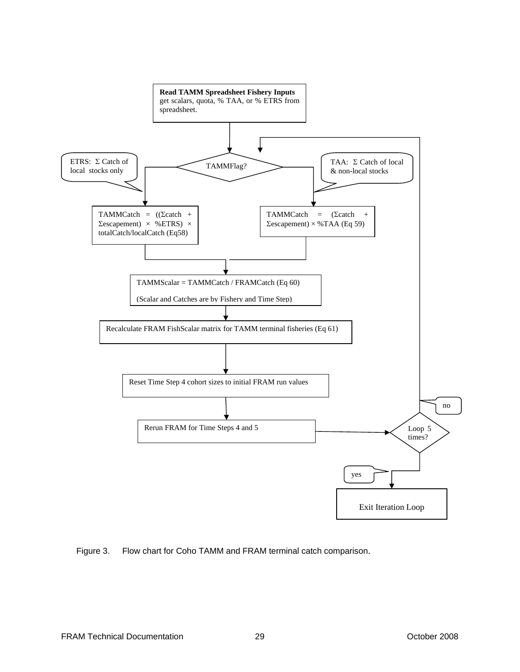<span id="page-34-0"></span>

Figure 3. Flow chart for Coho TAMM and FRAM terminal catch comparison.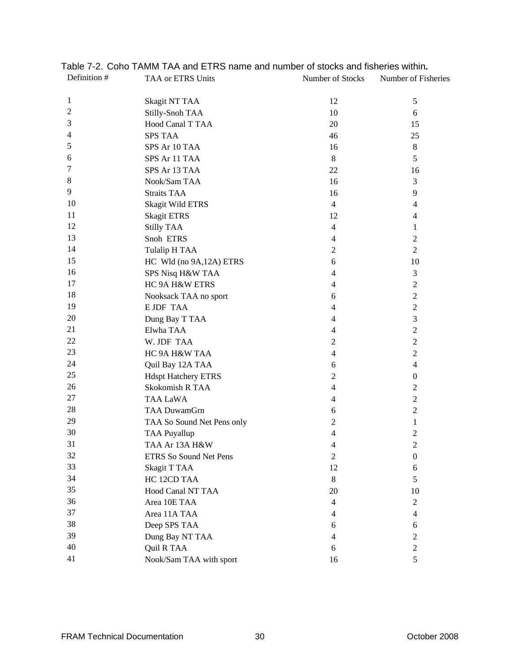| Definition #   | TAA or ETRS Units          | Number of Stocks | Number of Fisheries |
|----------------|----------------------------|------------------|---------------------|
| 1              | <b>Skagit NT TAA</b>       | 12               | 5                   |
| $\overline{2}$ | Stilly-Snoh TAA            | 10               | 6                   |
| 3              | Hood Canal T TAA           | 20               | 15                  |
| 4              | <b>SPS TAA</b>             | 46               | 25                  |
| 5              | SPS Ar 10 TAA              | 16               | $8\,$               |
| 6              | SPS Ar 11 TAA              | 8                | 5                   |
| 7              | SPS Ar 13 TAA              | 22               | 16                  |
| 8              | Nook/Sam TAA               | 16               | 3                   |
| 9              | <b>Straits TAA</b>         | 16               | 9                   |
| 10             | <b>Skagit Wild ETRS</b>    | $\overline{4}$   | $\overline{4}$      |
| 11             | <b>Skagit ETRS</b>         | 12               | $\overline{4}$      |
| 12             | <b>Stilly TAA</b>          | $\overline{4}$   | 1                   |
| 13             | Snoh ETRS                  | $\overline{4}$   | $\overline{2}$      |
| 14             | Tulalip H TAA              | $\overline{2}$   | $\overline{2}$      |
| 15             | HC Wld (no 9A, 12A) ETRS   | 6                | 10                  |
| 16             | SPS Nisq H&W TAA           | $\overline{4}$   | 3                   |
| 17             | HC 9A H&W ETRS             | $\overline{4}$   | $\sqrt{2}$          |
| 18             | Nooksack TAA no sport      | 6                | $\overline{c}$      |
| 19             | <b>E JDF TAA</b>           | 4                | $\mathbf{2}$        |
| 20             | Dung Bay T TAA             | $\overline{4}$   | 3                   |
| 21             | Elwha TAA                  | $\overline{4}$   | $\sqrt{2}$          |
| 22             | W. JDF TAA                 | $\overline{2}$   | $\mathbf{2}$        |
| 23             | HC 9A H&W TAA              | $\overline{4}$   | $\sqrt{2}$          |
| 24             | Quil Bay 12A TAA           | 6                | $\overline{4}$      |
| 25             | <b>Hdspt Hatchery ETRS</b> | $\overline{2}$   | $\boldsymbol{0}$    |
| 26             | Skokomish R TAA            | $\overline{4}$   | $\overline{c}$      |
| 27             | <b>TAA LaWA</b>            | $\overline{4}$   | $\mathbf{2}$        |
| 28             | <b>TAA DuwamGrn</b>        | 6                | $\overline{c}$      |
| 29             | TAA So Sound Net Pens only | $\overline{2}$   | $\mathbf{1}$        |
| 30             | <b>TAA Puyallup</b>        | 4                | $\overline{c}$      |
| 31             | TAA Ar 13A H&W             | 4                | $\overline{2}$      |
| 32             | ETRS So Sound Net Pens     | $\overline{c}$   | $\boldsymbol{0}$    |
| 33             | Skagit T TAA               | 12               | 6                   |
| 34             | HC 12CD TAA                | $8\,$            | 5                   |
| 35             | Hood Canal NT TAA          | 20               | 10                  |
| 36             | Area 10E TAA               | $\overline{4}$   | $\overline{2}$      |
| 37             | Area 11A TAA               | $\overline{4}$   | $\overline{4}$      |
| 38             | Deep SPS TAA               | 6                | 6                   |
| 39             | Dung Bay NT TAA            | $\overline{4}$   | $\overline{2}$      |
| 40             | Quil R TAA                 | 6                | $\overline{c}$      |
| 41             | Nook/Sam TAA with sport    | 16               | 5                   |
|                |                            |                  |                     |

### <span id="page-35-0"></span>Table 7-2. Coho TAMM TAA and ETRS name and number of stocks and fisheries within**.**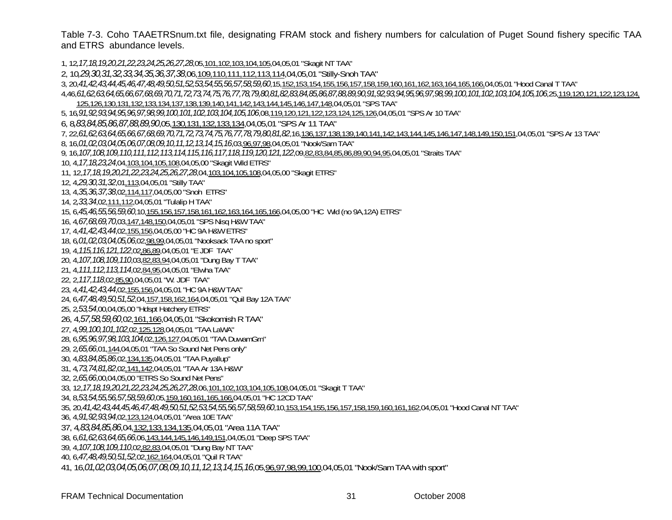Table 7-3. Coho TAAETRSnum.txt file, designating FRAM stock and fishery numbers for calculation of Puget Sound fishery specific TAA and ETRS abundance levels.

1, 12*,17,18,19,20,21,22,23,24,25,26,27,28*,05,101,102,103,104,105,04,05,01 "Skagit NT TAA" 2, 10*,29,30,31,32,33,34,35,36,37,38*,06,109,110,111,112,113,114,04,05,01 "Stilly-Snoh TAA" 3, 20,*41,42,43,44,45,46,47,48,49,50,51,52,53,54,55,56,57,58,59,60*,15,152,153,154,155,156,157,158,159,160,161,162,163,164,165,166,04,05,01 "Hood Canal T TAA" 4,46,*61,62,63,64,65,66,67,68,69,70,71,72,73,74,75,76,77,78,79,80,81,82,83,84,85,86,87,88,89,90,91,92,93,94,95,96,97,98,99,100,101,102,103,104,105,106*,25,119,120,121,122,123,124, 125,126,130,131,132,133,134,137,138,139,140,141,142,143,144,145,146,147,148,04,05,01 "SPS TAA" 5, 16*,91,92,93,94,95,96,97,98,99,100,101,102,103,104,105,106*,08,119,120,121,122,123,124,125,126,04,05,01 "SPS Ar 10 TAA" 6, 8*,83,84,85,86,87,88,89,90*,05,130,131,132,133,134,04,05,01 "SPS Ar 11 TAA" 7, 22,*61,62,63,64,65,66,67,68,69,70,71,72,73,74,75,76,77,78,79,80,81,82*,16,136,137,138,139,140,141,142,143,144,145,146,147,148,149,150,151,04,05,01 "SPS Ar 13 TAA" 8, 16,*01,02,03,04,05,06,07,08,09,10,11,12,13,14,15,16*,03,96,97,98,04,05,01 "Nook/Sam TAA" 9, 16,*107,108,109,110,111,112,113,114,115,116,117,118,119,120,121,122*,09,82,83,84,85,86,89,90,94,95,04,05,01 "Straits TAA" 10, 4,*17,18,23,24*,04,103,104,105,108,04,05,00 "Skagit Wild ETRS" 11, 12,*17,18,19,20,21,22,23,24,25,26,27,28*,04,103,104,105,108,04,05,00 "Skagit ETRS" 12, 4,*29,30,31,32*,01,113,04,05,01 "Stilly TAA" 13, 4,*35,36,37,38*,02,114,117,04,05,00 "Snoh ETRS" 14, 2*,33,34*,02,111,112,04,05,01 "Tulalip H TAA" 15, 6,*45,46,55,56,59,60*,10,155,156,157,158,161,162,163,164,165,166,04,05,00 "HC Wld (no 9A,12A) ETRS" 16, 4*,67,68,69,70*,03,147,148,150,04,05,01 "SPS Nisq H&W TAA" 17, 4,*41,42,43,44*,02,155,156,04,05,00 "HC 9A H&W ETRS" 18, 6*,01,02,03,04,05,06*,02,98,99,04,05,01 "Nooksack TAA no sport" 19, 4,*115,116,121,122*,02,86,89,04,05,01 "E JDF TAA" 20, 4,*107,108,109,110*,03,82,83,94,04,05,01 "Dung Bay T TAA" 21, 4,*111,112,113,114*,02,84,95,04,05,01 "Elwha TAA" 22, 2,*117,118*,02,85,90,04,05,01 "W. JDF TAA" 23, 4,*41,42,43,44*,02,155,156,04,05,01 "HC 9A H&W TAA" 24, 6,*47,48,49,50,51,52*,04,157,158,162,164,04,05,01 "Quil Bay 12A TAA" 25, 2*,53,54*,00,04,05,00 "Hdspt Hatchery ETRS" 26, 4,*57,58,59,60*,02,161,166,04,05,01 "Skokomish R TAA" 27, 4*,99,100,101,102*,02,125,128,04,05,01 "TAA LaWA" 28, 6,*95,96,97,98,103,104*,02,126,127,04,05,01 "TAA DuwamGrn" 29, 2*,65,66*,01,144,04,05,01 "TAA So Sound Net Pens only" 30, 4,*83,84,85,86*,02,134,135,04,05,01 "TAA Puyallup" 31, 4*,73,74,81,82*,02,141,142,04,05,01 "TAA Ar 13A H&W" 32, 2,*65,66*,00,04,05,00 "ETRS So Sound Net Pens" 33, 12,*17,18,19,20,21,22,23,24,25,26,27,28*,06,101,102,103,104,105,108,04,05,01 "Skagit T TAA" 34, 8,*53,54,55,56,57,58,59,60*,05,159,160,161,165,166,04,05,01 "HC 12CD TAA" 35, 20,*41,42,43,44,45,46,47,48,49,50,51,52,53,54,55,56,57,58,59,60*,10,153,154,155,156,157,158,159,160,161,162,04,05,01 "Hood Canal NT TAA" 36, 4,*91,92,93,94*,02,123,124,04,05,01 "Area 10E TAA" 37, 4*,83,84,85,86*,04,132,133,134,135,04,05,01 "Area 11A TAA" 38, 6,*61,62,63,64,65,66*,06,143,144,145,146,149,151,04,05,01 "Deep SPS TAA" 39, 4,*107,108,109,110*,02,82,83,04,05,01 "Dung Bay NT TAA" 40, 6,*47,48,49,50,51,52*,02,162,164,04,05,01 "Quil R TAA" 41, 16,*01,02,03,04,05,06,07,08,09,10,11,12,13,14,15,16*,05,96,97,98,99,100,04,05,01 "Nook/Sam TAA with sport"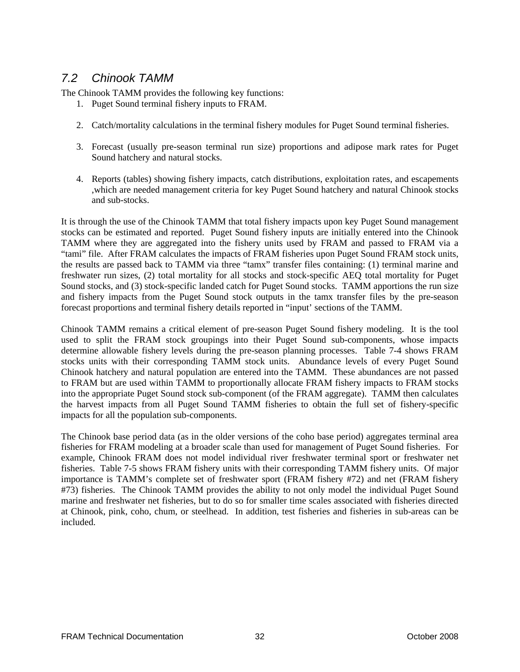### *7.2 Chinook TAMM*

The Chinook TAMM provides the following key functions:

- 1. Puget Sound terminal fishery inputs to FRAM.
- 2. Catch/mortality calculations in the terminal fishery modules for Puget Sound terminal fisheries.
- 3. Forecast (usually pre-season terminal run size) proportions and adipose mark rates for Puget Sound hatchery and natural stocks.
- 4. Reports (tables) showing fishery impacts, catch distributions, exploitation rates, and escapements ,which are needed management criteria for key Puget Sound hatchery and natural Chinook stocks and sub-stocks.

It is through the use of the Chinook TAMM that total fishery impacts upon key Puget Sound management stocks can be estimated and reported. Puget Sound fishery inputs are initially entered into the Chinook TAMM where they are aggregated into the fishery units used by FRAM and passed to FRAM via a "tami" file. After FRAM calculates the impacts of FRAM fisheries upon Puget Sound FRAM stock units, the results are passed back to TAMM via three "tamx" transfer files containing: (1) terminal marine and freshwater run sizes, (2) total mortality for all stocks and stock-specific AEQ total mortality for Puget Sound stocks, and (3) stock-specific landed catch for Puget Sound stocks. TAMM apportions the run size and fishery impacts from the Puget Sound stock outputs in the tamx transfer files by the pre-season forecast proportions and terminal fishery details reported in "input' sections of the TAMM.

Chinook TAMM remains a critical element of pre-season Puget Sound fishery modeling. It is the tool used to split the FRAM stock groupings into their Puget Sound sub-components, whose impacts determine allowable fishery levels during the pre-season planning processes. Table 7-4 shows FRAM stocks units with their corresponding TAMM stock units. Abundance levels of every Puget Sound Chinook hatchery and natural population are entered into the TAMM. These abundances are not passed to FRAM but are used within TAMM to proportionally allocate FRAM fishery impacts to FRAM stocks into the appropriate Puget Sound stock sub-component (of the FRAM aggregate). TAMM then calculates the harvest impacts from all Puget Sound TAMM fisheries to obtain the full set of fishery-specific impacts for all the population sub-components.

The Chinook base period data (as in the older versions of the coho base period) aggregates terminal area fisheries for FRAM modeling at a broader scale than used for management of Puget Sound fisheries. For example, Chinook FRAM does not model individual river freshwater terminal sport or freshwater net fisheries. Table 7-5 shows FRAM fishery units with their corresponding TAMM fishery units. Of major importance is TAMM's complete set of freshwater sport (FRAM fishery #72) and net (FRAM fishery #73) fisheries. The Chinook TAMM provides the ability to not only model the individual Puget Sound marine and freshwater net fisheries, but to do so for smaller time scales associated with fisheries directed at Chinook, pink, coho, chum, or steelhead. In addition, test fisheries and fisheries in sub-areas can be included.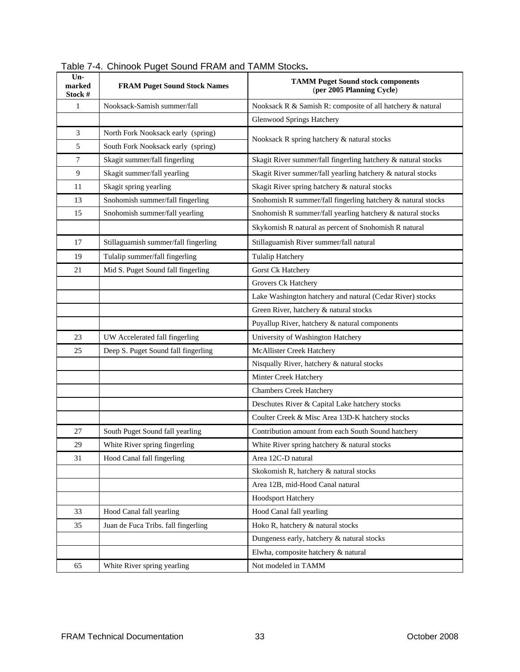| $Un-$<br>marked<br>Stock # | $1$ able $1$ - $\pm$ . Of infoon Fuget Oburla Fronti and Tolvini Otocho.<br><b>FRAM Puget Sound Stock Names</b> | <b>TAMM Puget Sound stock components</b><br>(per 2005 Planning Cycle) |  |
|----------------------------|-----------------------------------------------------------------------------------------------------------------|-----------------------------------------------------------------------|--|
| $\mathbf{1}$               | Nooksack-Samish summer/fall                                                                                     | Nooksack R & Samish R: composite of all hatchery & natural            |  |
|                            |                                                                                                                 | <b>Glenwood Springs Hatchery</b>                                      |  |
| 3                          | North Fork Nooksack early (spring)                                                                              |                                                                       |  |
| 5                          | South Fork Nooksack early (spring)                                                                              | Nooksack R spring hatchery & natural stocks                           |  |
| $\tau$                     | Skagit summer/fall fingerling                                                                                   | Skagit River summer/fall fingerling hatchery & natural stocks         |  |
| 9                          | Skagit summer/fall yearling                                                                                     | Skagit River summer/fall yearling hatchery & natural stocks           |  |
| 11                         | Skagit spring yearling                                                                                          | Skagit River spring hatchery & natural stocks                         |  |
| 13                         | Snohomish summer/fall fingerling                                                                                | Snohomish R summer/fall fingerling hatchery & natural stocks          |  |
| 15                         | Snohomish summer/fall yearling                                                                                  | Snohomish R summer/fall yearling hatchery & natural stocks            |  |
|                            |                                                                                                                 | Skykomish R natural as percent of Snohomish R natural                 |  |
| 17                         | Stillaguamish summer/fall fingerling                                                                            | Stillaguamish River summer/fall natural                               |  |
| 19                         | Tulalip summer/fall fingerling                                                                                  | <b>Tulalip Hatchery</b>                                               |  |
| 21                         | Mid S. Puget Sound fall fingerling                                                                              | Gorst Ck Hatchery                                                     |  |
|                            |                                                                                                                 | Grovers Ck Hatchery                                                   |  |
|                            |                                                                                                                 | Lake Washington hatchery and natural (Cedar River) stocks             |  |
|                            |                                                                                                                 | Green River, hatchery & natural stocks                                |  |
|                            |                                                                                                                 | Puyallup River, hatchery & natural components                         |  |
| 23                         | UW Accelerated fall fingerling                                                                                  | University of Washington Hatchery                                     |  |
| 25                         | Deep S. Puget Sound fall fingerling                                                                             | McAllister Creek Hatchery                                             |  |
|                            |                                                                                                                 | Nisqually River, hatchery & natural stocks                            |  |
|                            |                                                                                                                 | Minter Creek Hatchery                                                 |  |
|                            |                                                                                                                 | <b>Chambers Creek Hatchery</b>                                        |  |
|                            |                                                                                                                 | Deschutes River & Capital Lake hatchery stocks                        |  |
|                            |                                                                                                                 | Coulter Creek & Misc Area 13D-K hatchery stocks                       |  |
| 27                         | South Puget Sound fall yearling                                                                                 | Contribution amount from each South Sound hatchery                    |  |
| 29                         | White River spring fingerling                                                                                   | White River spring hatchery & natural stocks                          |  |
| 31                         | Hood Canal fall fingerling                                                                                      | Area 12C-D natural                                                    |  |
|                            |                                                                                                                 | Skokomish R, hatchery & natural stocks                                |  |
|                            |                                                                                                                 | Area 12B, mid-Hood Canal natural                                      |  |
|                            |                                                                                                                 | Hoodsport Hatchery                                                    |  |
| 33                         | Hood Canal fall yearling                                                                                        | Hood Canal fall yearling                                              |  |
| 35                         | Juan de Fuca Tribs. fall fingerling                                                                             | Hoko R, hatchery & natural stocks                                     |  |
|                            |                                                                                                                 | Dungeness early, hatchery & natural stocks                            |  |
|                            |                                                                                                                 | Elwha, composite hatchery & natural                                   |  |
| 65                         | White River spring yearling                                                                                     | Not modeled in TAMM                                                   |  |

|  |  | Table 7-4. Chinook Puget Sound FRAM and TAMM Stocks. |
|--|--|------------------------------------------------------|
|  |  |                                                      |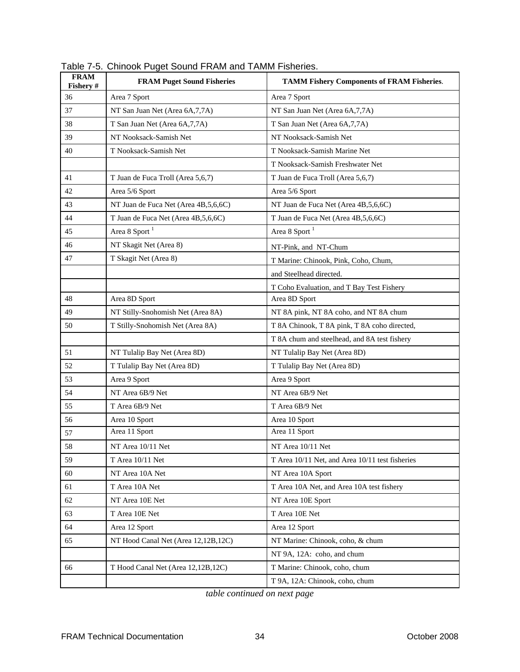| <b>FRAM</b><br>Fishery # | <b>FRAM Puget Sound Fisheries</b>    | <b>TAMM Fishery Components of FRAM Fisheries.</b> |  |
|--------------------------|--------------------------------------|---------------------------------------------------|--|
| 36                       | Area 7 Sport                         | Area 7 Sport                                      |  |
| 37                       | NT San Juan Net (Area 6A, 7, 7A)     | NT San Juan Net (Area 6A, 7, 7A)                  |  |
| 38                       | T San Juan Net (Area 6A, 7, 7A)      | T San Juan Net (Area 6A, 7, 7A)                   |  |
| 39                       | NT Nooksack-Samish Net               | NT Nooksack-Samish Net                            |  |
| 40                       | T Nooksack-Samish Net                | T Nooksack-Samish Marine Net                      |  |
|                          |                                      | T Nooksack-Samish Freshwater Net                  |  |
| 41                       | T Juan de Fuca Troll (Area 5,6,7)    | T Juan de Fuca Troll (Area 5,6,7)                 |  |
| 42                       | Area 5/6 Sport                       | Area 5/6 Sport                                    |  |
| 43                       | NT Juan de Fuca Net (Area 4B,5,6,6C) | NT Juan de Fuca Net (Area 4B,5,6,6C)              |  |
| 44                       | T Juan de Fuca Net (Area 4B,5,6,6C)  | T Juan de Fuca Net (Area 4B,5,6,6C)               |  |
| 45                       | Area 8 Sport $1$                     | Area 8 Sport <sup>1</sup>                         |  |
| 46                       | NT Skagit Net (Area 8)               | NT-Pink, and NT-Chum                              |  |
| 47                       | T Skagit Net (Area 8)                | T Marine: Chinook, Pink, Coho, Chum,              |  |
|                          |                                      | and Steelhead directed.                           |  |
|                          |                                      | T Coho Evaluation, and T Bay Test Fishery         |  |
| 48                       | Area 8D Sport                        | Area 8D Sport                                     |  |
| 49                       | NT Stilly-Snohomish Net (Area 8A)    | NT 8A pink, NT 8A coho, and NT 8A chum            |  |
| 50                       | T Stilly-Snohomish Net (Area 8A)     | T 8A Chinook, T 8A pink, T 8A coho directed,      |  |
|                          |                                      | T 8A chum and steelhead, and 8A test fishery      |  |
| 51                       | NT Tulalip Bay Net (Area 8D)         | NT Tulalip Bay Net (Area 8D)                      |  |
| 52                       | T Tulalip Bay Net (Area 8D)          | T Tulalip Bay Net (Area 8D)                       |  |
| 53                       | Area 9 Sport                         | Area 9 Sport                                      |  |
| 54                       | NT Area 6B/9 Net                     | NT Area 6B/9 Net                                  |  |
| 55                       | T Area 6B/9 Net                      | T Area 6B/9 Net                                   |  |
| 56                       | Area 10 Sport                        | Area 10 Sport                                     |  |
| 57                       | Area 11 Sport                        | Area 11 Sport                                     |  |
| 58                       | NT Area 10/11 Net                    | NT Area 10/11 Net                                 |  |
| 59                       | T Area 10/11 Net                     | T Area 10/11 Net, and Area 10/11 test fisheries   |  |
| 60                       | NT Area 10A Net                      | NT Area 10A Sport                                 |  |
| 61                       | T Area 10A Net                       | T Area 10A Net, and Area 10A test fishery         |  |
| 62                       | NT Area 10E Net                      | NT Area 10E Sport                                 |  |
| 63                       | T Area 10E Net                       | T Area 10E Net                                    |  |
| 64                       | Area 12 Sport                        | Area 12 Sport                                     |  |
| 65                       | NT Hood Canal Net (Area 12,12B,12C)  | NT Marine: Chinook, coho, & chum                  |  |
|                          |                                      | NT 9A, 12A: coho, and chum                        |  |
| 66                       | T Hood Canal Net (Area 12,12B,12C)   | T Marine: Chinook, coho, chum                     |  |
|                          |                                      | T 9A, 12A: Chinook, coho, chum                    |  |

Table 7-5. Chinook Puget Sound FRAM and TAMM Fisheries.

*table continued on next page*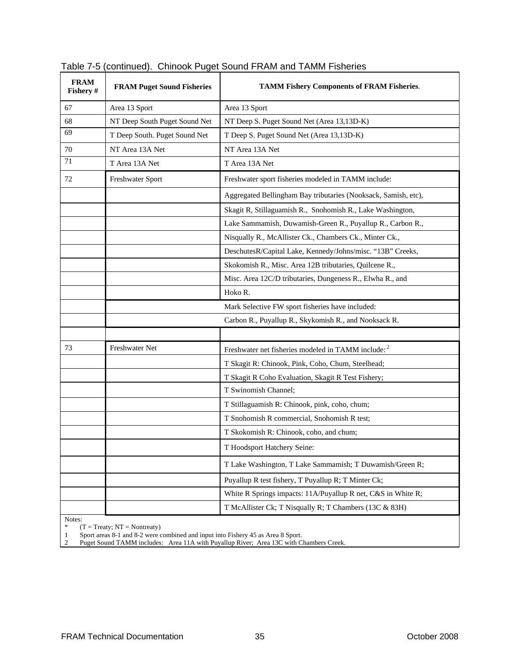| <b>FRAM</b><br>Fishery # | <b>FRAM Puget Sound Fisheries</b> | <b>TAMM Fishery Components of FRAM Fisheries.</b>              |  |
|--------------------------|-----------------------------------|----------------------------------------------------------------|--|
| 67                       | Area 13 Sport                     | Area 13 Sport                                                  |  |
| 68                       | NT Deep South Puget Sound Net     | NT Deep S. Puget Sound Net (Area 13,13D-K)                     |  |
| 69                       | T Deep South. Puget Sound Net     | T Deep S. Puget Sound Net (Area 13,13D-K)                      |  |
| 70                       | NT Area 13A Net                   | NT Area 13A Net                                                |  |
| 71                       | T Area 13A Net                    | T Area 13A Net                                                 |  |
| 72                       | Freshwater Sport                  | Freshwater sport fisheries modeled in TAMM include:            |  |
|                          |                                   | Aggregated Bellingham Bay tributaries (Nooksack, Samish, etc), |  |
|                          |                                   | Skagit R, Stillaguamish R., Snohomish R., Lake Washington,     |  |
|                          |                                   | Lake Sammamish, Duwamish-Green R., Puyallup R., Carbon R.,     |  |
|                          |                                   | Nisqually R., McAllister Ck., Chambers Ck., Minter Ck.,        |  |
|                          |                                   | DeschutesR/Capital Lake, Kennedy/Johns/misc. "13B" Creeks,     |  |
|                          |                                   | Skokomish R., Misc. Area 12B tributaries, Quilcene R.,         |  |
|                          |                                   | Misc. Area 12C/D tributaries, Dungeness R., Elwha R., and      |  |
|                          |                                   | Hoko R.                                                        |  |
|                          |                                   | Mark Selective FW sport fisheries have included:               |  |
|                          |                                   | Carbon R., Puyallup R., Skykomish R., and Nooksack R.          |  |
|                          |                                   |                                                                |  |
| 73                       | Freshwater Net                    | Freshwater net fisheries modeled in TAMM include: <sup>2</sup> |  |
|                          |                                   | T Skagit R: Chinook, Pink, Coho, Chum, Steelhead;              |  |
|                          |                                   | T Skagit R Coho Evaluation, Skagit R Test Fishery;             |  |
|                          |                                   | T Swinomish Channel;                                           |  |
|                          |                                   | T Stillaguamish R: Chinook, pink, coho, chum;                  |  |
|                          |                                   | T Snohomish R commercial, Snohomish R test;                    |  |
|                          |                                   | T Skokomish R: Chinook, coho, and chum;                        |  |
|                          |                                   | T Hoodsport Hatchery Seine:                                    |  |
|                          |                                   | T Lake Washington, T Lake Sammamish; T Duwamish/Green R;       |  |
|                          |                                   | Puyallup R test fishery, T Puyallup R; T Minter Ck;            |  |
|                          |                                   | White R Springs impacts: 11A/Puyallup R net, C&S in White R;   |  |
|                          |                                   | T McAllister Ck; T Nisqually R; T Chambers (13C & 83H)         |  |
| Notes:                   |                                   |                                                                |  |

|  | Table 7-5 (continued). Chinook Puget Sound FRAM and TAMM Fisheries |  |
|--|--------------------------------------------------------------------|--|
|  |                                                                    |  |

\*  $(T = \text{Treaty}; NT = \text{Nontreaty})$ 

1 Sport areas 8-1 and 8-2 were combined and input into Fishery 45 as Area 8 Sport.

2 Puget Sound TAMM includes: Area 11A with Puyallup River; Area 13C with Chambers Creek.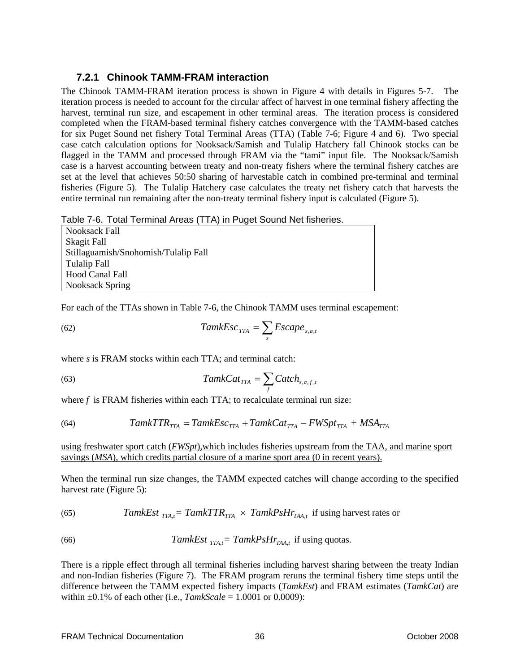### **7.2.1 Chinook TAMM-FRAM interaction**

The Chinook TAMM-FRAM iteration process is shown in Figure 4 with details in Figures 5-7. The iteration process is needed to account for the circular affect of harvest in one terminal fishery affecting the harvest, terminal run size, and escapement in other terminal areas. The iteration process is considered completed when the FRAM-based terminal fishery catches convergence with the TAMM-based catches for six Puget Sound net fishery Total Terminal Areas (TTA) (Table 7-6; Figure 4 and 6). Two special case catch calculation options for Nooksack/Samish and Tulalip Hatchery fall Chinook stocks can be flagged in the TAMM and processed through FRAM via the "tami" input file. The Nooksack/Samish case is a harvest accounting between treaty and non-treaty fishers where the terminal fishery catches are set at the level that achieves 50:50 sharing of harvestable catch in combined pre-terminal and terminal fisheries (Figure 5). The Tulalip Hatchery case calculates the treaty net fishery catch that harvests the entire terminal run remaining after the non-treaty terminal fishery input is calculated (Figure 5).

Table 7-6. Total Terminal Areas (TTA) in Puget Sound Net fisheries.

| Nooksack Fall                        |
|--------------------------------------|
| Skagit Fall                          |
| Stillaguamish/Snohomish/Tulalip Fall |
| Tulalip Fall                         |
| Hood Canal Fall                      |
| Nooksack Spring                      |

For each of the TTAs shown in Table 7-6, the Chinook TAMM uses terminal escapement:

(62) 
$$
TamkEsc_{TTA} = \sum_{s} Escape_{s,a,t}
$$

where *s* is FRAM stocks within each TTA; and terminal catch:

(63) 
$$
TamkCat_{TTA} = \sum_{f} Catch_{s,a,f,t}
$$

where *f* is FRAM fisheries within each TTA; to recalculate terminal run size:

(64) 
$$
TamkTTR_{TTA} = TamkEsc_{TTA} + TamkCat_{TTA} - FWSpt_{TTA} + MSA_{TTA}
$$

using freshwater sport catch (*FWSpt*)*,*which includes fisheries upstream from the TAA, and marine sport savings (*MSA*), which credits partial closure of a marine sport area (0 in recent years).

When the terminal run size changes, the TAMM expected catches will change according to the specified harvest rate (Figure 5):

(65) *TamkEst* 
$$
_{TTA,t}
$$
 = *TamkTTR*<sub>TTA</sub> × *TamkPsH* $r_{TAA,t}$  if using harvest rates or

(66) 
$$
TamkEst_{TTA,t} = TamkPsHr_{TAA,t} \text{ if using quotas.}
$$

There is a ripple effect through all terminal fisheries including harvest sharing between the treaty Indian and non-Indian fisheries (Figure 7). The FRAM program reruns the terminal fishery time steps until the difference between the TAMM expected fishery impacts (*TamkEst*) and FRAM estimates (*TamkCat*) are within ±0.1% of each other (i.e., *TamkScale* = 1.0001 or 0.0009):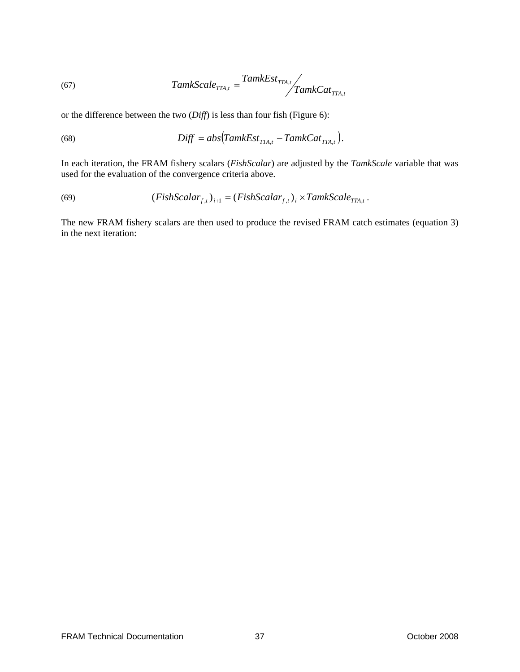(67) 
$$
TamkScale_{TTA,t} = \frac{TamkEst_{TTA,t}}{TamkCat_{TTA,t}}
$$

or the difference between the two (*Diff*) is less than four fish (Figure 6):

(68) 
$$
Diff = abs(TamkEst_{TTA,t} - TamkCat_{TTA,t}).
$$

In each iteration, the FRAM fishery scalars (*FishScalar*) are adjusted by the *TamkScale* variable that was used for the evaluation of the convergence criteria above.

(69) 
$$
(FishScalar_{f,t})_{i+1} = (FishScalar_{f,t})_i \times TamkScale_{TTA,t}.
$$

The new FRAM fishery scalars are then used to produce the revised FRAM catch estimates (equation 3) in the next iteration: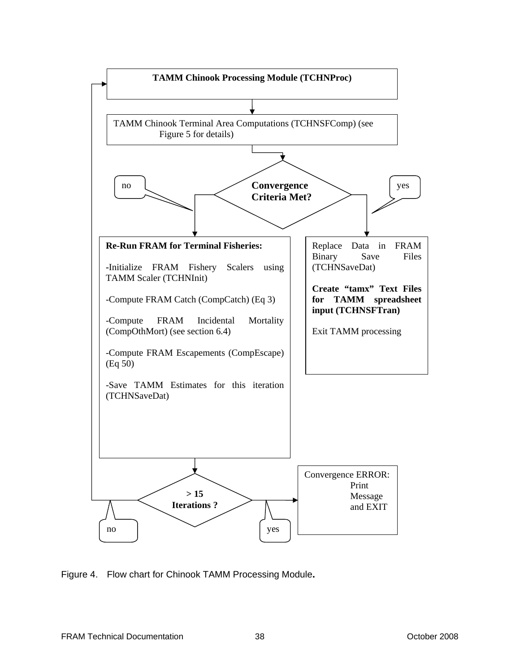

Figure 4. Flow chart for Chinook TAMM Processing Module**.**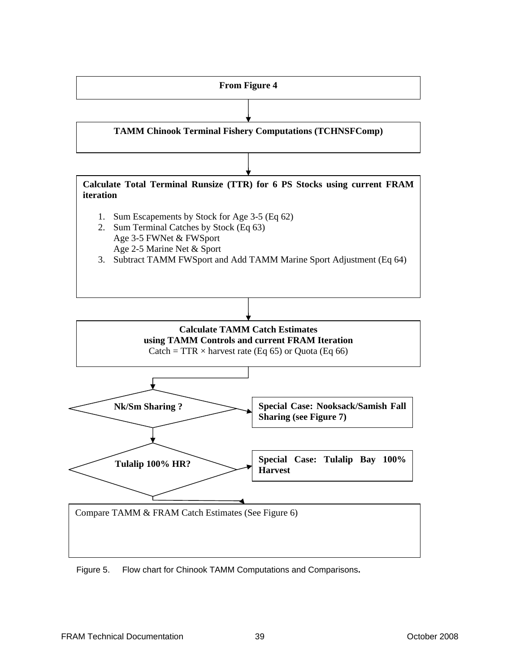

Figure 5. Flow chart for Chinook TAMM Computations and Comparisons**.**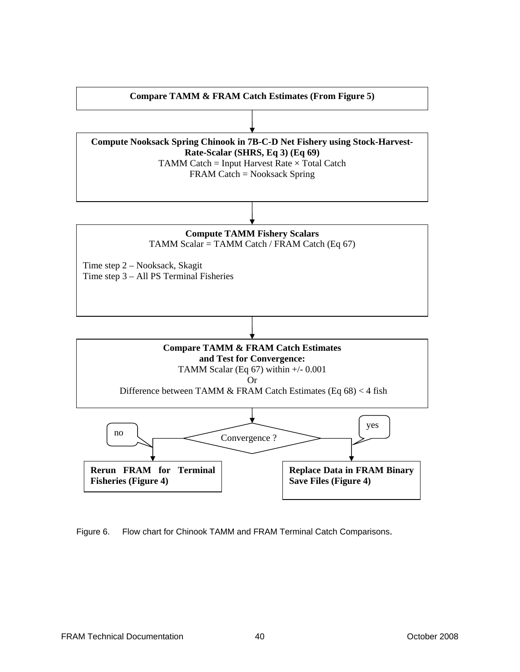

Figure 6. Flow chart for Chinook TAMM and FRAM Terminal Catch Comparisons.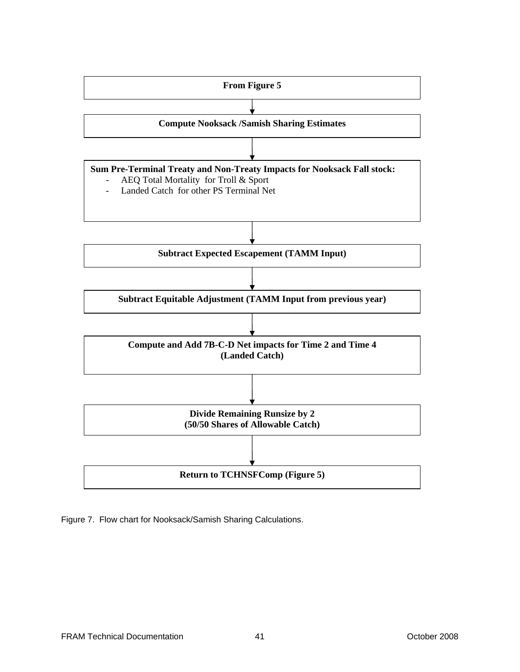

Figure 7. Flow chart for Nooksack/Samish Sharing Calculations.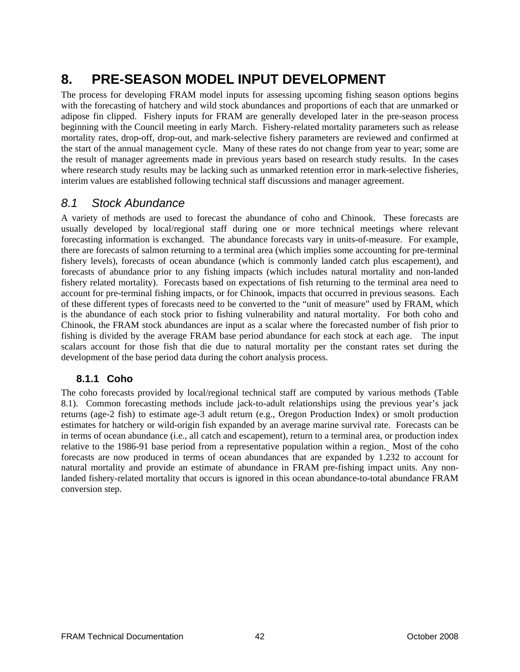# **8. PRE-SEASON MODEL INPUT DEVELOPMENT**

The process for developing FRAM model inputs for assessing upcoming fishing season options begins with the forecasting of hatchery and wild stock abundances and proportions of each that are unmarked or adipose fin clipped. Fishery inputs for FRAM are generally developed later in the pre-season process beginning with the Council meeting in early March. Fishery-related mortality parameters such as release mortality rates, drop-off, drop-out, and mark-selective fishery parameters are reviewed and confirmed at the start of the annual management cycle. Many of these rates do not change from year to year; some are the result of manager agreements made in previous years based on research study results. In the cases where research study results may be lacking such as unmarked retention error in mark-selective fisheries, interim values are established following technical staff discussions and manager agreement.

### *8.1 Stock Abundance*

A variety of methods are used to forecast the abundance of coho and Chinook. These forecasts are usually developed by local/regional staff during one or more technical meetings where relevant forecasting information is exchanged. The abundance forecasts vary in units-of-measure. For example, there are forecasts of salmon returning to a terminal area (which implies some accounting for pre-terminal fishery levels), forecasts of ocean abundance (which is commonly landed catch plus escapement), and forecasts of abundance prior to any fishing impacts (which includes natural mortality and non-landed fishery related mortality). Forecasts based on expectations of fish returning to the terminal area need to account for pre-terminal fishing impacts, or for Chinook, impacts that occurred in previous seasons. Each of these different types of forecasts need to be converted to the "unit of measure" used by FRAM, which is the abundance of each stock prior to fishing vulnerability and natural mortality. For both coho and Chinook, the FRAM stock abundances are input as a scalar where the forecasted number of fish prior to fishing is divided by the average FRAM base period abundance for each stock at each age. The input scalars account for those fish that die due to natural mortality per the constant rates set during the development of the base period data during the cohort analysis process.

### **8.1.1 Coho**

The coho forecasts provided by local/regional technical staff are computed by various methods (Table 8.1). Common forecasting methods include jack-to-adult relationships using the previous year's jack returns (age-2 fish) to estimate age-3 adult return (e.g., Oregon Production Index) or smolt production estimates for hatchery or wild-origin fish expanded by an average marine survival rate. Forecasts can be in terms of ocean abundance (i.e., all catch and escapement), return to a terminal area, or production index relative to the 1986-91 base period from a representative population within a region. Most of the coho forecasts are now produced in terms of ocean abundances that are expanded by 1.232 to account for natural mortality and provide an estimate of abundance in FRAM pre-fishing impact units. Any nonlanded fishery-related mortality that occurs is ignored in this ocean abundance-to-total abundance FRAM conversion step.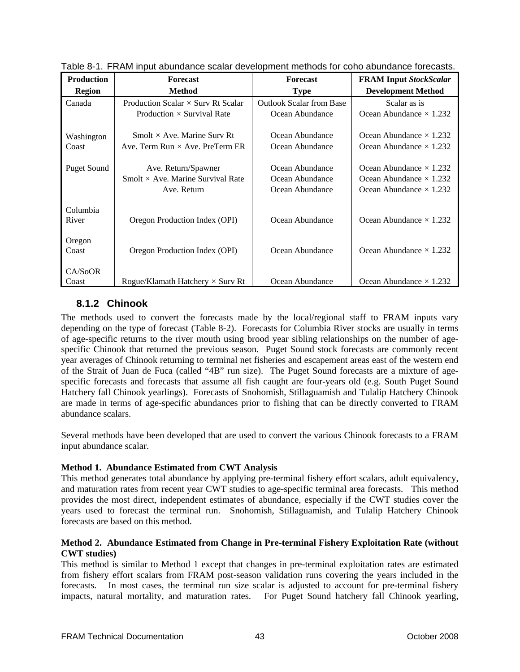| <b>Production</b>  | <b>Forecast</b>                           | <b>Forecast</b>                 | <b>FRAM Input StockScalar</b>  |
|--------------------|-------------------------------------------|---------------------------------|--------------------------------|
| <b>Region</b>      | <b>Method</b>                             | <b>Type</b>                     | <b>Development Method</b>      |
| Canada             | Production Scalar $\times$ Surv Rt Scalar | <b>Outlook Scalar from Base</b> | Scalar as is                   |
|                    | Production $\times$ Survival Rate         | Ocean Abundance                 | Ocean Abundance $\times$ 1.232 |
|                    |                                           |                                 |                                |
| Washington         | Smolt $\times$ Ave. Marine Surv Rt        | Ocean Abundance                 | Ocean Abundance $\times$ 1.232 |
| Coast              | Ave. Term Run $\times$ Ave. PreTerm ER    | Ocean Abundance                 | Ocean Abundance $\times$ 1.232 |
|                    |                                           |                                 |                                |
| <b>Puget Sound</b> | Ave. Return/Spawner                       | Ocean Abundance                 | Ocean Abundance $\times$ 1.232 |
|                    | Smolt $\times$ Ave. Marine Survival Rate  | Ocean Abundance                 | Ocean Abundance $\times$ 1.232 |
|                    | Ave. Return                               | Ocean Abundance                 | Ocean Abundance $\times$ 1.232 |
|                    |                                           |                                 |                                |
| Columbia           |                                           |                                 |                                |
| River              | Oregon Production Index (OPI)             | Ocean Abundance                 | Ocean Abundance $\times$ 1.232 |
|                    |                                           |                                 |                                |
| Oregon             |                                           |                                 |                                |
| Coast              | Oregon Production Index (OPI)             | Ocean Abundance                 | Ocean Abundance $\times$ 1.232 |
|                    |                                           |                                 |                                |
| CA/SoOR            |                                           |                                 |                                |
| Coast              | Rogue/Klamath Hatchery $\times$ Surv Rt   | Ocean Abundance                 | Ocean Abundance $\times$ 1.232 |

Table 8-1. FRAM input abundance scalar development methods for coho abundance forecasts.

### **8.1.2 Chinook**

The methods used to convert the forecasts made by the local/regional staff to FRAM inputs vary depending on the type of forecast (Table 8-2). Forecasts for Columbia River stocks are usually in terms of age-specific returns to the river mouth using brood year sibling relationships on the number of agespecific Chinook that returned the previous season. Puget Sound stock forecasts are commonly recent year averages of Chinook returning to terminal net fisheries and escapement areas east of the western end of the Strait of Juan de Fuca (called "4B" run size). The Puget Sound forecasts are a mixture of agespecific forecasts and forecasts that assume all fish caught are four-years old (e.g. South Puget Sound Hatchery fall Chinook yearlings). Forecasts of Snohomish, Stillaguamish and Tulalip Hatchery Chinook are made in terms of age-specific abundances prior to fishing that can be directly converted to FRAM abundance scalars.

Several methods have been developed that are used to convert the various Chinook forecasts to a FRAM input abundance scalar.

#### **Method 1. Abundance Estimated from CWT Analysis**

This method generates total abundance by applying pre-terminal fishery effort scalars, adult equivalency, and maturation rates from recent year CWT studies to age-specific terminal area forecasts. This method provides the most direct, independent estimates of abundance, especially if the CWT studies cover the years used to forecast the terminal run. Snohomish, Stillaguamish, and Tulalip Hatchery Chinook forecasts are based on this method.

#### **Method 2. Abundance Estimated from Change in Pre-terminal Fishery Exploitation Rate (without CWT studies)**

This method is similar to Method 1 except that changes in pre-terminal exploitation rates are estimated from fishery effort scalars from FRAM post-season validation runs covering the years included in the forecasts. In most cases, the terminal run size scalar is adjusted to account for pre-terminal fishery impacts, natural mortality, and maturation rates. For Puget Sound hatchery fall Chinook yearling,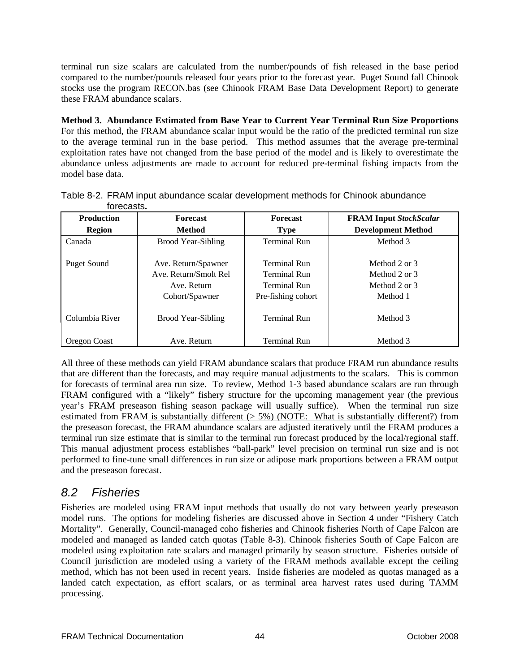terminal run size scalars are calculated from the number/pounds of fish released in the base period compared to the number/pounds released four years prior to the forecast year. Puget Sound fall Chinook stocks use the program RECON.bas (see Chinook FRAM Base Data Development Report) to generate these FRAM abundance scalars.

**Method 3. Abundance Estimated from Base Year to Current Year Terminal Run Size Proportions** For this method, the FRAM abundance scalar input would be the ratio of the predicted terminal run size to the average terminal run in the base period. This method assumes that the average pre-terminal exploitation rates have not changed from the base period of the model and is likely to overestimate the abundance unless adjustments are made to account for reduced pre-terminal fishing impacts from the model base data.

| <b>Production</b>  | <b>Forecast</b>           | <b>Forecast</b>     | <b>FRAM Input StockScalar</b> |
|--------------------|---------------------------|---------------------|-------------------------------|
| <b>Region</b>      | <b>Method</b>             | <b>Type</b>         | <b>Development Method</b>     |
| Canada             | <b>Brood Year-Sibling</b> | <b>Terminal Run</b> | Method 3                      |
|                    |                           |                     |                               |
| <b>Puget Sound</b> | Ave. Return/Spawner       | <b>Terminal Run</b> | Method 2 or 3                 |
|                    | Ave. Return/Smolt Rel     | <b>Terminal Run</b> | Method 2 or 3                 |
|                    | Ave. Return               | <b>Terminal Run</b> | Method 2 or 3                 |
|                    | Cohort/Spawner            | Pre-fishing cohort  | Method 1                      |
| Columbia River     | Brood Year-Sibling        | <b>Terminal Run</b> | Method 3                      |
| Oregon Coast       | Ave. Return               | <b>Terminal Run</b> | Method 3                      |

Table 8-2. FRAM input abundance scalar development methods for Chinook abundance forecasts**.** 

All three of these methods can yield FRAM abundance scalars that produce FRAM run abundance results that are different than the forecasts, and may require manual adjustments to the scalars. This is common for forecasts of terminal area run size. To review, Method 1-3 based abundance scalars are run through FRAM configured with a "likely" fishery structure for the upcoming management year (the previous year's FRAM preseason fishing season package will usually suffice). When the terminal run size estimated from FRAM is substantially different  $(> 5%)$  (NOTE: What is substantially different?) from the preseason forecast, the FRAM abundance scalars are adjusted iteratively until the FRAM produces a terminal run size estimate that is similar to the terminal run forecast produced by the local/regional staff. This manual adjustment process establishes "ball-park" level precision on terminal run size and is not performed to fine-tune small differences in run size or adipose mark proportions between a FRAM output and the preseason forecast.

## *8.2 Fisheries*

Fisheries are modeled using FRAM input methods that usually do not vary between yearly preseason model runs. The options for modeling fisheries are discussed above in Section 4 under "Fishery Catch Mortality". Generally, Council-managed coho fisheries and Chinook fisheries North of Cape Falcon are modeled and managed as landed catch quotas (Table 8-3). Chinook fisheries South of Cape Falcon are modeled using exploitation rate scalars and managed primarily by season structure. Fisheries outside of Council jurisdiction are modeled using a variety of the FRAM methods available except the ceiling method, which has not been used in recent years. Inside fisheries are modeled as quotas managed as a landed catch expectation, as effort scalars, or as terminal area harvest rates used during TAMM processing.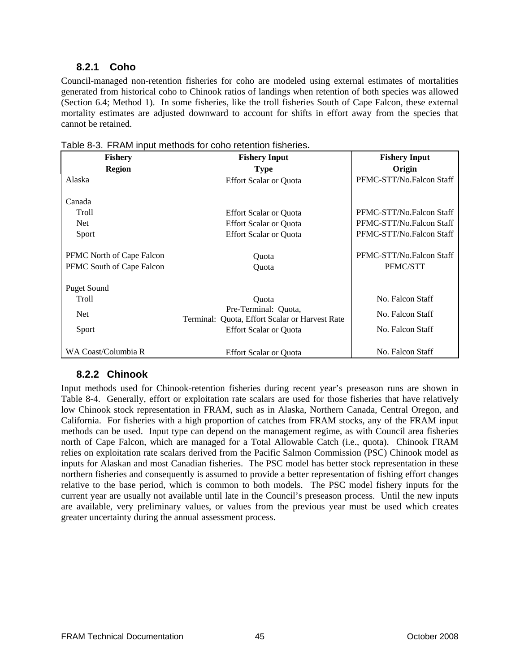### **8.2.1 Coho**

Council-managed non-retention fisheries for coho are modeled using external estimates of mortalities generated from historical coho to Chinook ratios of landings when retention of both species was allowed (Section 6.4; Method 1). In some fisheries, like the troll fisheries South of Cape Falcon, these external mortality estimates are adjusted downward to account for shifts in effort away from the species that cannot be retained.

| <b>Fishery</b>                                                | <b>Fishery Input</b>                                                                                             | <b>Fishery Input</b>                                                             |
|---------------------------------------------------------------|------------------------------------------------------------------------------------------------------------------|----------------------------------------------------------------------------------|
| <b>Region</b>                                                 | <b>Type</b>                                                                                                      | Origin                                                                           |
| Alaska                                                        | <b>Effort Scalar or Quota</b>                                                                                    | PFMC-STT/No.Falcon Staff                                                         |
| Canada<br>Troll<br><b>Net</b><br>Sport                        | <b>Effort Scalar or Quota</b><br><b>Effort Scalar or Quota</b><br><b>Effort Scalar or Quota</b>                  | PFMC-STT/No.Falcon Staff<br>PFMC-STT/No.Falcon Staff<br>PFMC-STT/No.Falcon Staff |
| <b>PFMC</b> North of Cape Falcon<br>PFMC South of Cape Falcon | Ouota<br>Ouota                                                                                                   | PFMC-STT/No.Falcon Staff<br>PFMC/STT                                             |
| Puget Sound<br><b>Troll</b><br><b>Net</b><br>Sport            | Ouota<br>Pre-Terminal: Quota,<br>Terminal: Quota, Effort Scalar or Harvest Rate<br><b>Effort Scalar or Quota</b> | No. Falcon Staff<br>No. Falcon Staff<br>No. Falcon Staff                         |
| WA Coast/Columbia R                                           | <b>Effort Scalar or Quota</b>                                                                                    | No. Falcon Staff                                                                 |

Table 8-3. FRAM input methods for coho retention fisheries**.** 

### **8.2.2 Chinook**

Input methods used for Chinook-retention fisheries during recent year's preseason runs are shown in Table 8-4. Generally, effort or exploitation rate scalars are used for those fisheries that have relatively low Chinook stock representation in FRAM, such as in Alaska, Northern Canada, Central Oregon, and California. For fisheries with a high proportion of catches from FRAM stocks, any of the FRAM input methods can be used. Input type can depend on the management regime, as with Council area fisheries north of Cape Falcon, which are managed for a Total Allowable Catch (i.e., quota). Chinook FRAM relies on exploitation rate scalars derived from the Pacific Salmon Commission (PSC) Chinook model as inputs for Alaskan and most Canadian fisheries. The PSC model has better stock representation in these northern fisheries and consequently is assumed to provide a better representation of fishing effort changes relative to the base period, which is common to both models. The PSC model fishery inputs for the current year are usually not available until late in the Council's preseason process. Until the new inputs are available, very preliminary values, or values from the previous year must be used which creates greater uncertainty during the annual assessment process.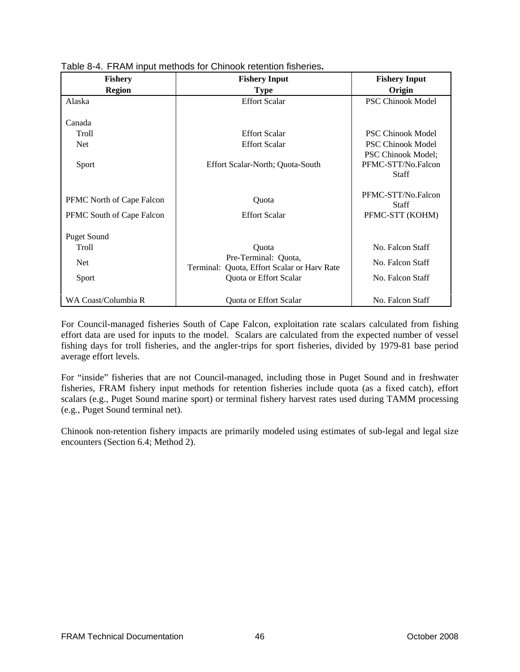| <b>Fishery</b>            | <b>Fishery Input</b>                                                   | <b>Fishery Input</b>                                            |
|---------------------------|------------------------------------------------------------------------|-----------------------------------------------------------------|
| <b>Region</b>             | <b>Type</b>                                                            | Origin                                                          |
| Alaska                    | <b>Effort Scalar</b>                                                   | <b>PSC Chinook Model</b>                                        |
|                           |                                                                        |                                                                 |
| Canada                    |                                                                        |                                                                 |
| Troll                     | <b>Effort Scalar</b>                                                   | <b>PSC Chinook Model</b>                                        |
| <b>Net</b>                | <b>Effort Scalar</b>                                                   | <b>PSC Chinook Model</b>                                        |
| Sport                     | Effort Scalar-North; Quota-South                                       | <b>PSC Chinook Model:</b><br>PFMC-STT/No.Falcon<br><b>Staff</b> |
| PFMC North of Cape Falcon | Quota                                                                  | PFMC-STT/No.Falcon<br><b>Staff</b>                              |
| PFMC South of Cape Falcon | <b>Effort Scalar</b>                                                   | PFMC-STT (KOHM)                                                 |
| <b>Puget Sound</b>        |                                                                        |                                                                 |
| Troll                     | Quota                                                                  | No. Falcon Staff                                                |
| <b>Net</b>                | Pre-Terminal: Quota,<br>Quota, Effort Scalar or Harv Rate<br>Terminal: | No. Falcon Staff                                                |
| Sport                     | Quota or Effort Scalar                                                 | No. Falcon Staff                                                |
| WA Coast/Columbia R       | Quota or Effort Scalar                                                 | No. Falcon Staff                                                |

Table 8-4. FRAM input methods for Chinook retention fisheries**.** 

For Council-managed fisheries South of Cape Falcon, exploitation rate scalars calculated from fishing effort data are used for inputs to the model. Scalars are calculated from the expected number of vessel fishing days for troll fisheries, and the angler-trips for sport fisheries, divided by 1979-81 base period average effort levels.

For "inside" fisheries that are not Council-managed, including those in Puget Sound and in freshwater fisheries, FRAM fishery input methods for retention fisheries include quota (as a fixed catch), effort scalars (e.g., Puget Sound marine sport) or terminal fishery harvest rates used during TAMM processing (e.g., Puget Sound terminal net).

Chinook non-retention fishery impacts are primarily modeled using estimates of sub-legal and legal size encounters (Section 6.4; Method 2).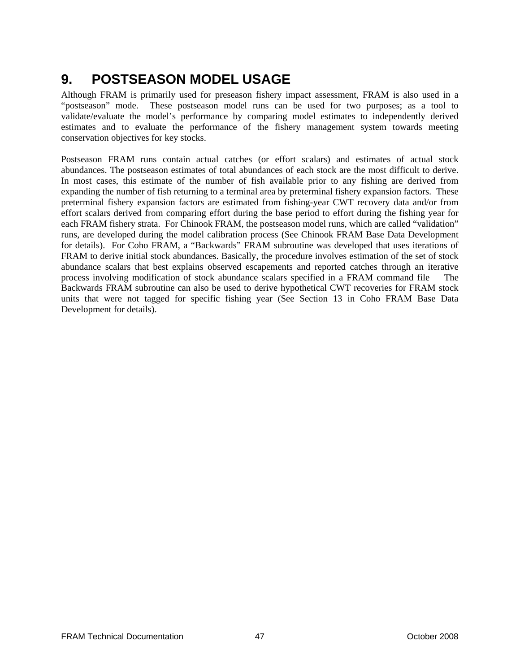# **9. POSTSEASON MODEL USAGE**

Although FRAM is primarily used for preseason fishery impact assessment, FRAM is also used in a "postseason" mode. These postseason model runs can be used for two purposes; as a tool to validate/evaluate the model's performance by comparing model estimates to independently derived estimates and to evaluate the performance of the fishery management system towards meeting conservation objectives for key stocks.

Postseason FRAM runs contain actual catches (or effort scalars) and estimates of actual stock abundances. The postseason estimates of total abundances of each stock are the most difficult to derive. In most cases, this estimate of the number of fish available prior to any fishing are derived from expanding the number of fish returning to a terminal area by preterminal fishery expansion factors. These preterminal fishery expansion factors are estimated from fishing-year CWT recovery data and/or from effort scalars derived from comparing effort during the base period to effort during the fishing year for each FRAM fishery strata. For Chinook FRAM, the postseason model runs, which are called "validation" runs, are developed during the model calibration process (See Chinook FRAM Base Data Development for details). For Coho FRAM, a "Backwards" FRAM subroutine was developed that uses iterations of FRAM to derive initial stock abundances. Basically, the procedure involves estimation of the set of stock abundance scalars that best explains observed escapements and reported catches through an iterative process involving modification of stock abundance scalars specified in a FRAM command file The Backwards FRAM subroutine can also be used to derive hypothetical CWT recoveries for FRAM stock units that were not tagged for specific fishing year (See Section 13 in Coho FRAM Base Data Development for details).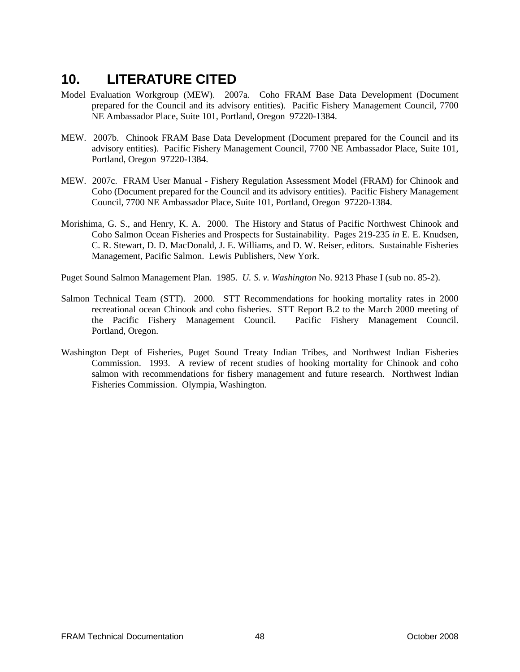# **10. LITERATURE CITED**

- Model Evaluation Workgroup (MEW). 2007a. Coho FRAM Base Data Development (Document prepared for the Council and its advisory entities). Pacific Fishery Management Council, 7700 NE Ambassador Place, Suite 101, Portland, Oregon 97220-1384.
- MEW. 2007b. Chinook FRAM Base Data Development (Document prepared for the Council and its advisory entities). Pacific Fishery Management Council, 7700 NE Ambassador Place, Suite 101, Portland, Oregon 97220-1384.
- MEW. 2007c. FRAM User Manual Fishery Regulation Assessment Model (FRAM) for Chinook and Coho (Document prepared for the Council and its advisory entities). Pacific Fishery Management Council, 7700 NE Ambassador Place, Suite 101, Portland, Oregon 97220-1384.
- Morishima, G. S., and Henry, K. A. 2000. The History and Status of Pacific Northwest Chinook and Coho Salmon Ocean Fisheries and Prospects for Sustainability. Pages 219-235 *in* E. E. Knudsen, C. R. Stewart, D. D. MacDonald, J. E. Williams, and D. W. Reiser, editors. Sustainable Fisheries Management, Pacific Salmon. Lewis Publishers, New York.

Puget Sound Salmon Management Plan. 1985. *U. S. v. Washington* No. 9213 Phase I (sub no. 85-2).

- Salmon Technical Team (STT). 2000. STT Recommendations for hooking mortality rates in 2000 recreational ocean Chinook and coho fisheries. STT Report B.2 to the March 2000 meeting of the Pacific Fishery Management Council. Pacific Fishery Management Council. Portland, Oregon.
- Washington Dept of Fisheries, Puget Sound Treaty Indian Tribes, and Northwest Indian Fisheries Commission. 1993. A review of recent studies of hooking mortality for Chinook and coho salmon with recommendations for fishery management and future research. Northwest Indian Fisheries Commission. Olympia, Washington.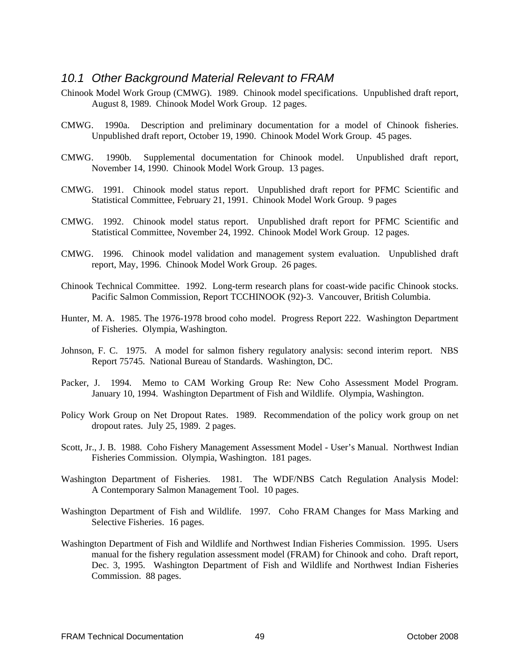#### *10.1 Other Background Material Relevant to FRAM*

- Chinook Model Work Group (CMWG). 1989. Chinook model specifications. Unpublished draft report, August 8, 1989. Chinook Model Work Group. 12 pages.
- CMWG. 1990a. Description and preliminary documentation for a model of Chinook fisheries. Unpublished draft report, October 19, 1990. Chinook Model Work Group. 45 pages.
- CMWG. 1990b. Supplemental documentation for Chinook model. Unpublished draft report, November 14, 1990. Chinook Model Work Group. 13 pages.
- CMWG. 1991. Chinook model status report. Unpublished draft report for PFMC Scientific and Statistical Committee, February 21, 1991. Chinook Model Work Group. 9 pages
- CMWG. 1992. Chinook model status report. Unpublished draft report for PFMC Scientific and Statistical Committee, November 24, 1992. Chinook Model Work Group. 12 pages.
- CMWG. 1996. Chinook model validation and management system evaluation. Unpublished draft report, May, 1996. Chinook Model Work Group. 26 pages.
- Chinook Technical Committee. 1992. Long-term research plans for coast-wide pacific Chinook stocks. Pacific Salmon Commission, Report TCCHINOOK (92)-3. Vancouver, British Columbia.
- Hunter, M. A. 1985. The 1976-1978 brood coho model. Progress Report 222. Washington Department of Fisheries. Olympia, Washington.
- Johnson, F. C. 1975. A model for salmon fishery regulatory analysis: second interim report. NBS Report 75745. National Bureau of Standards. Washington, DC.
- Packer, J. 1994. Memo to CAM Working Group Re: New Coho Assessment Model Program. January 10, 1994. Washington Department of Fish and Wildlife. Olympia, Washington.
- Policy Work Group on Net Dropout Rates. 1989. Recommendation of the policy work group on net dropout rates. July 25, 1989. 2 pages.
- Scott, Jr., J. B. 1988. Coho Fishery Management Assessment Model User's Manual. Northwest Indian Fisheries Commission. Olympia, Washington. 181 pages.
- Washington Department of Fisheries. 1981. The WDF/NBS Catch Regulation Analysis Model: A Contemporary Salmon Management Tool. 10 pages.
- Washington Department of Fish and Wildlife. 1997. Coho FRAM Changes for Mass Marking and Selective Fisheries. 16 pages.
- Washington Department of Fish and Wildlife and Northwest Indian Fisheries Commission. 1995. Users manual for the fishery regulation assessment model (FRAM) for Chinook and coho. Draft report, Dec. 3, 1995. Washington Department of Fish and Wildlife and Northwest Indian Fisheries Commission. 88 pages.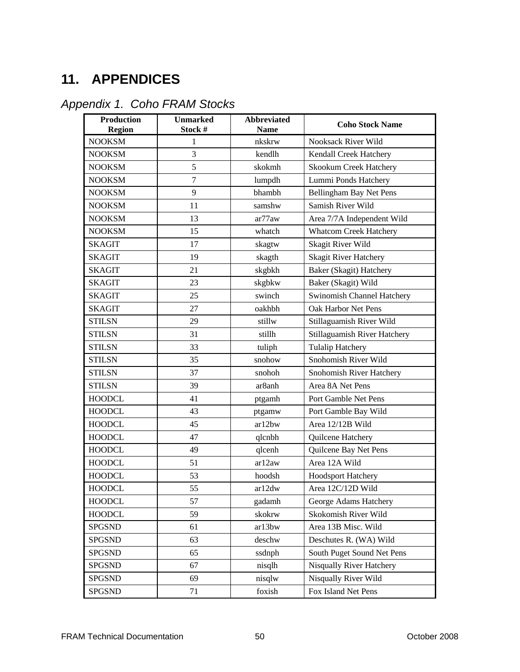# **11. APPENDICES**

|  | Appendix 1. Coho FRAM Stocks |
|--|------------------------------|
|--|------------------------------|

| <b>Production</b><br><b>Region</b> | <b>Unmarked</b><br>Stock # | <b>Abbreviated</b><br><b>Name</b> | <b>Coho Stock Name</b>            |
|------------------------------------|----------------------------|-----------------------------------|-----------------------------------|
| <b>NOOKSM</b>                      | $\mathbf{1}$               | nkskrw                            | <b>Nooksack River Wild</b>        |
| <b>NOOKSM</b>                      | 3                          | kendlh                            | Kendall Creek Hatchery            |
| <b>NOOKSM</b>                      | 5                          | skokmh                            | <b>Skookum Creek Hatchery</b>     |
| <b>NOOKSM</b>                      | $\tau$                     | lumpdh                            | Lummi Ponds Hatchery              |
| <b>NOOKSM</b>                      | 9                          | bhambh                            | Bellingham Bay Net Pens           |
| <b>NOOKSM</b>                      | 11                         | samshw                            | Samish River Wild                 |
| <b>NOOKSM</b>                      | 13                         | ar77aw                            | Area 7/7A Independent Wild        |
| <b>NOOKSM</b>                      | 15                         | whatch                            | <b>Whatcom Creek Hatchery</b>     |
| <b>SKAGIT</b>                      | 17                         | skagtw                            | Skagit River Wild                 |
| <b>SKAGIT</b>                      | 19                         | skagth                            | <b>Skagit River Hatchery</b>      |
| <b>SKAGIT</b>                      | 21                         | skgbkh                            | Baker (Skagit) Hatchery           |
| <b>SKAGIT</b>                      | 23                         | skgbkw                            | Baker (Skagit) Wild               |
| <b>SKAGIT</b>                      | 25                         | swinch                            | <b>Swinomish Channel Hatchery</b> |
| <b>SKAGIT</b>                      | 27                         | oakhbh                            | Oak Harbor Net Pens               |
| <b>STILSN</b>                      | 29                         | stillw                            | Stillaguamish River Wild          |
| <b>STILSN</b>                      | 31                         | stillh                            | Stillaguamish River Hatchery      |
| <b>STILSN</b>                      | 33                         | tuliph                            | <b>Tulalip Hatchery</b>           |
| <b>STILSN</b>                      | 35                         | snohow                            | Snohomish River Wild              |
| <b>STILSN</b>                      | 37                         | snohoh                            | Snohomish River Hatchery          |
| <b>STILSN</b>                      | 39                         | ar8anh                            | Area 8A Net Pens                  |
| <b>HOODCL</b>                      | 41                         | ptgamh                            | Port Gamble Net Pens              |
| <b>HOODCL</b>                      | 43                         | ptgamw                            | Port Gamble Bay Wild              |
| <b>HOODCL</b>                      | 45                         | ar12bw                            | Area 12/12B Wild                  |
| <b>HOODCL</b>                      | 47                         | qlcnbh                            | Quilcene Hatchery                 |
| <b>HOODCL</b>                      | 49                         | qlcenh                            | Quilcene Bay Net Pens             |
| <b>HOODCL</b>                      | 51                         | ar12aw                            | Area 12A Wild                     |
| <b>HOODCL</b>                      | 53                         | hoodsh                            | Hoodsport Hatchery                |
| <b>HOODCL</b>                      | 55                         | ar12dw                            | Area 12C/12D Wild                 |
| <b>HOODCL</b>                      | 57                         | gadamh                            | George Adams Hatchery             |
| <b>HOODCL</b>                      | 59                         | skokrw                            | Skokomish River Wild              |
| <b>SPGSND</b>                      | 61                         | ar13bw                            | Area 13B Misc. Wild               |
| <b>SPGSND</b>                      | 63                         | deschw                            | Deschutes R. (WA) Wild            |
| <b>SPGSND</b>                      | 65                         | ssdnph                            | South Puget Sound Net Pens        |
| <b>SPGSND</b>                      | 67                         | nisqlh                            | <b>Nisqually River Hatchery</b>   |
| <b>SPGSND</b>                      | 69                         | nisqlw                            | Nisqually River Wild              |
| <b>SPGSND</b>                      | 71                         | foxish                            | Fox Island Net Pens               |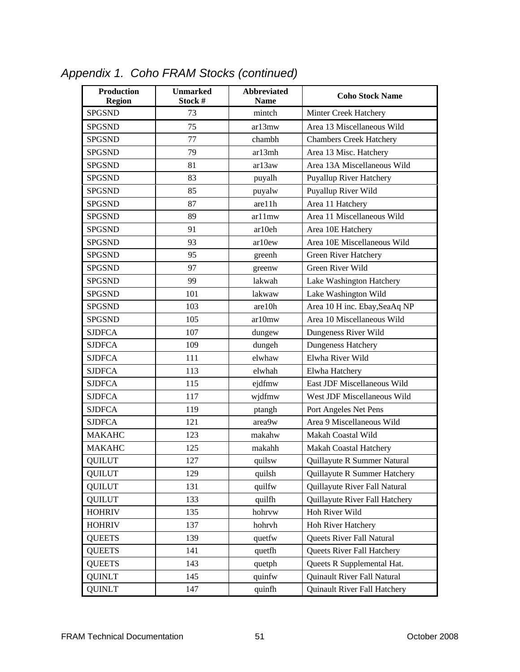| <b>Production</b><br><b>Region</b> | <b>Unmarked</b><br>Stock # | <b>Abbreviated</b><br><b>Name</b> | <b>Coho Stock Name</b>         |
|------------------------------------|----------------------------|-----------------------------------|--------------------------------|
| <b>SPGSND</b>                      | 73                         | mintch                            | Minter Creek Hatchery          |
| <b>SPGSND</b>                      | 75                         | ar13mw                            | Area 13 Miscellaneous Wild     |
| <b>SPGSND</b>                      | 77                         | chambh                            | <b>Chambers Creek Hatchery</b> |
| <b>SPGSND</b>                      | 79                         | ar13mh                            | Area 13 Misc. Hatchery         |
| <b>SPGSND</b>                      | 81                         | ar13aw                            | Area 13A Miscellaneous Wild    |
| <b>SPGSND</b>                      | 83                         | puyalh                            | <b>Puyallup River Hatchery</b> |
| <b>SPGSND</b>                      | 85                         | puyalw                            | Puyallup River Wild            |
| <b>SPGSND</b>                      | 87                         | are11h                            | Area 11 Hatchery               |
| <b>SPGSND</b>                      | 89                         | ar11mw                            | Area 11 Miscellaneous Wild     |
| <b>SPGSND</b>                      | 91                         | ar10eh                            | Area 10E Hatchery              |
| <b>SPGSND</b>                      | 93                         | ar10ew                            | Area 10E Miscellaneous Wild    |
| <b>SPGSND</b>                      | 95                         | greenh                            | <b>Green River Hatchery</b>    |
| <b>SPGSND</b>                      | 97                         | greenw                            | Green River Wild               |
| <b>SPGSND</b>                      | 99                         | lakwah                            | Lake Washington Hatchery       |
| <b>SPGSND</b>                      | 101                        | lakwaw                            | Lake Washington Wild           |
| <b>SPGSND</b>                      | 103                        | are 10h                           | Area 10 H inc. Ebay, SeaAq NP  |
| <b>SPGSND</b>                      | 105                        | ar10mw                            | Area 10 Miscellaneous Wild     |
| <b>SJDFCA</b>                      | 107                        | dungew                            | Dungeness River Wild           |
| <b>SJDFCA</b>                      | 109                        | dungeh                            | Dungeness Hatchery             |
| <b>SJDFCA</b>                      | 111                        | elwhaw                            | Elwha River Wild               |
| <b>SJDFCA</b>                      | 113                        | elwhah                            | Elwha Hatchery                 |
| <b>SJDFCA</b>                      | 115                        | ejdfmw                            | East JDF Miscellaneous Wild    |
| <b>SJDFCA</b>                      | 117                        | wjdfmw                            | West JDF Miscellaneous Wild    |
| <b>SJDFCA</b>                      | 119                        | ptangh                            | Port Angeles Net Pens          |
| <b>SJDFCA</b>                      | 121                        | area9w                            | Area 9 Miscellaneous Wild      |
| <b>MAKAHC</b>                      | 123                        | makahw                            | Makah Coastal Wild             |
| <b>MAKAHC</b>                      | 125                        | makahh                            | Makah Coastal Hatchery         |
| QUILUT                             | 127                        | quilsw                            | Quillayute R Summer Natural    |
| <b>QUILUT</b>                      | 129                        | quilsh                            | Quillayute R Summer Hatchery   |
| <b>QUILUT</b>                      | 131                        | quilfw                            | Quillayute River Fall Natural  |
| <b>QUILUT</b>                      | 133                        | quilfh                            | Quillayute River Fall Hatchery |
| <b>HOHRIV</b>                      | 135                        | hohrvw                            | Hoh River Wild                 |
| <b>HOHRIV</b>                      | 137                        | hohrvh                            | Hoh River Hatchery             |
| <b>QUEETS</b>                      | 139                        | quetfw                            | Queets River Fall Natural      |
| <b>QUEETS</b>                      | 141                        | quetfh                            | Queets River Fall Hatchery     |
| <b>QUEETS</b>                      | 143                        | quetph                            | Queets R Supplemental Hat.     |
| <b>QUINLT</b>                      | 145                        | quinfw                            | Quinault River Fall Natural    |
| <b>QUINLT</b>                      | 147                        | quinfh                            | Quinault River Fall Hatchery   |

*Appendix 1. Coho FRAM Stocks (continued)*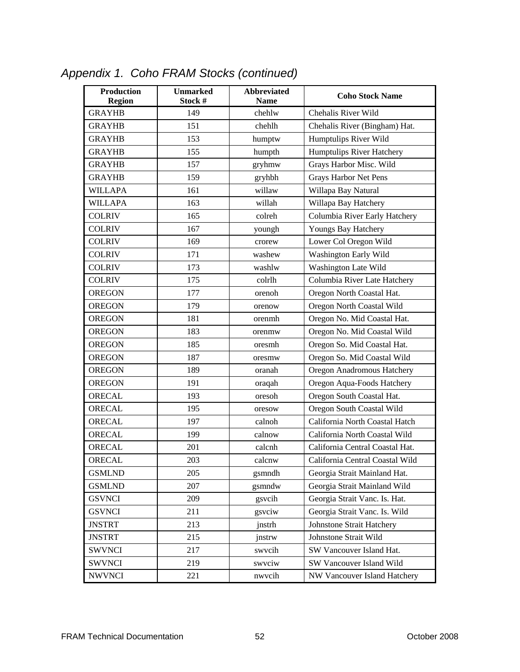| <b>Production</b><br><b>Region</b> | <b>Unmarked</b><br>Stock # | <b>Abbreviated</b><br><b>Name</b> | <b>Coho Stock Name</b>          |
|------------------------------------|----------------------------|-----------------------------------|---------------------------------|
| <b>GRAYHB</b>                      | 149                        | chehlw                            | Chehalis River Wild             |
| <b>GRAYHB</b>                      | 151                        | chehlh                            | Chehalis River (Bingham) Hat.   |
| <b>GRAYHB</b>                      | 153                        | humptw                            | Humptulips River Wild           |
| <b>GRAYHB</b>                      | 155                        | humpth                            | Humptulips River Hatchery       |
| <b>GRAYHB</b>                      | 157                        | gryhmw                            | Grays Harbor Misc. Wild         |
| <b>GRAYHB</b>                      | 159                        | gryhbh                            | Grays Harbor Net Pens           |
| <b>WILLAPA</b>                     | 161                        | willaw                            | Willapa Bay Natural             |
| <b>WILLAPA</b>                     | 163                        | willah                            | Willapa Bay Hatchery            |
| <b>COLRIV</b>                      | 165                        | colreh                            | Columbia River Early Hatchery   |
| <b>COLRIV</b>                      | 167                        | youngh                            | Youngs Bay Hatchery             |
| <b>COLRIV</b>                      | 169                        | crorew                            | Lower Col Oregon Wild           |
| <b>COLRIV</b>                      | 171                        | washew                            | Washington Early Wild           |
| <b>COLRIV</b>                      | 173                        | washlw                            | Washington Late Wild            |
| <b>COLRIV</b>                      | 175                        | colrlh                            | Columbia River Late Hatchery    |
| <b>OREGON</b>                      | 177                        | orenoh                            | Oregon North Coastal Hat.       |
| <b>OREGON</b>                      | 179                        | orenow                            | Oregon North Coastal Wild       |
| <b>OREGON</b>                      | 181                        | orenmh                            | Oregon No. Mid Coastal Hat.     |
| <b>OREGON</b>                      | 183                        | orenmw                            | Oregon No. Mid Coastal Wild     |
| <b>OREGON</b>                      | 185                        | oresmh                            | Oregon So. Mid Coastal Hat.     |
| <b>OREGON</b>                      | 187                        | oresmw                            | Oregon So. Mid Coastal Wild     |
| <b>OREGON</b>                      | 189                        | oranah                            | Oregon Anadromous Hatchery      |
| <b>OREGON</b>                      | 191                        | oraqah                            | Oregon Aqua-Foods Hatchery      |
| ORECAL                             | 193                        | oresoh                            | Oregon South Coastal Hat.       |
| ORECAL                             | 195                        | oresow                            | Oregon South Coastal Wild       |
| ORECAL                             | 197                        | calnoh                            | California North Coastal Hatch  |
| <b>ORECAL</b>                      | 199                        | calnow                            | California North Coastal Wild   |
| ORECAL                             | 201                        | calcnh                            | California Central Coastal Hat. |
| ORECAL                             | 203                        | calcnw                            | California Central Coastal Wild |
| <b>GSMLND</b>                      | 205                        | gsmndh                            | Georgia Strait Mainland Hat.    |
| <b>GSMLND</b>                      | 207                        | gsmndw                            | Georgia Strait Mainland Wild    |
| <b>GSVNCI</b>                      | 209                        | gsvcih                            | Georgia Strait Vanc. Is. Hat.   |
| <b>GSVNCI</b>                      | 211                        | gsvciw                            | Georgia Strait Vanc. Is. Wild   |
| <b>JNSTRT</b>                      | 213                        | jnstrh                            | Johnstone Strait Hatchery       |
| <b>JNSTRT</b>                      | 215                        | jnstrw                            | Johnstone Strait Wild           |
| <b>SWVNCI</b>                      | 217                        | swycih                            | SW Vancouver Island Hat.        |
| <b>SWVNCI</b>                      | 219                        | swyciw                            | SW Vancouver Island Wild        |
| <b>NWVNCI</b>                      | 221                        | nwvcih                            | NW Vancouver Island Hatchery    |

*Appendix 1. Coho FRAM Stocks (continued)*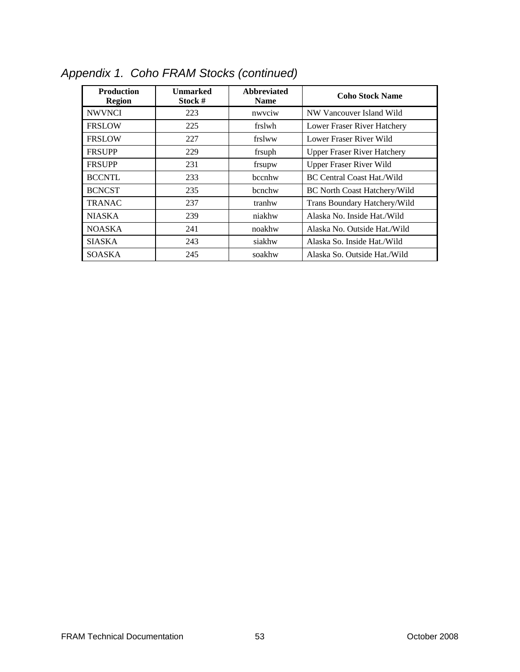| <b>Production</b><br><b>Region</b> | <b>Unmarked</b><br>Stock # | <b>Abbreviated</b><br><b>Name</b> | <b>Coho Stock Name</b>              |
|------------------------------------|----------------------------|-----------------------------------|-------------------------------------|
| <b>NWVNCI</b>                      | 223                        | nwyciw                            | NW Vancouver Island Wild            |
| <b>FRSLOW</b>                      | 225                        | frslwh                            | Lower Fraser River Hatchery         |
| <b>FRSLOW</b>                      | 227                        | frslww                            | Lower Fraser River Wild             |
| <b>FRSUPP</b>                      | 229                        | frsuph                            | <b>Upper Fraser River Hatchery</b>  |
| <b>FRSUPP</b>                      | 231                        | frsupw                            | <b>Upper Fraser River Wild</b>      |
| <b>BCCNTL</b>                      | 233                        | bccnhw                            | <b>BC Central Coast Hat./Wild</b>   |
| <b>BCNCST</b>                      | 235                        | bcnchw                            | <b>BC</b> North Coast Hatchery/Wild |
| <b>TRANAC</b>                      | 237                        | tranhw                            | Trans Boundary Hatchery/Wild        |
| <b>NIASKA</b>                      | 239                        | niakhw                            | Alaska No. Inside Hat./Wild         |
| <b>NOASKA</b>                      | 241                        | noakhw                            | Alaska No. Outside Hat./Wild        |
| <b>SIASKA</b>                      | 243                        | siakhw                            | Alaska So. Inside Hat./Wild         |
| <b>SOASKA</b>                      | 245                        | soakhw                            | Alaska So. Outside Hat./Wild        |

*Appendix 1. Coho FRAM Stocks (continued)*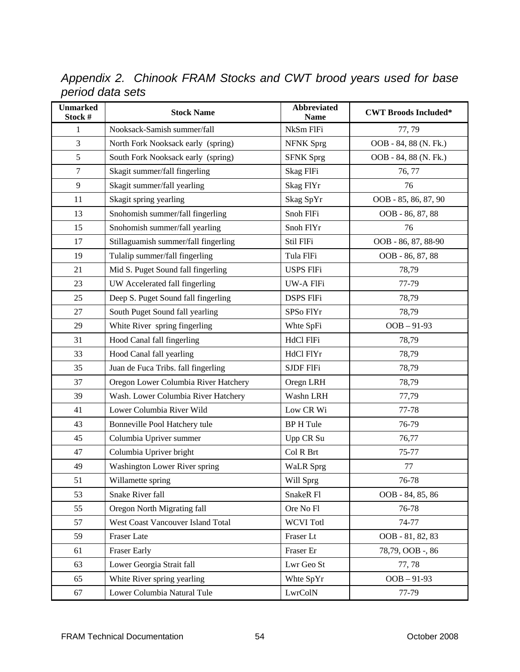*Appendix 2. Chinook FRAM Stocks and CWT brood years used for base period data sets* 

| <b>Unmarked</b><br>Stock # | <b>Stock Name</b>                    | <b>Abbreviated</b><br><b>Name</b> | <b>CWT Broods Included*</b> |
|----------------------------|--------------------------------------|-----------------------------------|-----------------------------|
| 1                          | Nooksack-Samish summer/fall          | NkSm FlFi                         | 77,79                       |
| 3                          | North Fork Nooksack early (spring)   | <b>NFNK</b> Sprg                  | OOB - 84, 88 (N. Fk.)       |
| 5                          | South Fork Nooksack early (spring)   | <b>SFNK Sprg</b>                  | OOB - 84, 88 (N. Fk.)       |
| $\tau$                     | Skagit summer/fall fingerling        | Skag FlFi                         | 76, 77                      |
| 9                          | Skagit summer/fall yearling          | Skag FlYr                         | 76                          |
| 11                         | Skagit spring yearling               | Skag SpYr                         | OOB - 85, 86, 87, 90        |
| 13                         | Snohomish summer/fall fingerling     | Snoh FlFi                         | OOB - 86, 87, 88            |
| 15                         | Snohomish summer/fall yearling       | Snoh FlYr                         | 76                          |
| 17                         | Stillaguamish summer/fall fingerling | Stil FIFi                         | OOB - 86, 87, 88-90         |
| 19                         | Tulalip summer/fall fingerling       | Tula FIFi                         | OOB - 86, 87, 88            |
| 21                         | Mid S. Puget Sound fall fingerling   | <b>USPS FIFi</b>                  | 78,79                       |
| 23                         | UW Accelerated fall fingerling       | UW-A FlFi                         | 77-79                       |
| 25                         | Deep S. Puget Sound fall fingerling  | <b>DSPS FIFi</b>                  | 78,79                       |
| 27                         | South Puget Sound fall yearling      | SPSo FlYr                         | 78,79                       |
| 29                         | White River spring fingerling        | Whte SpFi                         | $OOB - 91-93$               |
| 31                         | Hood Canal fall fingerling           | <b>HdCl FlFi</b>                  | 78,79                       |
| 33                         | Hood Canal fall yearling             | HdCl FlYr                         | 78,79                       |
| 35                         | Juan de Fuca Tribs. fall fingerling  | <b>SJDF FIFi</b>                  | 78,79                       |
| 37                         | Oregon Lower Columbia River Hatchery | Oregn LRH                         | 78,79                       |
| 39                         | Wash. Lower Columbia River Hatchery  | Washn LRH                         | 77,79                       |
| 41                         | Lower Columbia River Wild            | Low CR Wi                         | 77-78                       |
| 43                         | Bonneville Pool Hatchery tule        | <b>BP H Tule</b>                  | 76-79                       |
| 45                         | Columbia Upriver summer              | Upp CR Su                         | 76,77                       |
| 47                         | Columbia Upriver bright              | Col R Brt                         | 75-77                       |
| 49                         | <b>Washington Lower River spring</b> | <b>WaLR</b> Sprg                  | 77                          |
| 51                         | Willamette spring                    | Will Sprg                         | 76-78                       |
| 53                         | Snake River fall                     | SnakeR Fl                         | OOB - 84, 85, 86            |
| 55                         | Oregon North Migrating fall          | Ore No Fl                         | 76-78                       |
| 57                         | West Coast Vancouver Island Total    | <b>WCVI</b> Totl                  | 74-77                       |
| 59                         | Fraser Late                          | Fraser Lt                         | OOB - 81, 82, 83            |
| 61                         | <b>Fraser Early</b>                  | Fraser Er                         | 78,79, OOB -, 86            |
| 63                         | Lower Georgia Strait fall            | Lwr Geo St                        | 77,78                       |
| 65                         | White River spring yearling          | Whte SpYr                         | $OOB - 91-93$               |
| 67                         | Lower Columbia Natural Tule          | LwrColN                           | 77-79                       |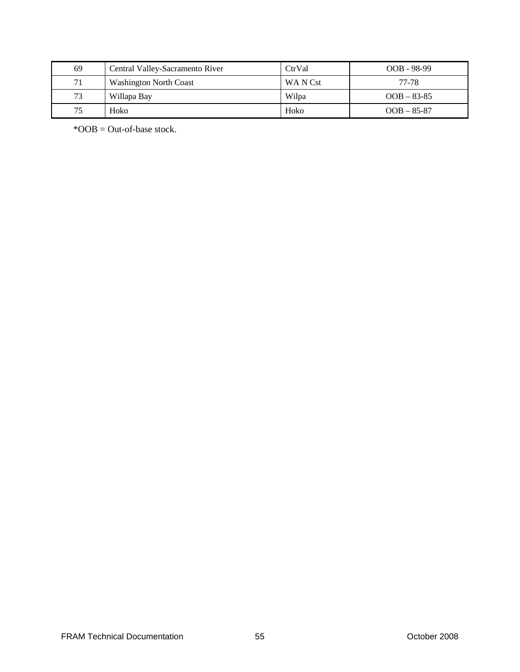| 69 | Central Valley-Sacramento River | CtrVal   | OOB - 98-99   |
|----|---------------------------------|----------|---------------|
| 71 | <b>Washington North Coast</b>   | WA N Cst | 77-78         |
| 73 | Willapa Bay                     | Wilpa    | $OOB - 83-85$ |
| 75 | Hoko                            | Hoko     | $OOB - 85-87$ |

\*OOB = Out-of-base stock.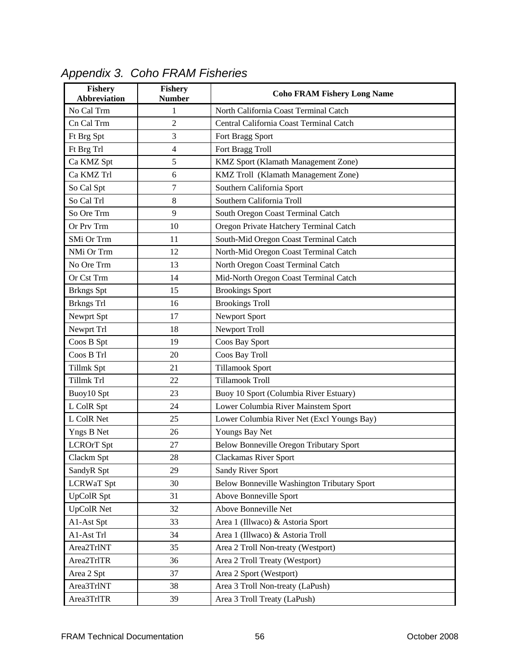| <b>Fishery</b><br><b>Abbreviation</b> | <b>Fishery</b><br><b>Number</b> | <b>Coho FRAM Fishery Long Name</b>          |
|---------------------------------------|---------------------------------|---------------------------------------------|
| No Cal Trm                            | 1                               | North California Coast Terminal Catch       |
| Cn Cal Trm                            | $\overline{2}$                  | Central California Coast Terminal Catch     |
| Ft Brg Spt                            | 3                               | Fort Bragg Sport                            |
| Ft Brg Trl                            | $\overline{4}$                  | Fort Bragg Troll                            |
| Ca KMZ Spt                            | 5                               | KMZ Sport (Klamath Management Zone)         |
| Ca KMZ Trl                            | 6                               | KMZ Troll (Klamath Management Zone)         |
| So Cal Spt                            | 7                               | Southern California Sport                   |
| So Cal Trl                            | 8                               | Southern California Troll                   |
| So Ore Trm                            | 9                               | South Oregon Coast Terminal Catch           |
| Or Prv Trm                            | 10                              | Oregon Private Hatchery Terminal Catch      |
| SMi Or Trm                            | 11                              | South-Mid Oregon Coast Terminal Catch       |
| NMi Or Trm                            | 12                              | North-Mid Oregon Coast Terminal Catch       |
| No Ore Trm                            | 13                              | North Oregon Coast Terminal Catch           |
| Or Cst Trm                            | 14                              | Mid-North Oregon Coast Terminal Catch       |
| <b>Brkngs</b> Spt                     | 15                              | <b>Brookings Sport</b>                      |
| <b>Brkngs</b> Trl                     | 16                              | <b>Brookings Troll</b>                      |
| Newprt Spt                            | 17                              | Newport Sport                               |
| Newprt Trl                            | 18                              | Newport Troll                               |
| Coos B Spt                            | 19                              | Coos Bay Sport                              |
| Coos B Trl                            | 20                              | Coos Bay Troll                              |
| Tillmk Spt                            | 21                              | <b>Tillamook Sport</b>                      |
| Tillmk Trl                            | 22                              | <b>Tillamook Troll</b>                      |
| Buoy10 Spt                            | 23                              | Buoy 10 Sport (Columbia River Estuary)      |
| L ColR Spt                            | 24                              | Lower Columbia River Mainstem Sport         |
| L ColR Net                            | 25                              | Lower Columbia River Net (Excl Youngs Bay)  |
| Yngs B Net                            | 26                              | Youngs Bay Net                              |
| <b>LCROrT</b> Spt                     | 27                              | Below Bonneville Oregon Tributary Sport     |
| Clackm Spt                            | 28                              | Clackamas River Sport                       |
| SandyR Spt                            | 29                              | Sandy River Sport                           |
| <b>LCRWaT</b> Spt                     | 30                              | Below Bonneville Washington Tributary Sport |
| <b>UpColR</b> Spt                     | 31                              | Above Bonneville Sport                      |
| <b>UpColR Net</b>                     | 32                              | Above Bonneville Net                        |
| A1-Ast Spt                            | 33                              | Area 1 (Illwaco) & Astoria Sport            |
| A1-Ast Trl                            | 34                              | Area 1 (Illwaco) & Astoria Troll            |
| Area2TrlNT                            | 35                              | Area 2 Troll Non-treaty (Westport)          |
| Area2TrlTR                            | 36                              | Area 2 Troll Treaty (Westport)              |
| Area 2 Spt                            | 37                              | Area 2 Sport (Westport)                     |
| Area3TrlNT                            | 38                              | Area 3 Troll Non-treaty (LaPush)            |
| Area3TrlTR                            | 39                              | Area 3 Troll Treaty (LaPush)                |

# *Appendix 3. Coho FRAM Fisheries*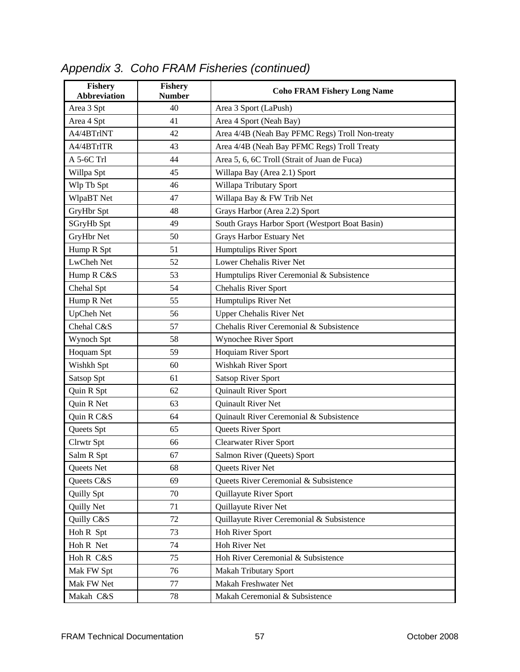| <b>Fishery</b><br><b>Abbreviation</b> | Fishery<br><b>Number</b> | <b>Coho FRAM Fishery Long Name</b>              |  |
|---------------------------------------|--------------------------|-------------------------------------------------|--|
| Area 3 Spt                            | 40                       | Area 3 Sport (LaPush)                           |  |
| Area 4 Spt                            | 41                       | Area 4 Sport (Neah Bay)                         |  |
| A4/4BTrlNT                            | 42                       | Area 4/4B (Neah Bay PFMC Regs) Troll Non-treaty |  |
| A4/4BTrlTR                            | 43                       | Area 4/4B (Neah Bay PFMC Regs) Troll Treaty     |  |
| A 5-6C Trl                            | 44                       | Area 5, 6, 6C Troll (Strait of Juan de Fuca)    |  |
| Willpa Spt                            | 45                       | Willapa Bay (Area 2.1) Sport                    |  |
| Wlp Tb Spt                            | 46                       | Willapa Tributary Sport                         |  |
| WlpaBT Net                            | 47                       | Willapa Bay & FW Trib Net                       |  |
| GryHbr Spt                            | 48                       | Grays Harbor (Area 2.2) Sport                   |  |
| SGryHb Spt                            | 49                       | South Grays Harbor Sport (Westport Boat Basin)  |  |
| GryHbr Net                            | 50                       | Grays Harbor Estuary Net                        |  |
| Hump R Spt                            | 51                       | Humptulips River Sport                          |  |
| LwCheh Net                            | 52                       | Lower Chehalis River Net                        |  |
| Hump R C&S                            | 53                       | Humptulips River Ceremonial & Subsistence       |  |
| Chehal Spt                            | 54                       | Chehalis River Sport                            |  |
| Hump R Net                            | 55                       | Humptulips River Net                            |  |
| <b>UpCheh Net</b>                     | 56                       | <b>Upper Chehalis River Net</b>                 |  |
| Chehal C&S                            | 57                       | Chehalis River Ceremonial & Subsistence         |  |
| Wynoch Spt                            | 58                       | Wynochee River Sport                            |  |
| Hoquam Spt                            | 59                       | Hoquiam River Sport                             |  |
| Wishkh Spt                            | 60                       | Wishkah River Sport                             |  |
| Satsop Spt                            | 61                       | <b>Satsop River Sport</b>                       |  |
| Quin R Spt                            | 62                       | Quinault River Sport                            |  |
| Quin R Net                            | 63                       | Quinault River Net                              |  |
| Quin R C&S                            | 64                       | Quinault River Ceremonial & Subsistence         |  |
| Queets Spt                            | 65                       | Queets River Sport                              |  |
| Clrwtr Spt                            | 66                       | <b>Clearwater River Sport</b>                   |  |
| Salm R Spt                            | 67                       | Salmon River (Queets) Sport                     |  |
| Queets Net                            | 68                       | Queets River Net                                |  |
| Queets C&S                            | 69                       | Queets River Ceremonial & Subsistence           |  |
| Quilly Spt                            | 70                       | Quillayute River Sport                          |  |
| <b>Quilly Net</b>                     | 71                       | Quillayute River Net                            |  |
| Quilly C&S                            | 72                       | Quillayute River Ceremonial & Subsistence       |  |
| Hoh R Spt                             | 73                       | Hoh River Sport                                 |  |
| Hoh R Net                             | 74                       | <b>Hoh River Net</b>                            |  |
| Hoh R C&S                             | 75                       | Hoh River Ceremonial & Subsistence              |  |
| Mak FW Spt                            | 76                       | <b>Makah Tributary Sport</b>                    |  |
| Mak FW Net                            | 77                       | Makah Freshwater Net                            |  |
| Makah C&S                             | 78                       | Makah Ceremonial & Subsistence                  |  |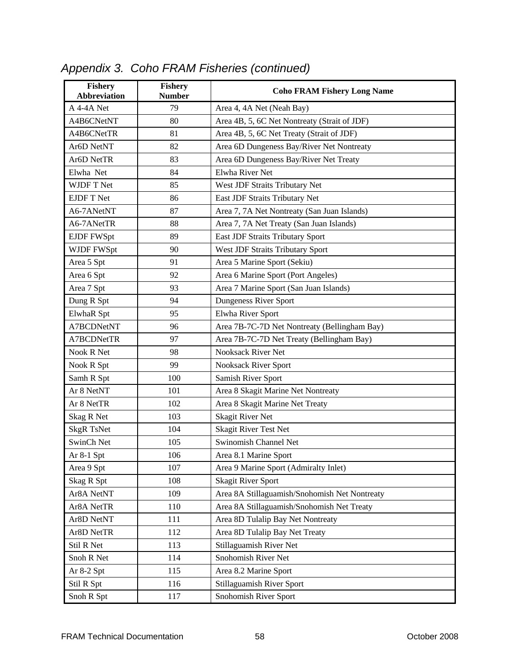| <b>Fishery</b><br><b>Abbreviation</b> | <b>Fishery</b><br><b>Number</b> | <b>Coho FRAM Fishery Long Name</b>            |
|---------------------------------------|---------------------------------|-----------------------------------------------|
| A 4-4A Net                            | 79                              | Area 4, 4A Net (Neah Bay)                     |
| A4B6CNetNT                            | 80                              | Area 4B, 5, 6C Net Nontreaty (Strait of JDF)  |
| A4B6CNetTR                            | 81                              | Area 4B, 5, 6C Net Treaty (Strait of JDF)     |
| Ar6D NetNT                            | 82                              | Area 6D Dungeness Bay/River Net Nontreaty     |
| Ar6D NetTR                            | 83                              | Area 6D Dungeness Bay/River Net Treaty        |
| Elwha Net                             | 84                              | Elwha River Net                               |
| WJDF T Net                            | 85                              | West JDF Straits Tributary Net                |
| <b>EJDF T Net</b>                     | 86                              | East JDF Straits Tributary Net                |
| A6-7ANetNT                            | 87                              | Area 7, 7A Net Nontreaty (San Juan Islands)   |
| A6-7ANetTR                            | 88                              | Area 7, 7A Net Treaty (San Juan Islands)      |
| <b>EJDF FWSpt</b>                     | 89                              | East JDF Straits Tributary Sport              |
| WJDF FWSpt                            | 90                              | West JDF Straits Tributary Sport              |
| Area 5 Spt                            | 91                              | Area 5 Marine Sport (Sekiu)                   |
| Area 6 Spt                            | 92                              | Area 6 Marine Sport (Port Angeles)            |
| Area 7 Spt                            | 93                              | Area 7 Marine Sport (San Juan Islands)        |
| Dung R Spt                            | 94                              | Dungeness River Sport                         |
| ElwhaR Spt                            | 95                              | Elwha River Sport                             |
| A7BCDNetNT                            | 96                              | Area 7B-7C-7D Net Nontreaty (Bellingham Bay)  |
| A7BCDNetTR                            | 97                              | Area 7B-7C-7D Net Treaty (Bellingham Bay)     |
| Nook R Net                            | 98                              | <b>Nooksack River Net</b>                     |
| Nook R Spt                            | 99                              | Nooksack River Sport                          |
| Samh R Spt                            | 100                             | Samish River Sport                            |
| Ar 8 NetNT                            | 101                             | Area 8 Skagit Marine Net Nontreaty            |
| Ar 8 NetTR                            | 102                             | Area 8 Skagit Marine Net Treaty               |
| Skag R Net                            | 103                             | <b>Skagit River Net</b>                       |
| <b>SkgR TsNet</b>                     | 104                             | <b>Skagit River Test Net</b>                  |
| SwinCh Net                            | 105                             | Swinomish Channel Net                         |
| Ar $8-1$ Spt                          | 106                             | Area 8.1 Marine Sport                         |
| Area 9 Spt                            | 107                             | Area 9 Marine Sport (Admiralty Inlet)         |
| Skag R Spt                            | 108                             | <b>Skagit River Sport</b>                     |
| Ar8A NetNT                            | 109                             | Area 8A Stillaguamish/Snohomish Net Nontreaty |
| Ar8A NetTR                            | 110                             | Area 8A Stillaguamish/Snohomish Net Treaty    |
| Ar8D NetNT                            | 111                             | Area 8D Tulalip Bay Net Nontreaty             |
| Ar8D NetTR                            | 112                             | Area 8D Tulalip Bay Net Treaty                |
| Stil R Net                            | 113                             | Stillaguamish River Net                       |
| Snoh R Net                            | 114                             | Snohomish River Net                           |
| Ar 8-2 Spt                            | 115                             | Area 8.2 Marine Sport                         |
| Stil R Spt                            | 116                             | Stillaguamish River Sport                     |
| Snoh R Spt                            | 117                             | Snohomish River Sport                         |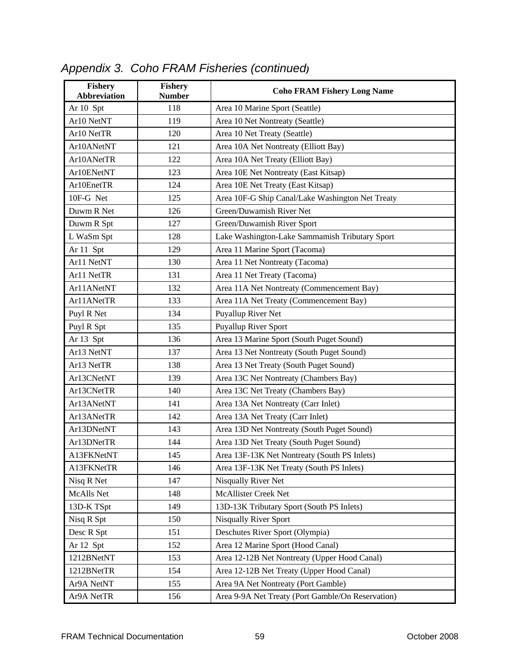| <b>Fishery</b><br><b>Abbreviation</b> | Fishery<br><b>Number</b> | <b>Coho FRAM Fishery Long Name</b>                |  |
|---------------------------------------|--------------------------|---------------------------------------------------|--|
| Ar 10 Spt                             | 118                      | Area 10 Marine Sport (Seattle)                    |  |
| Ar10 NetNT                            | 119                      | Area 10 Net Nontreaty (Seattle)                   |  |
| Ar10 NetTR                            | 120                      | Area 10 Net Treaty (Seattle)                      |  |
| Ar10ANetNT                            | 121                      | Area 10A Net Nontreaty (Elliott Bay)              |  |
| Ar10ANetTR                            | 122                      | Area 10A Net Treaty (Elliott Bay)                 |  |
| Ar10ENetNT                            | 123                      | Area 10E Net Nontreaty (East Kitsap)              |  |
| Ar10EnetTR                            | 124                      | Area 10E Net Treaty (East Kitsap)                 |  |
| 10F-G Net                             | 125                      | Area 10F-G Ship Canal/Lake Washington Net Treaty  |  |
| Duwm R Net                            | 126                      | Green/Duwamish River Net                          |  |
| Duwm R Spt                            | 127                      | Green/Duwamish River Sport                        |  |
| L WaSm Spt                            | 128                      | Lake Washington-Lake Sammamish Tributary Sport    |  |
| Ar 11 Spt                             | 129                      | Area 11 Marine Sport (Tacoma)                     |  |
| Ar11 NetNT                            | 130                      | Area 11 Net Nontreaty (Tacoma)                    |  |
| Ar11 NetTR                            | 131                      | Area 11 Net Treaty (Tacoma)                       |  |
| Ar11ANetNT                            | 132                      | Area 11A Net Nontreaty (Commencement Bay)         |  |
| Ar11ANetTR                            | 133                      | Area 11A Net Treaty (Commencement Bay)            |  |
| Puyl R Net                            | 134                      | Puyallup River Net                                |  |
| Puyl R Spt                            | 135                      | Puyallup River Sport                              |  |
| Ar 13 Spt                             | 136                      | Area 13 Marine Sport (South Puget Sound)          |  |
| Ar13 NetNT                            | 137                      | Area 13 Net Nontreaty (South Puget Sound)         |  |
| Ar13 NetTR                            | 138                      | Area 13 Net Treaty (South Puget Sound)            |  |
| Ar13CNetNT                            | 139                      | Area 13C Net Nontreaty (Chambers Bay)             |  |
| Ar13CNetTR                            | 140                      | Area 13C Net Treaty (Chambers Bay)                |  |
| Ar13ANetNT                            | 141                      | Area 13A Net Nontreaty (Carr Inlet)               |  |
| Ar13ANetTR                            | 142                      | Area 13A Net Treaty (Carr Inlet)                  |  |
| Ar13DNetNT                            | 143                      | Area 13D Net Nontreaty (South Puget Sound)        |  |
| Ar13DNetTR                            | 144                      | Area 13D Net Treaty (South Puget Sound)           |  |
| A13FKNetNT                            | 145                      | Area 13F-13K Net Nontreaty (South PS Inlets)      |  |
| A13FKNetTR                            | 146                      | Area 13F-13K Net Treaty (South PS Inlets)         |  |
| Nisq R Net                            | 147                      | Nisqually River Net                               |  |
| McAlls Net                            | 148                      | McAllister Creek Net                              |  |
| 13D-K TSpt                            | 149                      | 13D-13K Tributary Sport (South PS Inlets)         |  |
| Nisq R Spt                            | 150                      | <b>Nisqually River Sport</b>                      |  |
| Desc R Spt                            | 151                      | Deschutes River Sport (Olympia)                   |  |
| Ar 12 Spt                             | 152                      | Area 12 Marine Sport (Hood Canal)                 |  |
| 1212BNetNT                            | 153                      | Area 12-12B Net Nontreaty (Upper Hood Canal)      |  |
| 1212BNetTR                            | 154                      | Area 12-12B Net Treaty (Upper Hood Canal)         |  |
| Ar9A NetNT                            | 155                      | Area 9A Net Nontreaty (Port Gamble)               |  |
| Ar9A NetTR                            | 156                      | Area 9-9A Net Treaty (Port Gamble/On Reservation) |  |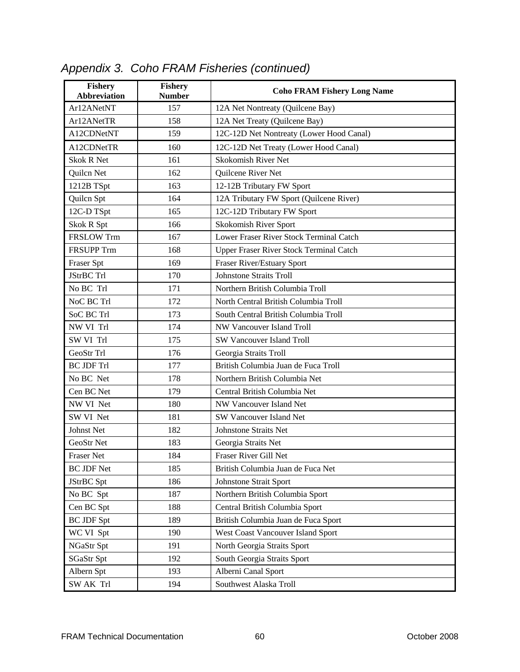| <b>Fishery</b><br><b>Abbreviation</b> | <b>Fishery</b><br><b>Number</b> | <b>Coho FRAM Fishery Long Name</b>       |
|---------------------------------------|---------------------------------|------------------------------------------|
| Ar12ANetNT                            | 157                             | 12A Net Nontreaty (Quilcene Bay)         |
| Ar12ANetTR                            | 158                             | 12A Net Treaty (Quilcene Bay)            |
| A12CDNetNT                            | 159                             | 12C-12D Net Nontreaty (Lower Hood Canal) |
| A12CDNetTR                            | 160                             | 12C-12D Net Treaty (Lower Hood Canal)    |
| <b>Skok R Net</b>                     | 161                             | Skokomish River Net                      |
| Quilcn Net                            | 162                             | Quilcene River Net                       |
| 1212B TSpt                            | 163                             | 12-12B Tributary FW Sport                |
| Quilcn Spt                            | 164                             | 12A Tributary FW Sport (Quilcene River)  |
| 12C-D TSpt                            | 165                             | 12C-12D Tributary FW Sport               |
| Skok R Spt                            | 166                             | Skokomish River Sport                    |
| <b>FRSLOW Trm</b>                     | 167                             | Lower Fraser River Stock Terminal Catch  |
| <b>FRSUPP Trm</b>                     | 168                             | Upper Fraser River Stock Terminal Catch  |
| Fraser Spt                            | 169                             | Fraser River/Estuary Sport               |
| <b>JStrBC Trl</b>                     | 170                             | <b>Johnstone Straits Troll</b>           |
| No BC Trl                             | 171                             | Northern British Columbia Troll          |
| NoC BC Trl                            | 172                             | North Central British Columbia Troll     |
| SoC BC Trl                            | 173                             | South Central British Columbia Troll     |
| NW VI Trl                             | 174                             | NW Vancouver Island Troll                |
| SW VI Trl                             | 175                             | <b>SW Vancouver Island Troll</b>         |
| GeoStr Trl                            | 176                             | Georgia Straits Troll                    |
| <b>BC JDF Trl</b>                     | 177                             | British Columbia Juan de Fuca Troll      |
| No BC Net                             | 178                             | Northern British Columbia Net            |
| Cen BC Net                            | 179                             | Central British Columbia Net             |
| NW VI Net                             | 180                             | NW Vancouver Island Net                  |
| SW VI Net                             | 181                             | SW Vancouver Island Net                  |
| Johnst Net                            | 182                             | <b>Johnstone Straits Net</b>             |
| GeoStr Net                            | 183                             | Georgia Straits Net                      |
| <b>Fraser Net</b>                     | 184                             | Fraser River Gill Net                    |
| <b>BC JDF Net</b>                     | 185                             | British Columbia Juan de Fuca Net        |
| JStrBC Spt                            | 186                             | Johnstone Strait Sport                   |
| No BC Spt                             | 187                             | Northern British Columbia Sport          |
| Cen BC Spt                            | 188                             | Central British Columbia Sport           |
| <b>BC JDF Spt</b>                     | 189                             | British Columbia Juan de Fuca Sport      |
| WC VI Spt                             | 190                             | West Coast Vancouver Island Sport        |
| NGaStr Spt                            | 191                             | North Georgia Straits Sport              |
| <b>SGaStr Spt</b>                     | 192                             | South Georgia Straits Sport              |
| Albern Spt                            | 193                             | Alberni Canal Sport                      |
| SW AK Trl                             | 194                             | Southwest Alaska Troll                   |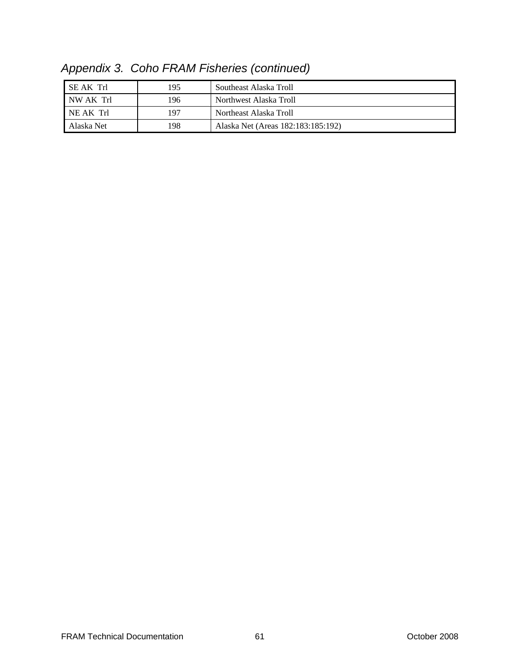| I SE AK Trl | 195 | Southeast Alaska Troll             |
|-------------|-----|------------------------------------|
| NW AK Trl   | 196 | Northwest Alaska Troll             |
| NE AK Trl   | 197 | Northeast Alaska Troll             |
| Alaska Net  | 198 | Alaska Net (Areas 182:183:185:192) |

*Appendix 3. Coho FRAM Fisheries (continued)*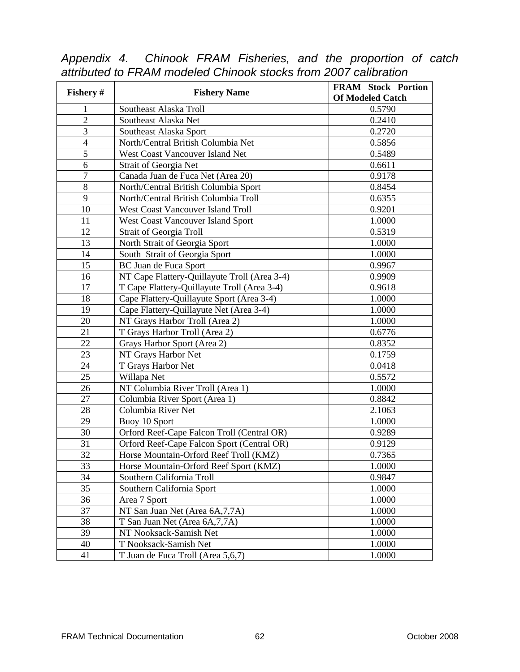| Fishery #      | <b>Fishery Name</b>                          | <b>FRAM Stock Portion</b><br><b>Of Modeled Catch</b> |
|----------------|----------------------------------------------|------------------------------------------------------|
| 1              | Southeast Alaska Troll                       | 0.5790                                               |
| $\overline{2}$ | Southeast Alaska Net                         | 0.2410                                               |
| 3              | Southeast Alaska Sport                       | 0.2720                                               |
| $\overline{4}$ | North/Central British Columbia Net           | 0.5856                                               |
| 5              | West Coast Vancouver Island Net              | 0.5489                                               |
| 6              | Strait of Georgia Net                        | 0.6611                                               |
| $\overline{7}$ | Canada Juan de Fuca Net (Area 20)            | 0.9178                                               |
| 8              | North/Central British Columbia Sport         | 0.8454                                               |
| 9              | North/Central British Columbia Troll         | 0.6355                                               |
| 10             | <b>West Coast Vancouver Island Troll</b>     | 0.9201                                               |
| 11             | West Coast Vancouver Island Sport            | 1.0000                                               |
| 12             | <b>Strait of Georgia Troll</b>               | 0.5319                                               |
| 13             | North Strait of Georgia Sport                | 1.0000                                               |
| 14             | South Strait of Georgia Sport                | 1.0000                                               |
| 15             | BC Juan de Fuca Sport                        | 0.9967                                               |
| 16             | NT Cape Flattery-Quillayute Troll (Area 3-4) | 0.9909                                               |
| 17             | T Cape Flattery-Quillayute Troll (Area 3-4)  | 0.9618                                               |
| 18             | Cape Flattery-Quillayute Sport (Area 3-4)    | 1.0000                                               |
| 19             | Cape Flattery-Quillayute Net (Area 3-4)      | 1.0000                                               |
| 20             | NT Grays Harbor Troll (Area 2)               | 1.0000                                               |
| 21             | T Grays Harbor Troll (Area 2)                | 0.6776                                               |
| 22             | Grays Harbor Sport (Area 2)                  | 0.8352                                               |
| 23             | NT Grays Harbor Net                          | 0.1759                                               |
| 24             | T Grays Harbor Net                           | 0.0418                                               |
| 25             | Willapa Net                                  | 0.5572                                               |
| 26             | NT Columbia River Troll (Area 1)             | 1.0000                                               |
| 27             | Columbia River Sport (Area 1)                | 0.8842                                               |
| 28             | Columbia River Net                           | 2.1063                                               |
| 29             | Buoy 10 Sport                                | 1.0000                                               |
| 30             | Orford Reef-Cape Falcon Troll (Central OR)   | 0.9289                                               |
| 31             | Orford Reef-Cape Falcon Sport (Central OR)   | 0.9129                                               |
| 32             | Horse Mountain-Orford Reef Troll (KMZ)       | 0.7365                                               |
| 33             | Horse Mountain-Orford Reef Sport (KMZ)       | 1.0000                                               |
| 34             | Southern California Troll                    | 0.9847                                               |
| 35             | Southern California Sport                    | 1.0000                                               |
| 36             | Area 7 Sport                                 | 1.0000                                               |
| 37             | NT San Juan Net (Area 6A, 7, 7A)             | 1.0000                                               |
| 38             | T San Juan Net (Area 6A, 7, 7A)              | 1.0000                                               |
| 39             | NT Nooksack-Samish Net                       | 1.0000                                               |
| 40             | T Nooksack-Samish Net                        | 1.0000                                               |
| 41             | T Juan de Fuca Troll (Area 5,6,7)            | 1.0000                                               |

*Appendix 4. Chinook FRAM Fisheries, and the proportion of catch attributed to FRAM modeled Chinook stocks from 2007 calibration*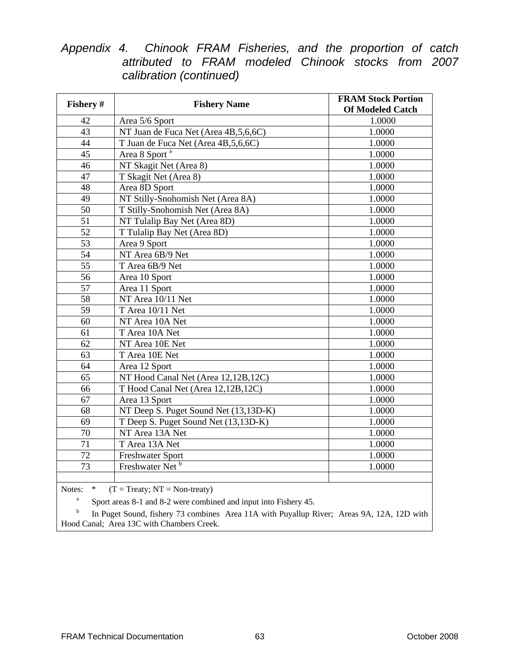|  |  |                         | Appendix 4. Chinook FRAM Fisheries, and the proportion of catch |  |  |  |
|--|--|-------------------------|-----------------------------------------------------------------|--|--|--|
|  |  |                         | attributed to FRAM modeled Chinook stocks from 2007             |  |  |  |
|  |  | calibration (continued) |                                                                 |  |  |  |

| Fishery #       | <b>Fishery Name</b>                    | <b>FRAM Stock Portion</b><br><b>Of Modeled Catch</b> |  |  |
|-----------------|----------------------------------------|------------------------------------------------------|--|--|
| 42              | Area 5/6 Sport                         | 1.0000                                               |  |  |
| 43              | NT Juan de Fuca Net (Area 4B,5,6,6C)   | 1.0000                                               |  |  |
| 44              | T Juan de Fuca Net (Area 4B, 5, 6, 6C) | 1.0000                                               |  |  |
| 45              | Area 8 Sport <sup>a</sup>              | 1.0000                                               |  |  |
| 46              | NT Skagit Net (Area 8)                 | 1.0000                                               |  |  |
| 47              | T Skagit Net (Area 8)                  | 1.0000                                               |  |  |
| 48              | Area 8D Sport                          | 1.0000                                               |  |  |
| 49              | NT Stilly-Snohomish Net (Area 8A)      | 1.0000                                               |  |  |
| 50              | T Stilly-Snohomish Net (Area 8A)       | 1.0000                                               |  |  |
| 51              | NT Tulalip Bay Net (Area 8D)           | 1.0000                                               |  |  |
| 52              | T Tulalip Bay Net (Area 8D)            | 1.0000                                               |  |  |
| 53              | Area 9 Sport                           | 1.0000                                               |  |  |
| 54              | NT Area 6B/9 Net                       | 1.0000                                               |  |  |
| $\overline{55}$ | T Area 6B/9 Net                        | 1.0000                                               |  |  |
| 56              | Area 10 Sport                          | 1.0000                                               |  |  |
| 57              | Area 11 Sport                          | 1.0000                                               |  |  |
| 58              | NT Area 10/11 Net                      | 1.0000                                               |  |  |
| 59              | T Area 10/11 Net                       | 1.0000                                               |  |  |
| 60              | NT Area 10A Net                        | 1.0000                                               |  |  |
| 61              | T Area 10A Net                         | 1.0000                                               |  |  |
| 62              | NT Area 10E Net                        | 1.0000                                               |  |  |
| 63              | T Area 10E Net                         | 1.0000                                               |  |  |
| 64              | Area 12 Sport                          | 1.0000                                               |  |  |
| 65              | NT Hood Canal Net (Area 12,12B,12C)    | 1.0000                                               |  |  |
| 66              | T Hood Canal Net (Area 12,12B,12C)     | 1.0000                                               |  |  |
| 67              | Area 13 Sport                          | 1.0000                                               |  |  |
| 68              | NT Deep S. Puget Sound Net (13,13D-K)  | 1.0000                                               |  |  |
| 69              | T Deep S. Puget Sound Net (13,13D-K)   | 1.0000                                               |  |  |
| 70              | NT Area 13A Net                        | 1.0000                                               |  |  |
| 71              | T Area 13A Net                         | 1.0000                                               |  |  |
| $\overline{72}$ | <b>Freshwater Sport</b>                | 1.0000                                               |  |  |
| 73              | Freshwater Net <sup>b</sup>            | 1.0000                                               |  |  |
|                 |                                        |                                                      |  |  |

Notes: \*  $(T = \text{Treaty}; NT = \text{Non-treaty})$ <br> $\frac{a}{\text{Short areas } 8-1 \text{ and } 8-2 \text{ were combii}}$ 

Sport areas 8-1 and 8-2 were combined and input into Fishery 45.

b In Puget Sound, fishery 73 combines Area 11A with Puyallup River; Areas 9A, 12A, 12D with Hood Canal; Area 13C with Chambers Creek.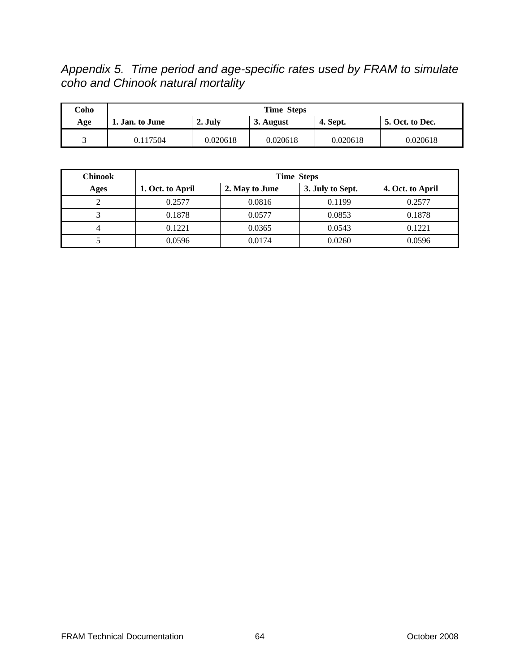*Appendix 5. Time period and age-specific rates used by FRAM to simulate coho and Chinook natural mortality* 

| Coho | <b>Time Steps</b>      |                      |          |                 |                        |  |  |
|------|------------------------|----------------------|----------|-----------------|------------------------|--|--|
| Age  | <b>1. Jan. to June</b> | 2. July<br>3. August |          | <b>4. Sept.</b> | <b>5. Oct. to Dec.</b> |  |  |
|      | 0.117504               | 0.020618             | 0.020618 | 0.020618        | 0.020618               |  |  |

| <b>Chinook</b> | <b>Time Steps</b> |                |                  |                  |  |  |  |
|----------------|-------------------|----------------|------------------|------------------|--|--|--|
| Ages           | 1. Oct. to April  | 2. May to June | 3. July to Sept. | 4. Oct. to April |  |  |  |
|                | 0.2577            | 0.0816         | 0.1199           | 0.2577           |  |  |  |
|                | 0.1878            | 0.0577         | 0.0853           | 0.1878           |  |  |  |
| 4              | 0.1221            | 0.0365         | 0.0543           | 0.1221           |  |  |  |
|                | 0.0596            | 0.0174         | 0.0260           | 0.0596           |  |  |  |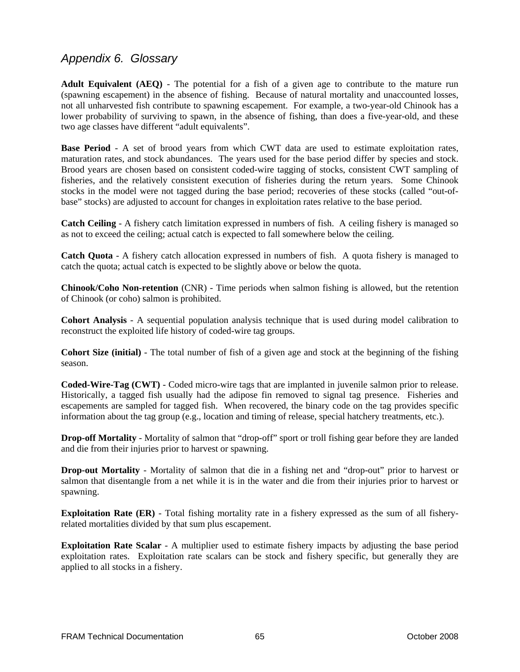## *Appendix 6. Glossary*

**Adult Equivalent (AEQ)** - The potential for a fish of a given age to contribute to the mature run (spawning escapement) in the absence of fishing. Because of natural mortality and unaccounted losses, not all unharvested fish contribute to spawning escapement. For example, a two-year-old Chinook has a lower probability of surviving to spawn, in the absence of fishing, than does a five-year-old, and these two age classes have different "adult equivalents".

**Base Period** - A set of brood years from which CWT data are used to estimate exploitation rates, maturation rates, and stock abundances. The years used for the base period differ by species and stock. Brood years are chosen based on consistent coded-wire tagging of stocks, consistent CWT sampling of fisheries, and the relatively consistent execution of fisheries during the return years. Some Chinook stocks in the model were not tagged during the base period; recoveries of these stocks (called "out-ofbase" stocks) are adjusted to account for changes in exploitation rates relative to the base period.

**Catch Ceiling** - A fishery catch limitation expressed in numbers of fish. A ceiling fishery is managed so as not to exceed the ceiling; actual catch is expected to fall somewhere below the ceiling.

**Catch Quota** - A fishery catch allocation expressed in numbers of fish. A quota fishery is managed to catch the quota; actual catch is expected to be slightly above or below the quota.

**Chinook/Coho Non-retention** (CNR) - Time periods when salmon fishing is allowed, but the retention of Chinook (or coho) salmon is prohibited.

**Cohort Analysis** - A sequential population analysis technique that is used during model calibration to reconstruct the exploited life history of coded-wire tag groups.

**Cohort Size (initial)** - The total number of fish of a given age and stock at the beginning of the fishing season.

**Coded-Wire-Tag (CWT)** - Coded micro-wire tags that are implanted in juvenile salmon prior to release. Historically, a tagged fish usually had the adipose fin removed to signal tag presence. Fisheries and escapements are sampled for tagged fish. When recovered, the binary code on the tag provides specific information about the tag group (e.g., location and timing of release, special hatchery treatments, etc.).

**Drop-off Mortality** - Mortality of salmon that "drop-off" sport or troll fishing gear before they are landed and die from their injuries prior to harvest or spawning.

**Drop-out Mortality** - Mortality of salmon that die in a fishing net and "drop-out" prior to harvest or salmon that disentangle from a net while it is in the water and die from their injuries prior to harvest or spawning.

**Exploitation Rate (ER)** - Total fishing mortality rate in a fishery expressed as the sum of all fisheryrelated mortalities divided by that sum plus escapement.

**Exploitation Rate Scalar** - A multiplier used to estimate fishery impacts by adjusting the base period exploitation rates. Exploitation rate scalars can be stock and fishery specific, but generally they are applied to all stocks in a fishery.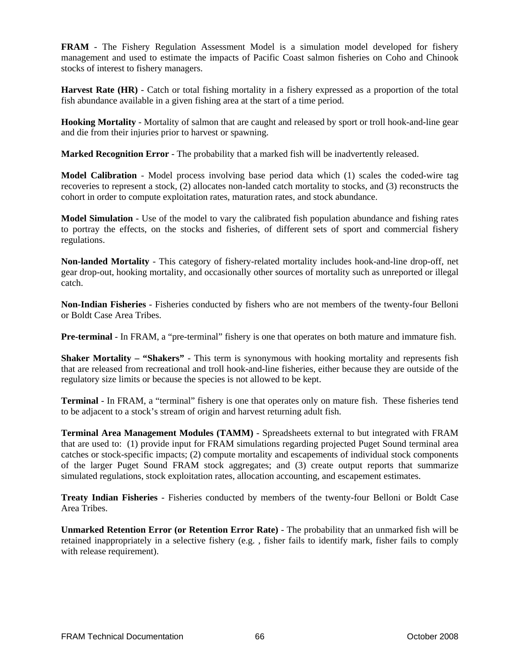**FRAM** - The Fishery Regulation Assessment Model is a simulation model developed for fishery management and used to estimate the impacts of Pacific Coast salmon fisheries on Coho and Chinook stocks of interest to fishery managers.

**Harvest Rate (HR)** - Catch or total fishing mortality in a fishery expressed as a proportion of the total fish abundance available in a given fishing area at the start of a time period.

**Hooking Mortality** - Mortality of salmon that are caught and released by sport or troll hook-and-line gear and die from their injuries prior to harvest or spawning.

**Marked Recognition Error** - The probability that a marked fish will be inadvertently released.

**Model Calibration** - Model process involving base period data which (1) scales the coded-wire tag recoveries to represent a stock, (2) allocates non-landed catch mortality to stocks, and (3) reconstructs the cohort in order to compute exploitation rates, maturation rates, and stock abundance.

**Model Simulation** - Use of the model to vary the calibrated fish population abundance and fishing rates to portray the effects, on the stocks and fisheries, of different sets of sport and commercial fishery regulations.

**Non-landed Mortality** - This category of fishery-related mortality includes hook-and-line drop-off, net gear drop-out, hooking mortality, and occasionally other sources of mortality such as unreported or illegal catch.

**Non-Indian Fisheries** - Fisheries conducted by fishers who are not members of the twenty-four Belloni or Boldt Case Area Tribes.

**Pre-terminal** - In FRAM, a "pre-terminal" fishery is one that operates on both mature and immature fish.

**Shaker Mortality – "Shakers"** - This term is synonymous with hooking mortality and represents fish that are released from recreational and troll hook-and-line fisheries, either because they are outside of the regulatory size limits or because the species is not allowed to be kept.

**Terminal** - In FRAM, a "terminal" fishery is one that operates only on mature fish. These fisheries tend to be adjacent to a stock's stream of origin and harvest returning adult fish.

**Terminal Area Management Modules (TAMM)** - Spreadsheets external to but integrated with FRAM that are used to: (1) provide input for FRAM simulations regarding projected Puget Sound terminal area catches or stock-specific impacts; (2) compute mortality and escapements of individual stock components of the larger Puget Sound FRAM stock aggregates; and (3) create output reports that summarize simulated regulations, stock exploitation rates, allocation accounting, and escapement estimates.

**Treaty Indian Fisheries** - Fisheries conducted by members of the twenty-four Belloni or Boldt Case Area Tribes.

**Unmarked Retention Error (or Retention Error Rate)** - The probability that an unmarked fish will be retained inappropriately in a selective fishery (e.g. , fisher fails to identify mark, fisher fails to comply with release requirement).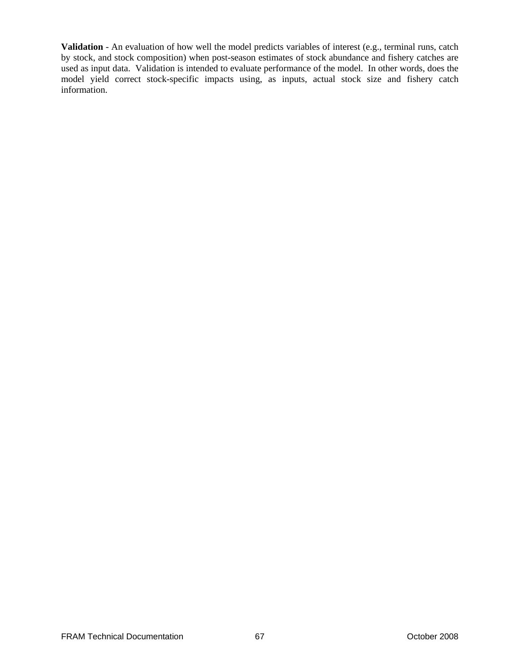**Validation** - An evaluation of how well the model predicts variables of interest (e.g., terminal runs, catch by stock, and stock composition) when post-season estimates of stock abundance and fishery catches are used as input data. Validation is intended to evaluate performance of the model. In other words, does the model yield correct stock-specific impacts using, as inputs, actual stock size and fishery catch information.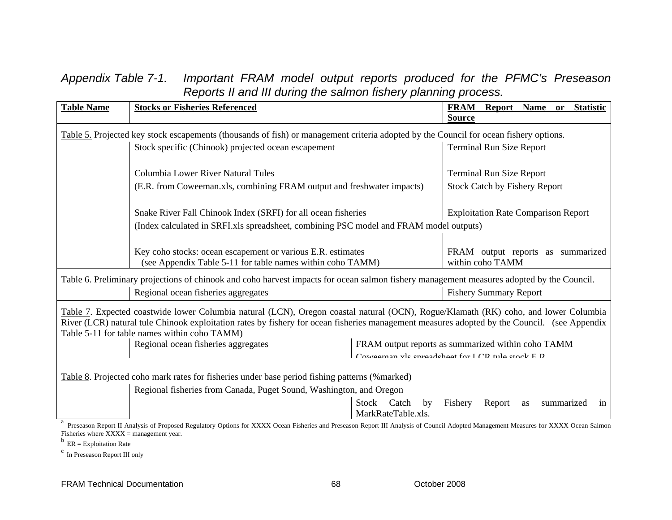## *Appendix Table 7-1. Important FRAM model output reports produced for the PFMC's Preseason Reports II and III during the salmon fishery planning proces s.*

| <b>Table Name</b>                                                                                                                                                                                                                                                                                                                   | <b>Stocks or Fisheries Referenced</b>                                                                                     | <b>FRAM</b><br>Report<br>Name or<br><b>Statistic</b>  |  |  |
|-------------------------------------------------------------------------------------------------------------------------------------------------------------------------------------------------------------------------------------------------------------------------------------------------------------------------------------|---------------------------------------------------------------------------------------------------------------------------|-------------------------------------------------------|--|--|
|                                                                                                                                                                                                                                                                                                                                     |                                                                                                                           | <b>Source</b>                                         |  |  |
| Table 5. Projected key stock escapements (thousands of fish) or management criteria adopted by the Council for ocean fishery options.                                                                                                                                                                                               |                                                                                                                           |                                                       |  |  |
|                                                                                                                                                                                                                                                                                                                                     | Stock specific (Chinook) projected ocean escapement                                                                       | <b>Terminal Run Size Report</b>                       |  |  |
|                                                                                                                                                                                                                                                                                                                                     | Columbia Lower River Natural Tules                                                                                        | <b>Terminal Run Size Report</b>                       |  |  |
|                                                                                                                                                                                                                                                                                                                                     | (E.R. from Coweeman.xls, combining FRAM output and freshwater impacts)                                                    | <b>Stock Catch by Fishery Report</b>                  |  |  |
|                                                                                                                                                                                                                                                                                                                                     | Snake River Fall Chinook Index (SRFI) for all ocean fisheries                                                             | <b>Exploitation Rate Comparison Report</b>            |  |  |
|                                                                                                                                                                                                                                                                                                                                     | (Index calculated in SRFI.xls spreadsheet, combining PSC model and FRAM model outputs)                                    |                                                       |  |  |
|                                                                                                                                                                                                                                                                                                                                     | Key coho stocks: ocean escapement or various E.R. estimates<br>(see Appendix Table 5-11 for table names within coho TAMM) | FRAM output reports as summarized<br>within coho TAMM |  |  |
| Table 6. Preliminary projections of chinook and coho harvest impacts for ocean salmon fishery management measures adopted by the Council.                                                                                                                                                                                           |                                                                                                                           |                                                       |  |  |
|                                                                                                                                                                                                                                                                                                                                     | Regional ocean fisheries aggregates                                                                                       | <b>Fishery Summary Report</b>                         |  |  |
| Table 7. Expected coastwide lower Columbia natural (LCN), Oregon coastal natural (OCN), Rogue/Klamath (RK) coho, and lower Columbia<br>River (LCR) natural tule Chinook exploitation rates by fishery for ocean fisheries management measures adopted by the Council. (see Appendix<br>Table 5-11 for table names within coho TAMM) |                                                                                                                           |                                                       |  |  |
|                                                                                                                                                                                                                                                                                                                                     | Regional ocean fisheries aggregates                                                                                       | FRAM output reports as summarized within coho TAMM    |  |  |
|                                                                                                                                                                                                                                                                                                                                     | Cowgaman vla enrandehaat for LCD tule stock $E$ D                                                                         |                                                       |  |  |
| Table 8. Projected coho mark rates for fisheries under base period fishing patterns (%marked)                                                                                                                                                                                                                                       |                                                                                                                           |                                                       |  |  |
|                                                                                                                                                                                                                                                                                                                                     | Regional fisheries from Canada, Puget Sound, Washington, and Oregon                                                       |                                                       |  |  |
|                                                                                                                                                                                                                                                                                                                                     | Stock Catch<br>MarkRateTable.xls.                                                                                         | Fishery<br>Report<br>by<br>summarized<br>as<br>in     |  |  |
| Preseason Report II Analysis of Proposed Regulatory Options for XXXX Ocean Fisheries and Preseason Report III Analysis of Council Adopted Management Measures for XXXX Ocean Salmon                                                                                                                                                 |                                                                                                                           |                                                       |  |  |

Fisheries where  $\overrightarrow{XXX}$  = management year.  $b$  ER = Exploitation Rate

c In Preseason Report III only